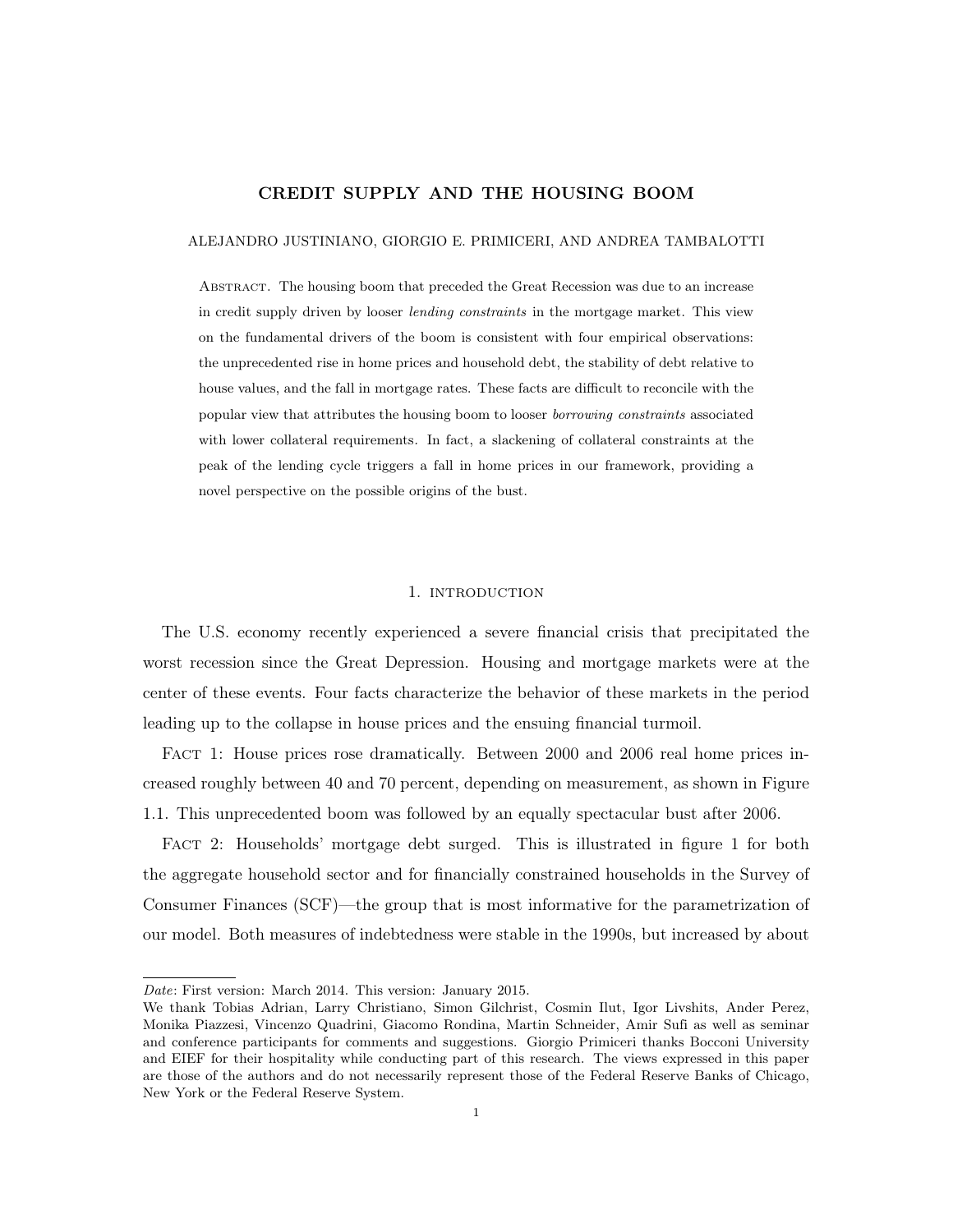## CREDIT SUPPLY AND THE HOUSING BOOM

#### ALEJANDRO JUSTINIANO, GIORGIO E. PRIMICERI, AND ANDREA TAMBALOTTI

Abstract. The housing boom that preceded the Great Recession was due to an increase in credit supply driven by looser *lending constraints* in the mortgage market. This view on the fundamental drivers of the boom is consistent with four empirical observations: the unprecedented rise in home prices and household debt, the stability of debt relative to house values, and the fall in mortgage rates. These facts are difficult to reconcile with the popular view that attributes the housing boom to looser *borrowing constraints* associated with lower collateral requirements*.* In fact, a slackening of collateral constraints at the peak of the lending cycle triggers a fall in home prices in our framework, providing a novel perspective on the possible origins of the bust.

#### 1. INTRODUCTION

The U.S. economy recently experienced a severe financial crisis that precipitated the worst recession since the Great Depression. Housing and mortgage markets were at the center of these events. Four facts characterize the behavior of these markets in the period leading up to the collapse in house prices and the ensuing financial turmoil.

FACT 1: House prices rose dramatically. Between 2000 and 2006 real home prices increased roughly between 40 and 70 percent, depending on measurement, as shown in Figure 1.1. This unprecedented boom was followed by an equally spectacular bust after 2006.

FACT 2: Households' mortgage debt surged. This is illustrated in figure 1 for both the aggregate household sector and for financially constrained households in the Survey of Consumer Finances (SCF)—the group that is most informative for the parametrization of our model. Both measures of indebtedness were stable in the 1990s, but increased by about

*Date*: First version: March 2014. This version: January 2015.

We thank Tobias Adrian, Larry Christiano, Simon Gilchrist, Cosmin Ilut, Igor Livshits, Ander Perez, Monika Piazzesi, Vincenzo Quadrini, Giacomo Rondina, Martin Schneider, Amir Sufi as well as seminar and conference participants for comments and suggestions. Giorgio Primiceri thanks Bocconi University and EIEF for their hospitality while conducting part of this research. The views expressed in this paper are those of the authors and do not necessarily represent those of the Federal Reserve Banks of Chicago, New York or the Federal Reserve System.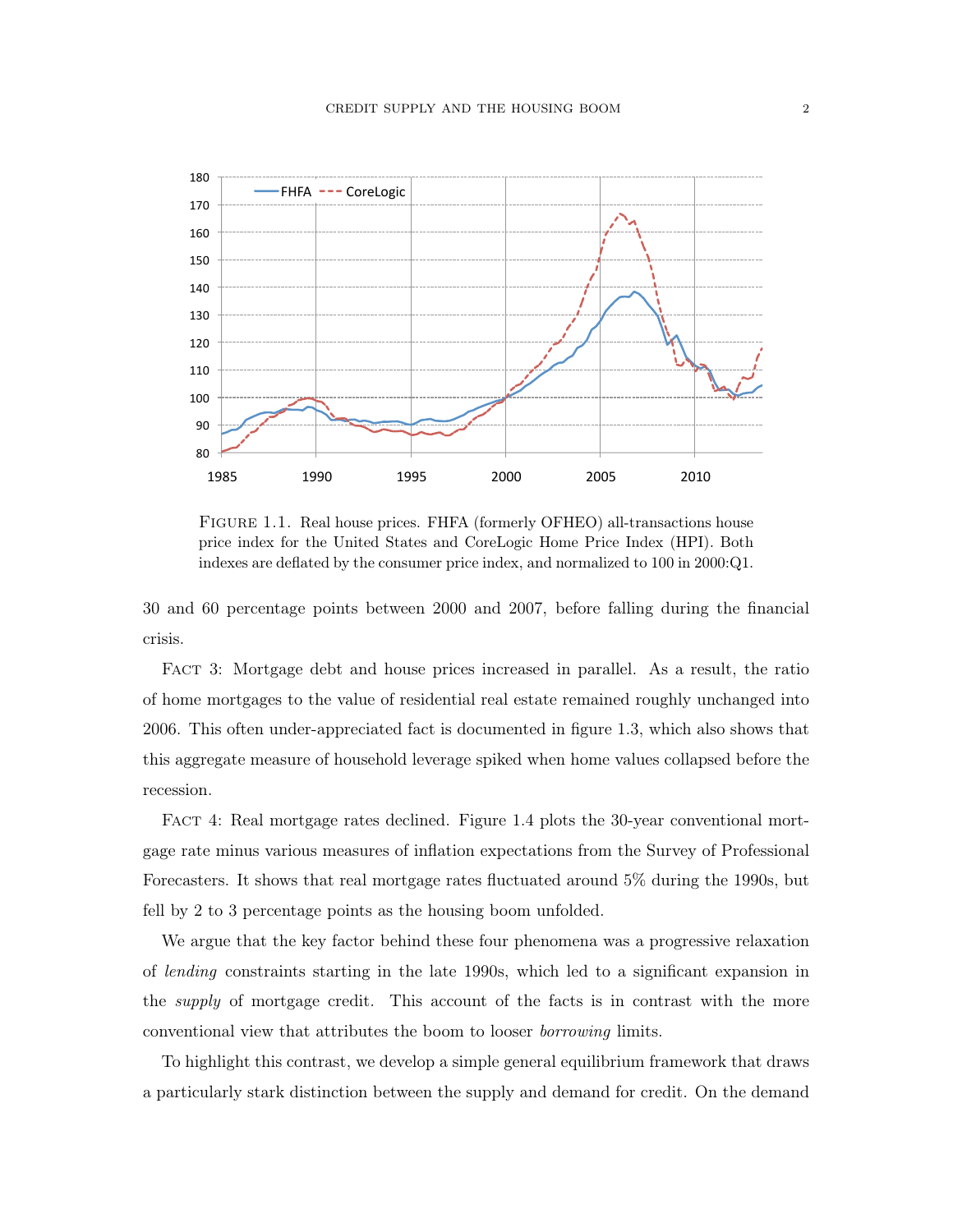

Figure 1.1. Real house prices. FHFA (formerly OFHEO) all-transactions house price index for the United States and CoreLogic Home Price Index (HPI). Both indexes are deflated by the consumer price index, and normalized to 100 in 2000:Q1.

30 and 60 percentage points between 2000 and 2007, before falling during the financial crisis.

Fact 3: Mortgage debt and house prices increased in parallel. As a result, the ratio of home mortgages to the value of residential real estate remained roughly unchanged into 2006. This often under-appreciated fact is documented in figure 1.3, which also shows that this aggregate measure of household leverage spiked when home values collapsed before the recession.

FACT 4: Real mortgage rates declined. Figure 1.4 plots the 30-year conventional mortgage rate minus various measures of inflation expectations from the Survey of Professional Forecasters. It shows that real mortgage rates fluctuated around 5% during the 1990s, but fell by 2 to 3 percentage points as the housing boom unfolded.

We argue that the key factor behind these four phenomena was a progressive relaxation of *lending* constraints starting in the late 1990s, which led to a significant expansion in the *supply* of mortgage credit. This account of the facts is in contrast with the more conventional view that attributes the boom to looser *borrowing* limits.

To highlight this contrast, we develop a simple general equilibrium framework that draws a particularly stark distinction between the supply and demand for credit. On the demand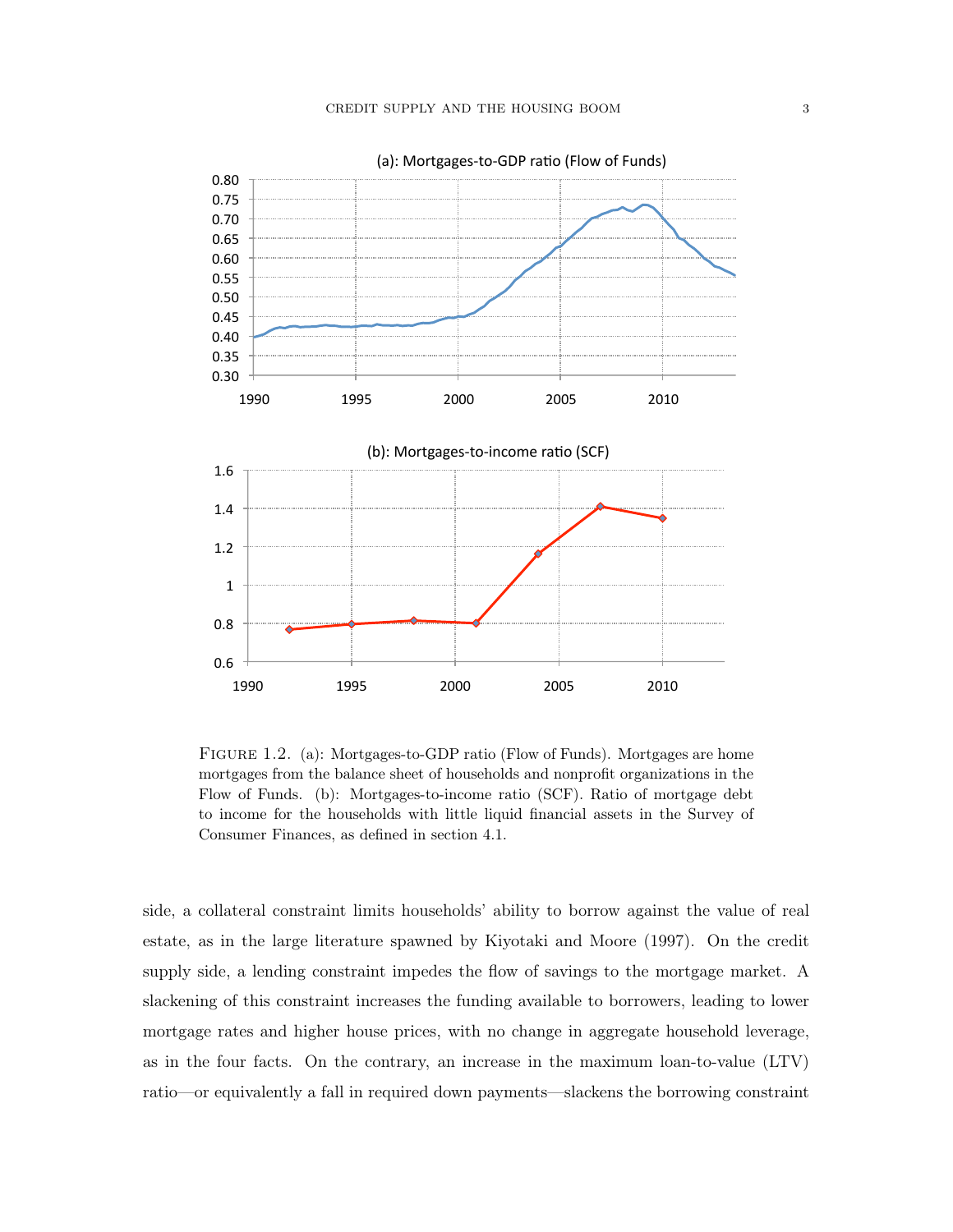

FIGURE 1.2. (a): Mortgages-to-GDP ratio (Flow of Funds). Mortgages are home mortgages from the balance sheet of households and nonprofit organizations in the Flow of Funds. (b): Mortgages-to-income ratio (SCF). Ratio of mortgage debt to income for the households with little liquid financial assets in the Survey of Consumer Finances, as defined in section 4.1.

side, a collateral constraint limits households' ability to borrow against the value of real estate, as in the large literature spawned by Kiyotaki and Moore (1997). On the credit supply side, a lending constraint impedes the flow of savings to the mortgage market. A slackening of this constraint increases the funding available to borrowers, leading to lower mortgage rates and higher house prices, with no change in aggregate household leverage, as in the four facts. On the contrary, an increase in the maximum loan-to-value (LTV) ratio—or equivalently a fall in required down payments—slackens the borrowing constraint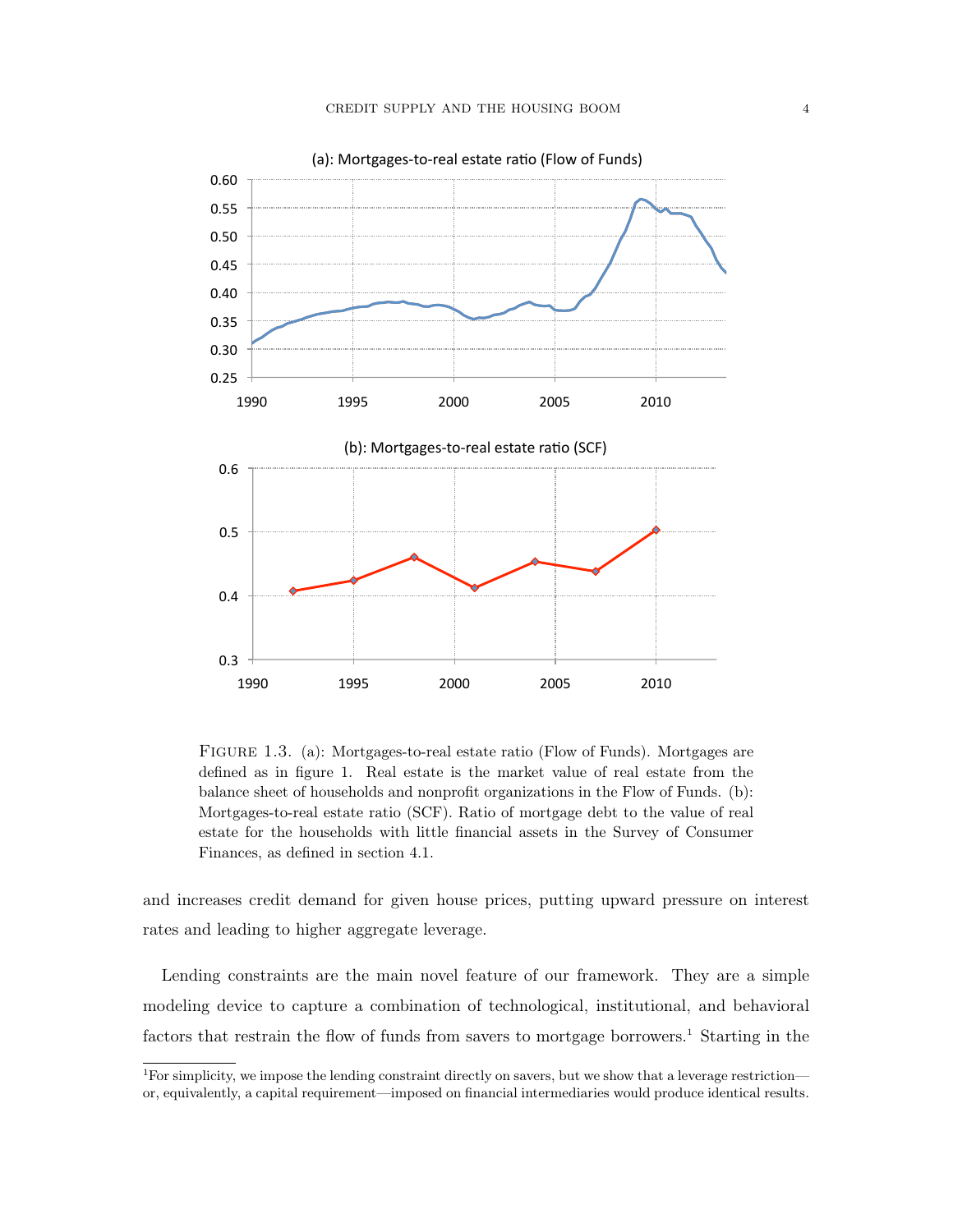

Figure 1.3. (a): Mortgages-to-real estate ratio (Flow of Funds). Mortgages are defined as in figure 1. Real estate is the market value of real estate from the balance sheet of households and nonprofit organizations in the Flow of Funds. (b): Mortgages-to-real estate ratio (SCF). Ratio of mortgage debt to the value of real estate for the households with little financial assets in the Survey of Consumer Finances, as defined in section 4.1.

and increases credit demand for given house prices, putting upward pressure on interest rates and leading to higher aggregate leverage.

Lending constraints are the main novel feature of our framework. They are a simple modeling device to capture a combination of technological, institutional, and behavioral factors that restrain the flow of funds from savers to mortgage borrowers.<sup>1</sup> Starting in the

<sup>1</sup>For simplicity, we impose the lending constraint directly on savers, but we show that a leverage restriction or, equivalently, a capital requirement—imposed on financial intermediaries would produce identical results*.*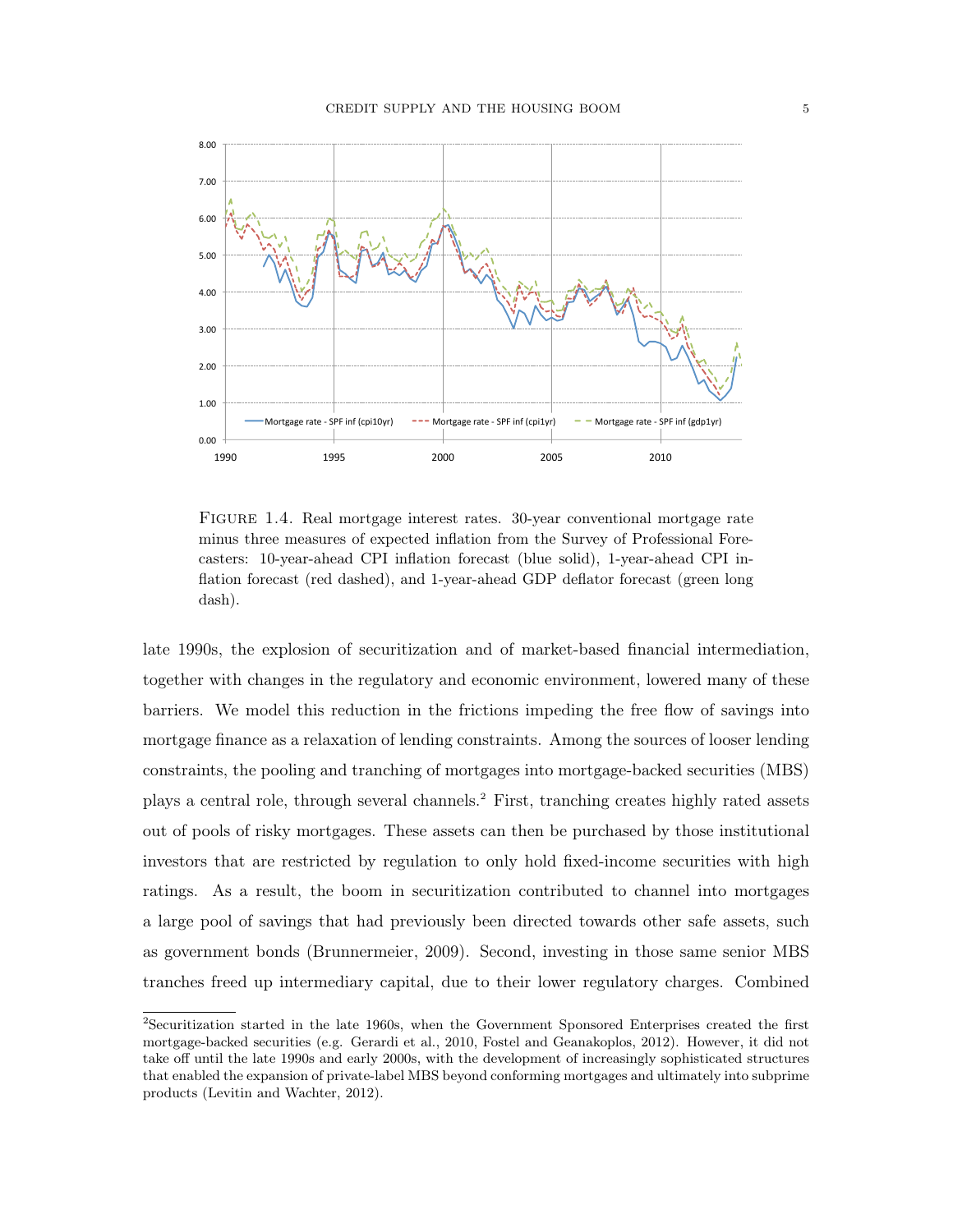

Figure 1.4. Real mortgage interest rates. 30-year conventional mortgage rate minus three measures of expected inflation from the Survey of Professional Forecasters: 10-year-ahead CPI inflation forecast (blue solid), 1-year-ahead CPI inflation forecast (red dashed), and 1-year-ahead GDP deflator forecast (green long dash).

late 1990s, the explosion of securitization and of market-based financial intermediation, together with changes in the regulatory and economic environment, lowered many of these barriers. We model this reduction in the frictions impeding the free flow of savings into mortgage finance as a relaxation of lending constraints. Among the sources of looser lending constraints, the pooling and tranching of mortgages into mortgage-backed securities (MBS) plays a central role, through several channels.<sup>2</sup> First, tranching creates highly rated assets out of pools of risky mortgages. These assets can then be purchased by those institutional investors that are restricted by regulation to only hold fixed-income securities with high ratings. As a result, the boom in securitization contributed to channel into mortgages a large pool of savings that had previously been directed towards other safe assets, such as government bonds (Brunnermeier, 2009). Second, investing in those same senior MBS tranches freed up intermediary capital, due to their lower regulatory charges. Combined

<sup>2</sup>Securitization started in the late 1960s, when the Government Sponsored Enterprises created the first mortgage-backed securities (e.g. Gerardi et al., 2010, Fostel and Geanakoplos, 2012). However, it did not take off until the late 1990s and early 2000s, with the development of increasingly sophisticated structures that enabled the expansion of private-label MBS beyond conforming mortgages and ultimately into subprime products (Levitin and Wachter, 2012).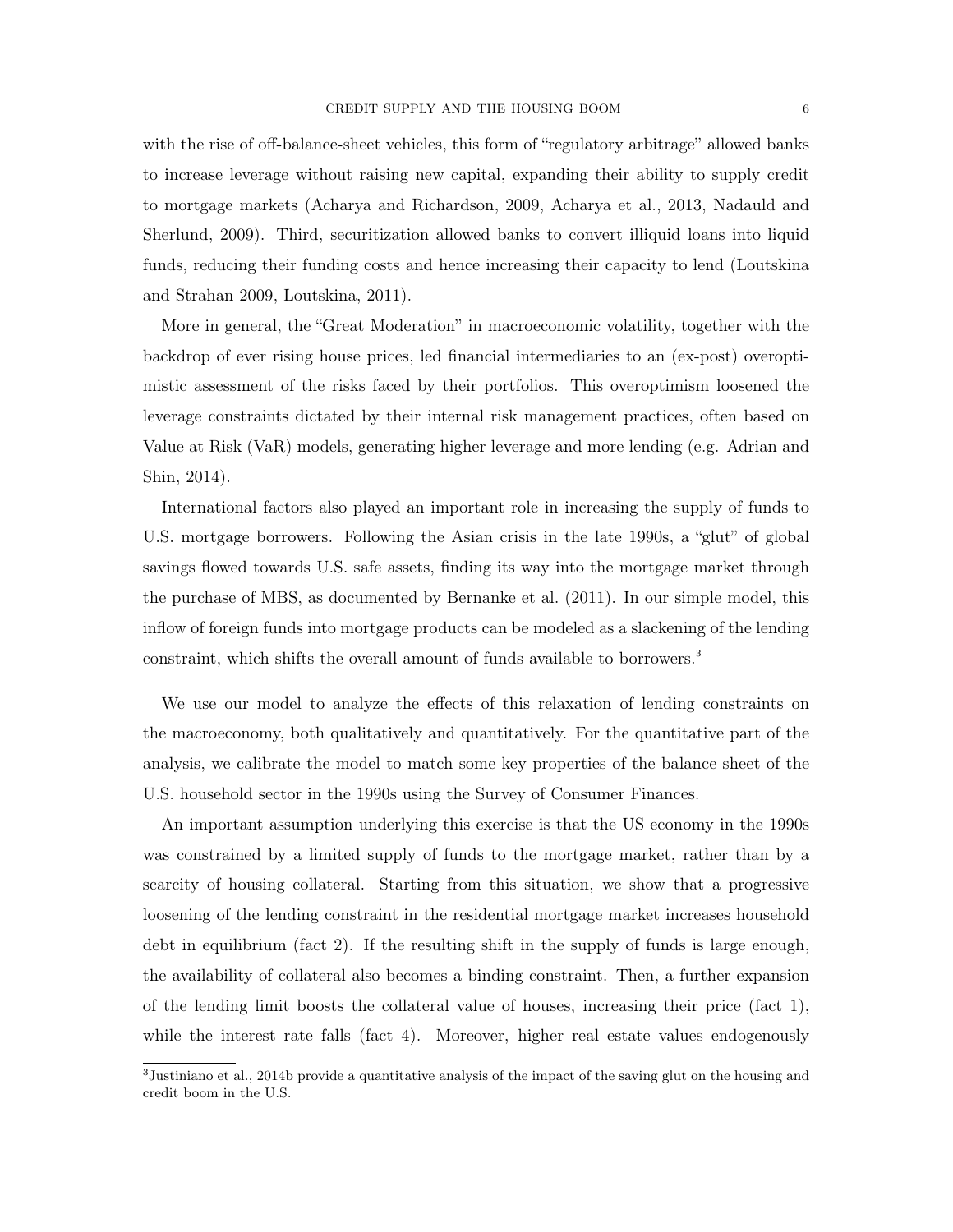with the rise of off-balance-sheet vehicles, this form of "regulatory arbitrage" allowed banks to increase leverage without raising new capital, expanding their ability to supply credit to mortgage markets (Acharya and Richardson, 2009, Acharya et al., 2013, Nadauld and Sherlund, 2009). Third, securitization allowed banks to convert illiquid loans into liquid funds, reducing their funding costs and hence increasing their capacity to lend (Loutskina and Strahan 2009, Loutskina, 2011).

More in general, the "Great Moderation" in macroeconomic volatility, together with the backdrop of ever rising house prices, led financial intermediaries to an (ex-post) overoptimistic assessment of the risks faced by their portfolios. This overoptimism loosened the leverage constraints dictated by their internal risk management practices, often based on Value at Risk (VaR) models, generating higher leverage and more lending (e.g. Adrian and Shin, 2014).

International factors also played an important role in increasing the supply of funds to U.S. mortgage borrowers. Following the Asian crisis in the late 1990s, a "glut" of global savings flowed towards U.S. safe assets, finding its way into the mortgage market through the purchase of MBS, as documented by Bernanke et al. (2011). In our simple model, this inflow of foreign funds into mortgage products can be modeled as a slackening of the lending constraint, which shifts the overall amount of funds available to borrowers.<sup>3</sup>

We use our model to analyze the effects of this relaxation of lending constraints on the macroeconomy, both qualitatively and quantitatively. For the quantitative part of the analysis, we calibrate the model to match some key properties of the balance sheet of the U.S. household sector in the 1990s using the Survey of Consumer Finances.

An important assumption underlying this exercise is that the US economy in the 1990s was constrained by a limited supply of funds to the mortgage market, rather than by a scarcity of housing collateral. Starting from this situation, we show that a progressive loosening of the lending constraint in the residential mortgage market increases household debt in equilibrium (fact 2). If the resulting shift in the supply of funds is large enough, the availability of collateral also becomes a binding constraint. Then, a further expansion of the lending limit boosts the collateral value of houses, increasing their price (fact 1), while the interest rate falls (fact 4). Moreover, higher real estate values endogenously

<sup>3</sup>Justiniano et al., 2014b provide a quantitative analysis of the impact of the saving glut on the housing and credit boom in the U.S.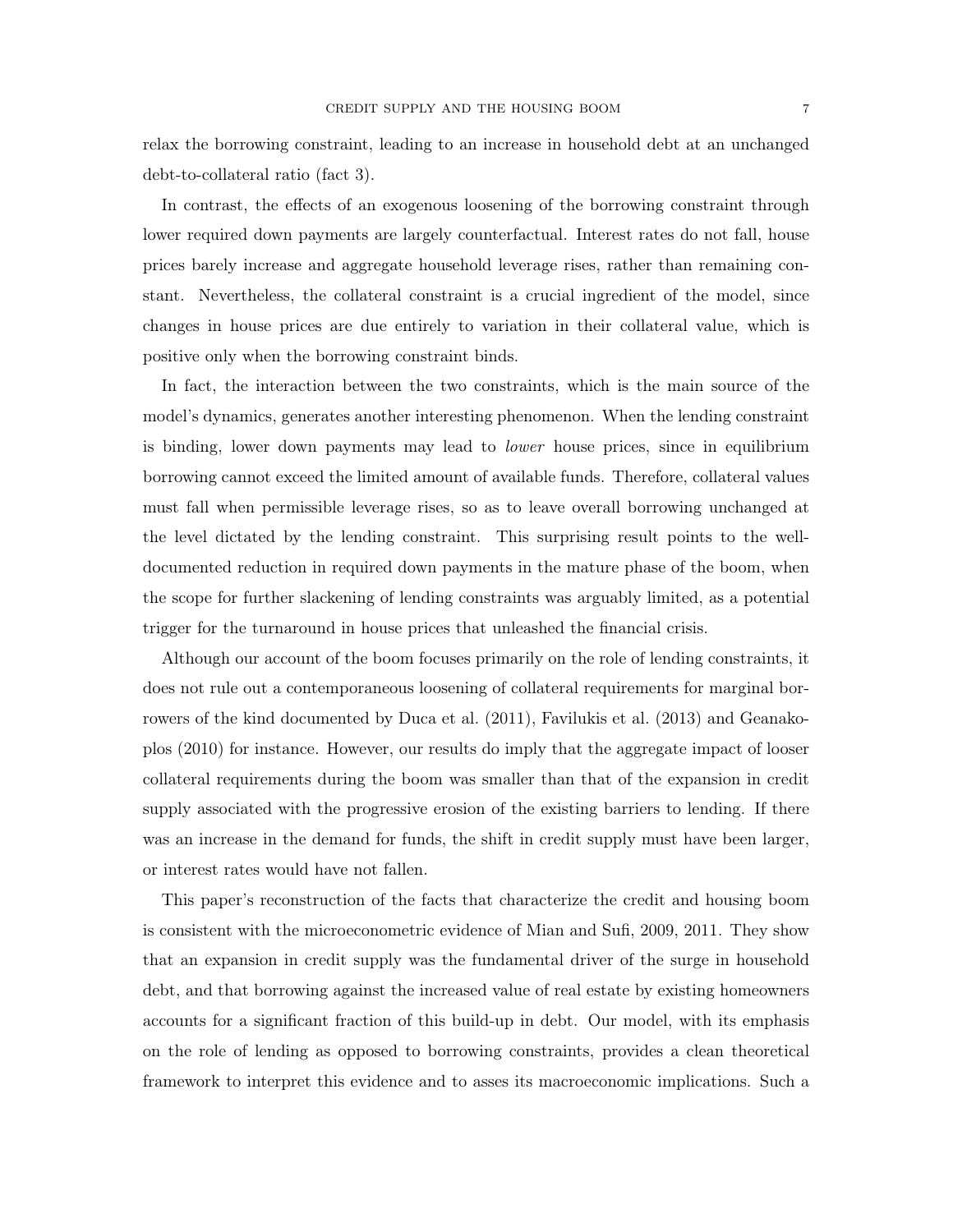relax the borrowing constraint, leading to an increase in household debt at an unchanged debt-to-collateral ratio (fact 3).

In contrast, the effects of an exogenous loosening of the borrowing constraint through lower required down payments are largely counterfactual. Interest rates do not fall, house prices barely increase and aggregate household leverage rises, rather than remaining constant. Nevertheless, the collateral constraint is a crucial ingredient of the model, since changes in house prices are due entirely to variation in their collateral value, which is positive only when the borrowing constraint binds.

In fact, the interaction between the two constraints, which is the main source of the model's dynamics, generates another interesting phenomenon. When the lending constraint is binding, lower down payments may lead to *lower* house prices, since in equilibrium borrowing cannot exceed the limited amount of available funds. Therefore, collateral values must fall when permissible leverage rises, so as to leave overall borrowing unchanged at the level dictated by the lending constraint. This surprising result points to the welldocumented reduction in required down payments in the mature phase of the boom, when the scope for further slackening of lending constraints was arguably limited, as a potential trigger for the turnaround in house prices that unleashed the financial crisis.

Although our account of the boom focuses primarily on the role of lending constraints, it does not rule out a contemporaneous loosening of collateral requirements for marginal borrowers of the kind documented by Duca et al. (2011), Favilukis et al. (2013) and Geanakoplos (2010) for instance. However, our results do imply that the aggregate impact of looser collateral requirements during the boom was smaller than that of the expansion in credit supply associated with the progressive erosion of the existing barriers to lending. If there was an increase in the demand for funds, the shift in credit supply must have been larger, or interest rates would have not fallen.

This paper's reconstruction of the facts that characterize the credit and housing boom is consistent with the microeconometric evidence of Mian and Sufi, 2009, 2011. They show that an expansion in credit supply was the fundamental driver of the surge in household debt, and that borrowing against the increased value of real estate by existing homeowners accounts for a significant fraction of this build-up in debt. Our model, with its emphasis on the role of lending as opposed to borrowing constraints, provides a clean theoretical framework to interpret this evidence and to asses its macroeconomic implications. Such a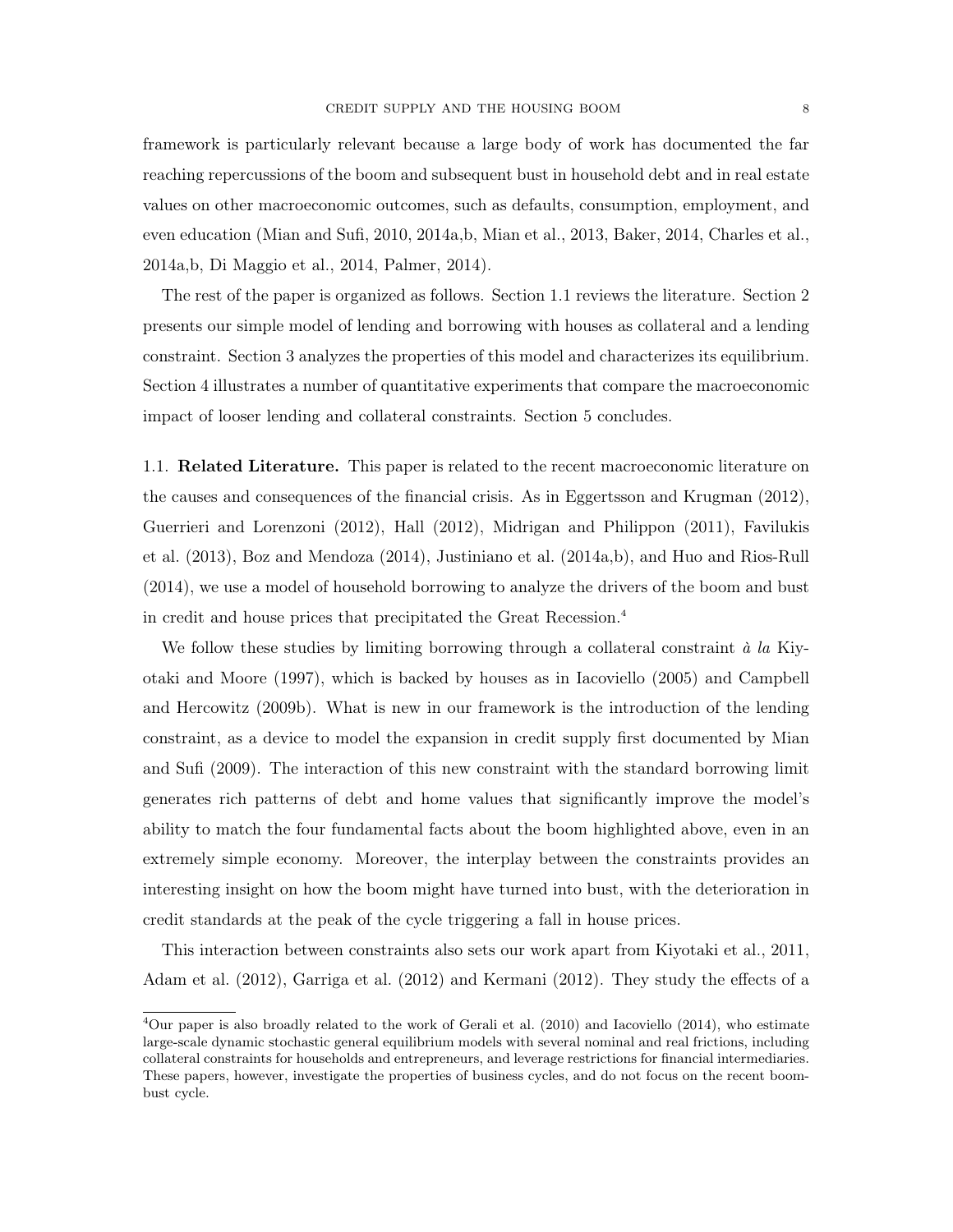framework is particularly relevant because a large body of work has documented the far reaching repercussions of the boom and subsequent bust in household debt and in real estate values on other macroeconomic outcomes, such as defaults, consumption, employment, and even education (Mian and Sufi, 2010, 2014a,b, Mian et al., 2013, Baker, 2014, Charles et al., 2014a,b, Di Maggio et al., 2014, Palmer, 2014).

The rest of the paper is organized as follows. Section 1.1 reviews the literature. Section 2 presents our simple model of lending and borrowing with houses as collateral and a lending constraint. Section 3 analyzes the properties of this model and characterizes its equilibrium. Section 4 illustrates a number of quantitative experiments that compare the macroeconomic impact of looser lending and collateral constraints. Section 5 concludes.

1.1. Related Literature. This paper is related to the recent macroeconomic literature on the causes and consequences of the financial crisis. As in Eggertsson and Krugman (2012), Guerrieri and Lorenzoni (2012), Hall (2012), Midrigan and Philippon (2011), Favilukis et al. (2013), Boz and Mendoza (2014), Justiniano et al. (2014a,b), and Huo and Rios-Rull (2014), we use a model of household borrowing to analyze the drivers of the boom and bust in credit and house prices that precipitated the Great Recession.<sup>4</sup>

We follow these studies by limiting borrowing through a collateral constraint *à la* Kiyotaki and Moore (1997), which is backed by houses as in Iacoviello (2005) and Campbell and Hercowitz (2009b). What is new in our framework is the introduction of the lending constraint, as a device to model the expansion in credit supply first documented by Mian and Sufi (2009). The interaction of this new constraint with the standard borrowing limit generates rich patterns of debt and home values that significantly improve the model's ability to match the four fundamental facts about the boom highlighted above, even in an extremely simple economy. Moreover, the interplay between the constraints provides an interesting insight on how the boom might have turned into bust, with the deterioration in credit standards at the peak of the cycle triggering a fall in house prices.

This interaction between constraints also sets our work apart from Kiyotaki et al., 2011, Adam et al. (2012), Garriga et al. (2012) and Kermani (2012). They study the effects of a

 $40$ ur paper is also broadly related to the work of Gerali et al. (2010) and Iacoviello (2014), who estimate large-scale dynamic stochastic general equilibrium models with several nominal and real frictions, including collateral constraints for households and entrepreneurs, and leverage restrictions for financial intermediaries. These papers, however, investigate the properties of business cycles, and do not focus on the recent boombust cycle.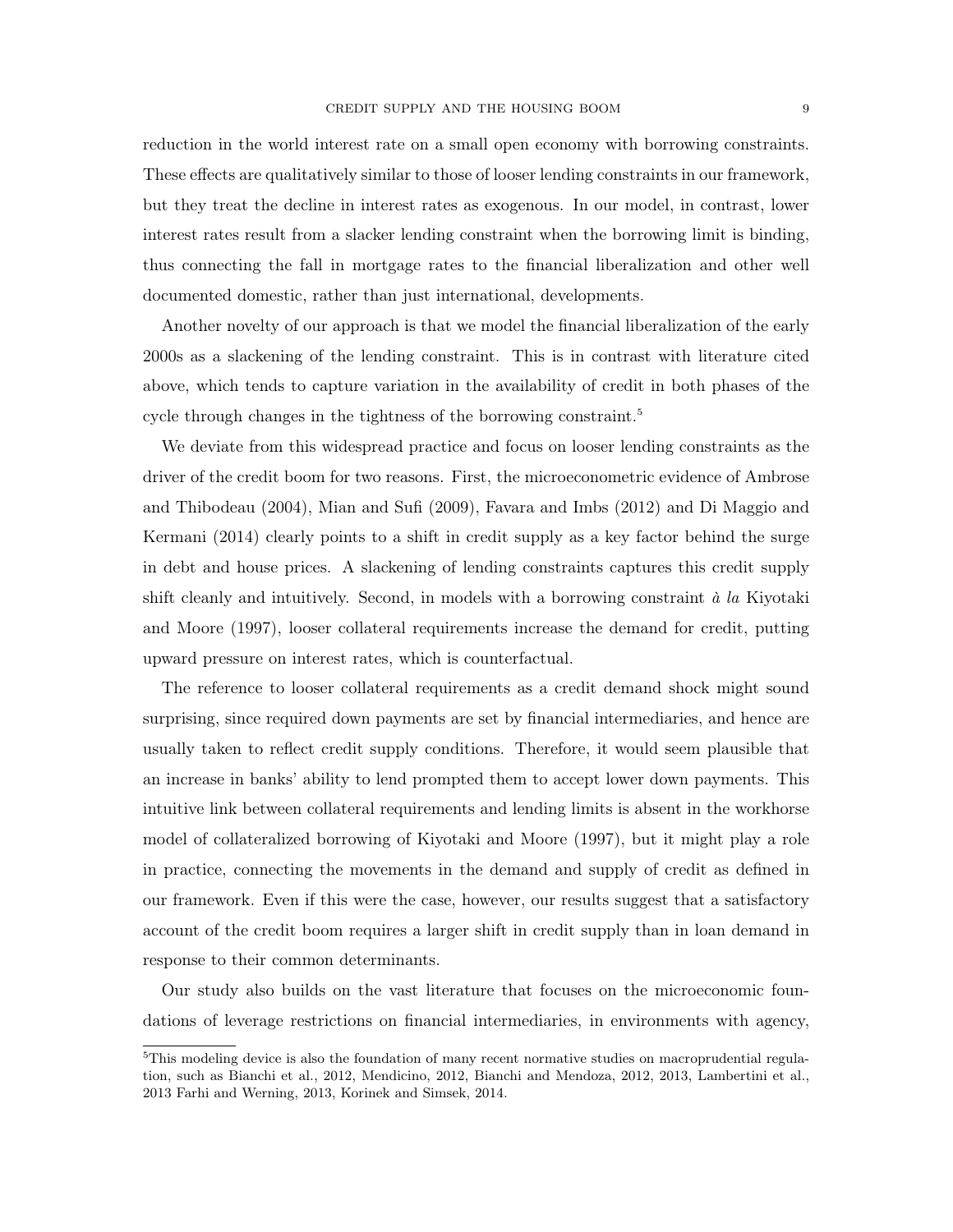reduction in the world interest rate on a small open economy with borrowing constraints. These effects are qualitatively similar to those of looser lending constraints in our framework, but they treat the decline in interest rates as exogenous. In our model, in contrast, lower interest rates result from a slacker lending constraint when the borrowing limit is binding, thus connecting the fall in mortgage rates to the financial liberalization and other well documented domestic, rather than just international, developments.

Another novelty of our approach is that we model the financial liberalization of the early 2000s as a slackening of the lending constraint. This is in contrast with literature cited above, which tends to capture variation in the availability of credit in both phases of the cycle through changes in the tightness of the borrowing constraint.<sup>5</sup>

We deviate from this widespread practice and focus on looser lending constraints as the driver of the credit boom for two reasons. First, the microeconometric evidence of Ambrose and Thibodeau (2004), Mian and Sufi (2009), Favara and Imbs (2012) and Di Maggio and Kermani (2014) clearly points to a shift in credit supply as a key factor behind the surge in debt and house prices. A slackening of lending constraints captures this credit supply shift cleanly and intuitively. Second, in models with a borrowing constraint *à la* Kiyotaki and Moore (1997), looser collateral requirements increase the demand for credit, putting upward pressure on interest rates, which is counterfactual.

The reference to looser collateral requirements as a credit demand shock might sound surprising, since required down payments are set by financial intermediaries, and hence are usually taken to reflect credit supply conditions. Therefore, it would seem plausible that an increase in banks' ability to lend prompted them to accept lower down payments. This intuitive link between collateral requirements and lending limits is absent in the workhorse model of collateralized borrowing of Kiyotaki and Moore (1997), but it might play a role in practice, connecting the movements in the demand and supply of credit as defined in our framework. Even if this were the case, however, our results suggest that a satisfactory account of the credit boom requires a larger shift in credit supply than in loan demand in response to their common determinants.

Our study also builds on the vast literature that focuses on the microeconomic foundations of leverage restrictions on financial intermediaries, in environments with agency,

<sup>5</sup>This modeling device is also the foundation of many recent normative studies on macroprudential regulation, such as Bianchi et al., 2012, Mendicino, 2012, Bianchi and Mendoza, 2012, 2013, Lambertini et al., 2013 Farhi and Werning, 2013, Korinek and Simsek, 2014.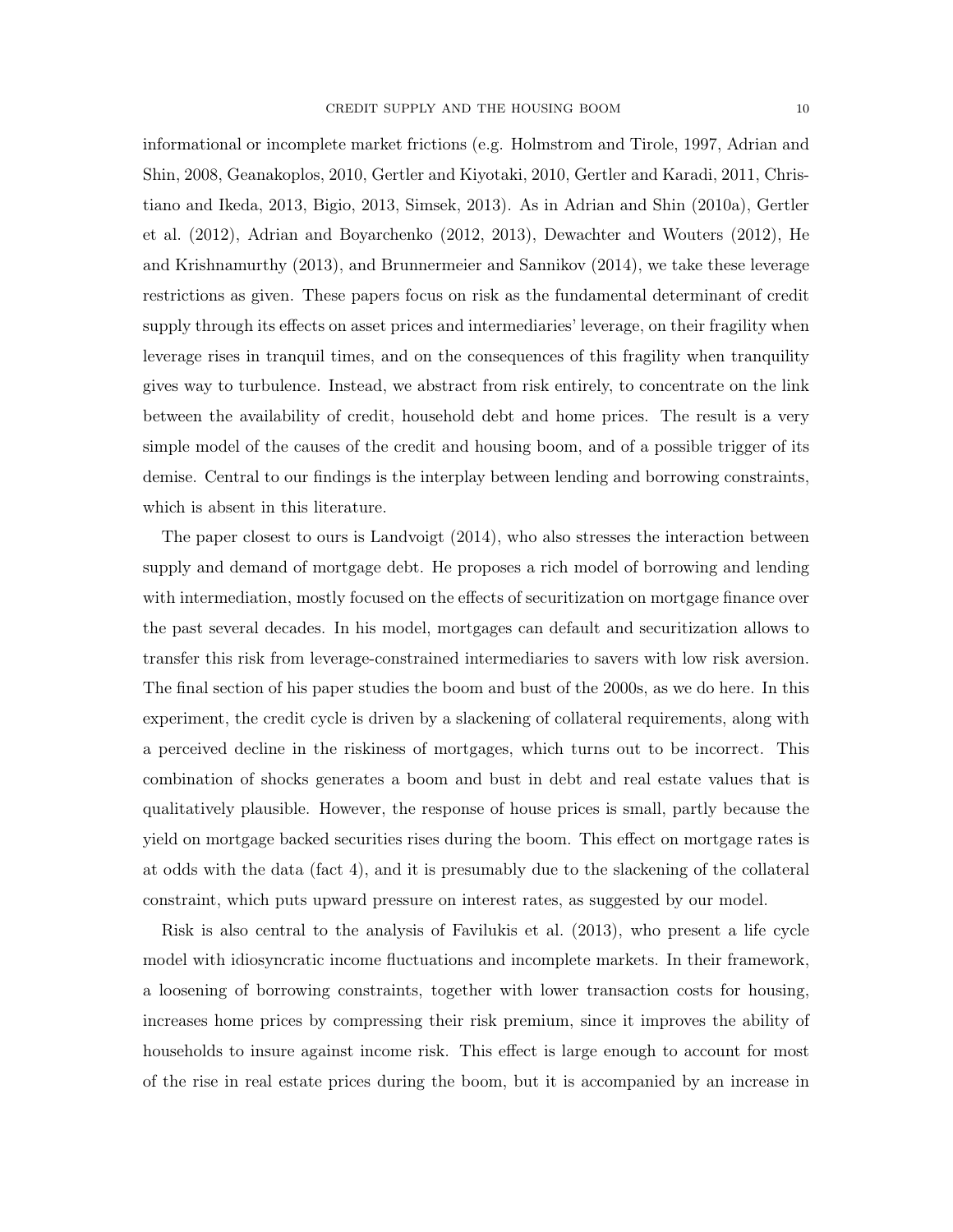informational or incomplete market frictions (e.g. Holmstrom and Tirole, 1997, Adrian and Shin, 2008, Geanakoplos, 2010, Gertler and Kiyotaki, 2010, Gertler and Karadi, 2011, Christiano and Ikeda, 2013, Bigio, 2013, Simsek, 2013). As in Adrian and Shin (2010a), Gertler et al. (2012), Adrian and Boyarchenko (2012, 2013), Dewachter and Wouters (2012), He and Krishnamurthy (2013), and Brunnermeier and Sannikov (2014), we take these leverage restrictions as given. These papers focus on risk as the fundamental determinant of credit supply through its effects on asset prices and intermediaries' leverage, on their fragility when leverage rises in tranquil times, and on the consequences of this fragility when tranquility gives way to turbulence. Instead, we abstract from risk entirely, to concentrate on the link between the availability of credit, household debt and home prices. The result is a very simple model of the causes of the credit and housing boom, and of a possible trigger of its demise. Central to our findings is the interplay between lending and borrowing constraints, which is absent in this literature.

The paper closest to ours is Landvoigt (2014), who also stresses the interaction between supply and demand of mortgage debt. He proposes a rich model of borrowing and lending with intermediation, mostly focused on the effects of securitization on mortgage finance over the past several decades. In his model, mortgages can default and securitization allows to transfer this risk from leverage-constrained intermediaries to savers with low risk aversion. The final section of his paper studies the boom and bust of the 2000s, as we do here. In this experiment, the credit cycle is driven by a slackening of collateral requirements, along with a perceived decline in the riskiness of mortgages, which turns out to be incorrect. This combination of shocks generates a boom and bust in debt and real estate values that is qualitatively plausible. However, the response of house prices is small, partly because the yield on mortgage backed securities rises during the boom. This effect on mortgage rates is at odds with the data (fact 4), and it is presumably due to the slackening of the collateral constraint, which puts upward pressure on interest rates, as suggested by our model.

Risk is also central to the analysis of Favilukis et al. (2013), who present a life cycle model with idiosyncratic income fluctuations and incomplete markets. In their framework, a loosening of borrowing constraints, together with lower transaction costs for housing, increases home prices by compressing their risk premium, since it improves the ability of households to insure against income risk. This effect is large enough to account for most of the rise in real estate prices during the boom, but it is accompanied by an increase in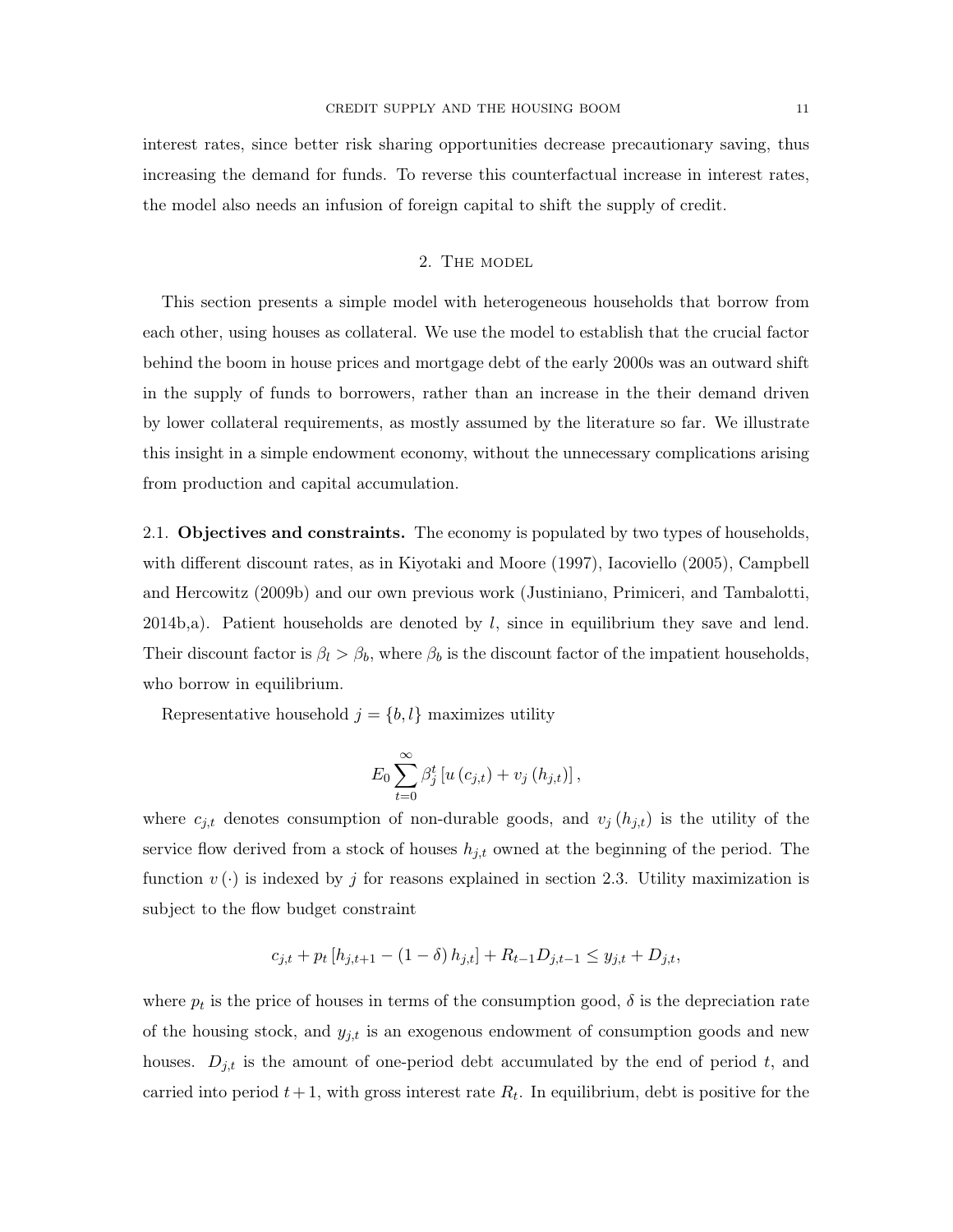interest rates, since better risk sharing opportunities decrease precautionary saving, thus increasing the demand for funds. To reverse this counterfactual increase in interest rates, the model also needs an infusion of foreign capital to shift the supply of credit.

## 2. The model

This section presents a simple model with heterogeneous households that borrow from each other, using houses as collateral. We use the model to establish that the crucial factor behind the boom in house prices and mortgage debt of the early 2000s was an outward shift in the supply of funds to borrowers, rather than an increase in the their demand driven by lower collateral requirements, as mostly assumed by the literature so far. We illustrate this insight in a simple endowment economy, without the unnecessary complications arising from production and capital accumulation.

2.1. Objectives and constraints. The economy is populated by two types of households, with different discount rates, as in Kiyotaki and Moore (1997), Iacoviello (2005), Campbell and Hercowitz (2009b) and our own previous work (Justiniano, Primiceri, and Tambalotti, 2014b,a). Patient households are denoted by *l*, since in equilibrium they save and lend. Their discount factor is  $\beta_l > \beta_b$ , where  $\beta_b$  is the discount factor of the impatient households, who borrow in equilibrium.

Representative household  $j = \{b, l\}$  maximizes utility

$$
E_0 \sum_{t=0}^{\infty} \beta_j^t \left[ u\left(c_{j,t}\right) + v_j\left(h_{j,t}\right) \right],
$$

where  $c_{j,t}$  denotes consumption of non-durable goods, and  $v_j(h_{j,t})$  is the utility of the service flow derived from a stock of houses *hj,t* owned at the beginning of the period. The function  $v(\cdot)$  is indexed by *j* for reasons explained in section 2.3. Utility maximization is subject to the flow budget constraint

$$
c_{j,t} + p_t [h_{j,t+1} - (1 - \delta) h_{j,t}] + R_{t-1} D_{j,t-1} \le y_{j,t} + D_{j,t},
$$

where  $p_t$  is the price of houses in terms of the consumption good,  $\delta$  is the depreciation rate of the housing stock, and *yj,t* is an exogenous endowment of consumption goods and new houses.  $D_{j,t}$  is the amount of one-period debt accumulated by the end of period  $t$ , and carried into period  $t + 1$ , with gross interest rate  $R_t$ . In equilibrium, debt is positive for the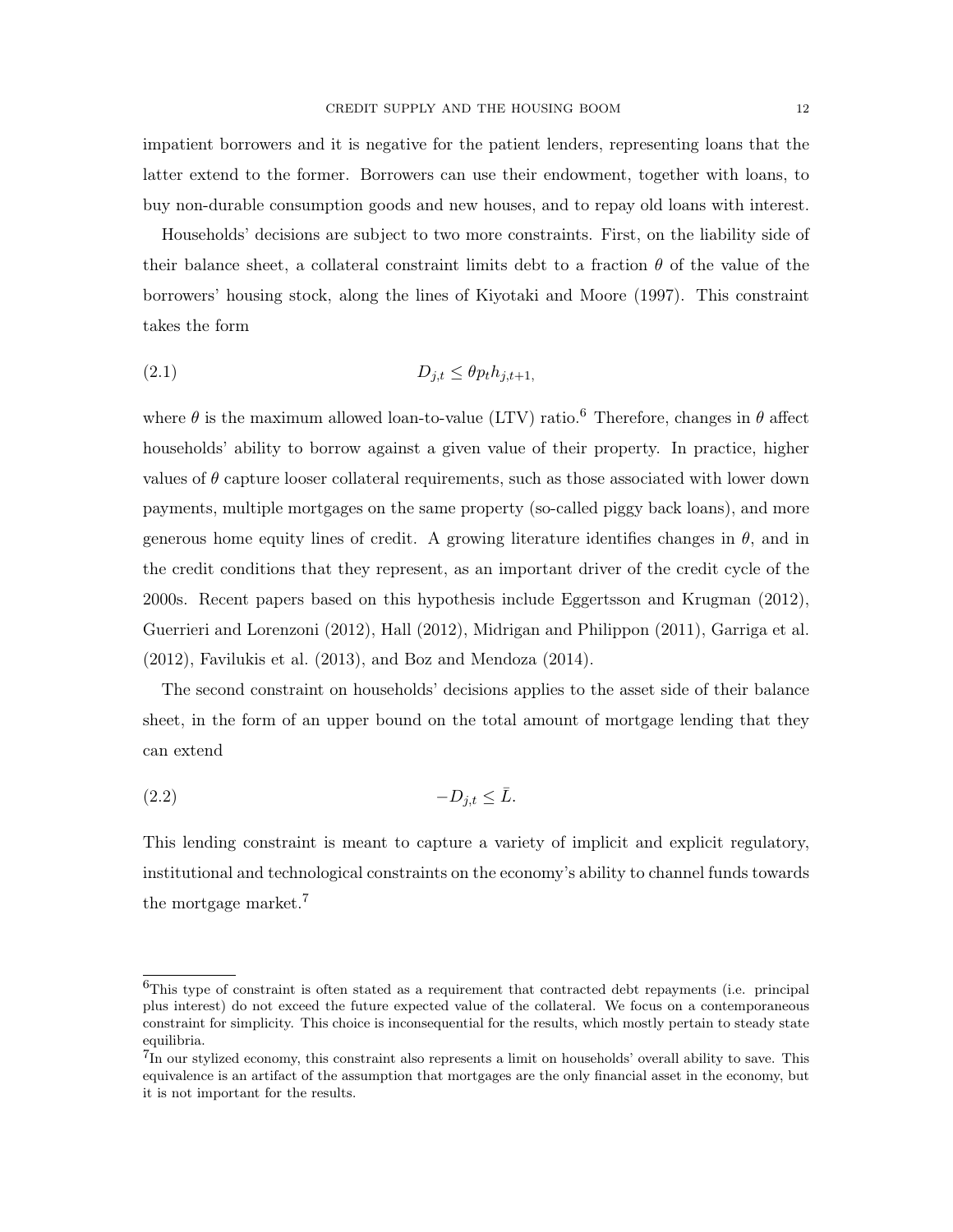impatient borrowers and it is negative for the patient lenders, representing loans that the latter extend to the former. Borrowers can use their endowment, together with loans, to buy non-durable consumption goods and new houses, and to repay old loans with interest.

Households' decisions are subject to two more constraints. First, on the liability side of their balance sheet, a collateral constraint limits debt to a fraction  $\theta$  of the value of the borrowers' housing stock, along the lines of Kiyotaki and Moore (1997). This constraint takes the form

$$
(2.1) \t\t D_{j,t} \leq \theta p_t h_{j,t+1},
$$

where  $\theta$  is the maximum allowed loan-to-value (LTV) ratio.<sup>6</sup> Therefore, changes in  $\theta$  affect households' ability to borrow against a given value of their property. In practice, higher values of  $\theta$  capture looser collateral requirements, such as those associated with lower down payments, multiple mortgages on the same property (so-called piggy back loans), and more generous home equity lines of credit. A growing literature identifies changes in  $\theta$ , and in the credit conditions that they represent, as an important driver of the credit cycle of the 2000s. Recent papers based on this hypothesis include Eggertsson and Krugman (2012), Guerrieri and Lorenzoni (2012), Hall (2012), Midrigan and Philippon (2011), Garriga et al. (2012), Favilukis et al. (2013), and Boz and Mendoza (2014).

The second constraint on households' decisions applies to the asset side of their balance sheet, in the form of an upper bound on the total amount of mortgage lending that they can extend

$$
(2.2) \t-D_{j,t} \leq \bar{L}.
$$

This lending constraint is meant to capture a variety of implicit and explicit regulatory, institutional and technological constraints on the economy's ability to channel funds towards the mortgage market.<sup>7</sup>

 ${}^{6}$ This type of constraint is often stated as a requirement that contracted debt repayments (i.e. principal plus interest) do not exceed the future expected value of the collateral. We focus on a contemporaneous constraint for simplicity. This choice is inconsequential for the results, which mostly pertain to steady state equilibria.

<sup>7</sup>In our stylized economy, this constraint also represents a limit on households' overall ability to save. This equivalence is an artifact of the assumption that mortgages are the only financial asset in the economy, but it is not important for the results.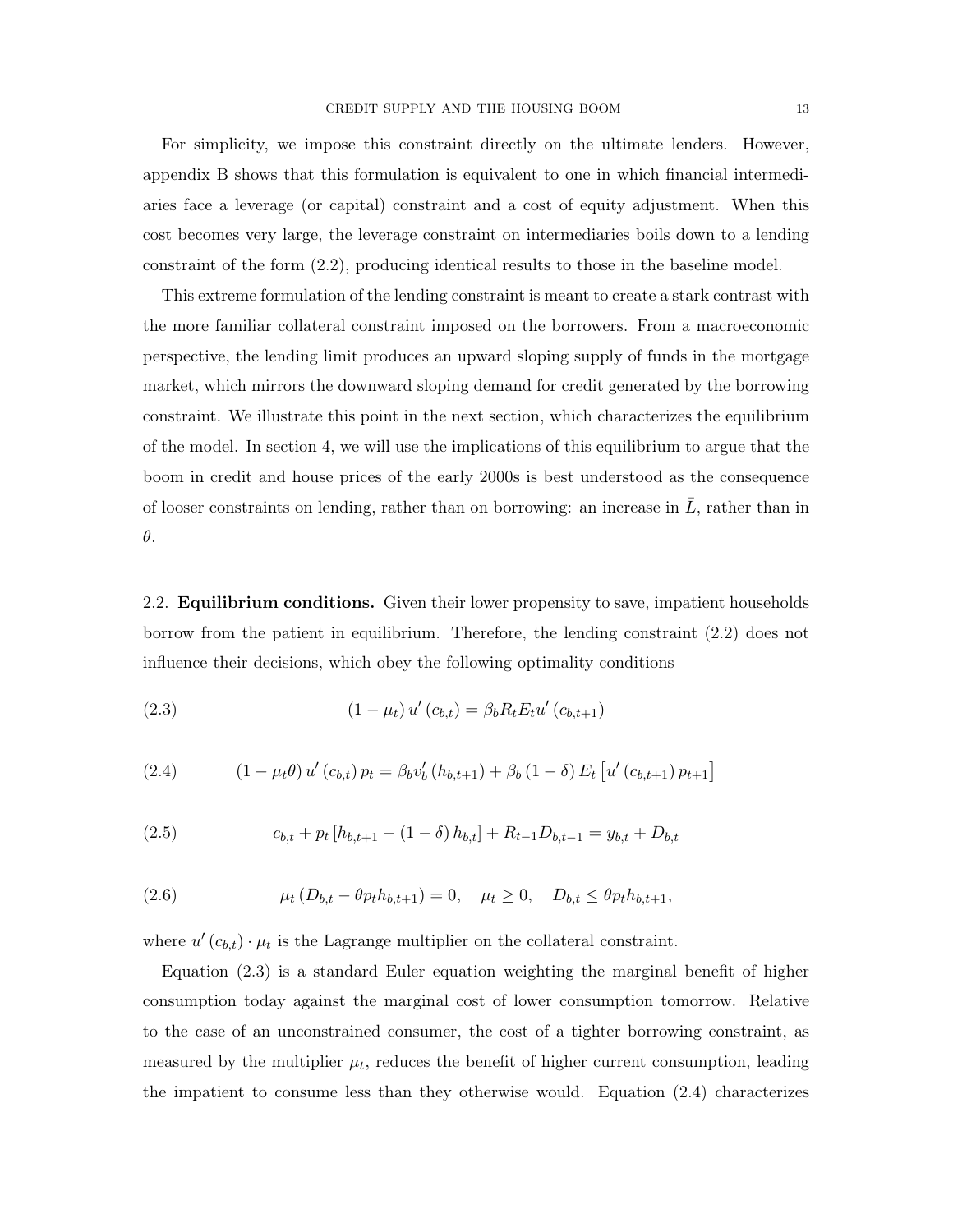For simplicity, we impose this constraint directly on the ultimate lenders. However, appendix B shows that this formulation is equivalent to one in which financial intermediaries face a leverage (or capital) constraint and a cost of equity adjustment. When this cost becomes very large, the leverage constraint on intermediaries boils down to a lending constraint of the form (2.2), producing identical results to those in the baseline model.

This extreme formulation of the lending constraint is meant to create a stark contrast with the more familiar collateral constraint imposed on the borrowers. From a macroeconomic perspective, the lending limit produces an upward sloping supply of funds in the mortgage market, which mirrors the downward sloping demand for credit generated by the borrowing constraint. We illustrate this point in the next section, which characterizes the equilibrium of the model. In section 4, we will use the implications of this equilibrium to argue that the boom in credit and house prices of the early 2000s is best understood as the consequence of looser constraints on lending, rather than on borrowing: an increase in L, rather than in  $\theta$ .

2.2. **Equilibrium conditions.** Given their lower propensity to save, impatient households borrow from the patient in equilibrium. Therefore, the lending constraint (2.2) does not influence their decisions, which obey the following optimality conditions

(2.3) 
$$
(1 - \mu_t) u'(c_{b,t}) = \beta_b R_t E_t u'(c_{b,t+1})
$$

(2.4) 
$$
(1 - \mu_t \theta) u'(c_{b,t}) p_t = \beta_b v'_b (h_{b,t+1}) + \beta_b (1 - \delta) E_t [u'(c_{b,t+1}) p_{t+1}]
$$

(2.5) 
$$
c_{b,t} + p_t [h_{b,t+1} - (1 - \delta) h_{b,t}] + R_{t-1} D_{b,t-1} = y_{b,t} + D_{b,t}
$$

(2.6) 
$$
\mu_t (D_{b,t} - \theta p_t h_{b,t+1}) = 0, \quad \mu_t \geq 0, \quad D_{b,t} \leq \theta p_t h_{b,t+1},
$$

where  $u'(c_{b,t}) \cdot \mu_t$  is the Lagrange multiplier on the collateral constraint.

Equation (2.3) is a standard Euler equation weighting the marginal benefit of higher consumption today against the marginal cost of lower consumption tomorrow. Relative to the case of an unconstrained consumer, the cost of a tighter borrowing constraint, as measured by the multiplier  $\mu_t$ , reduces the benefit of higher current consumption, leading the impatient to consume less than they otherwise would. Equation (2.4) characterizes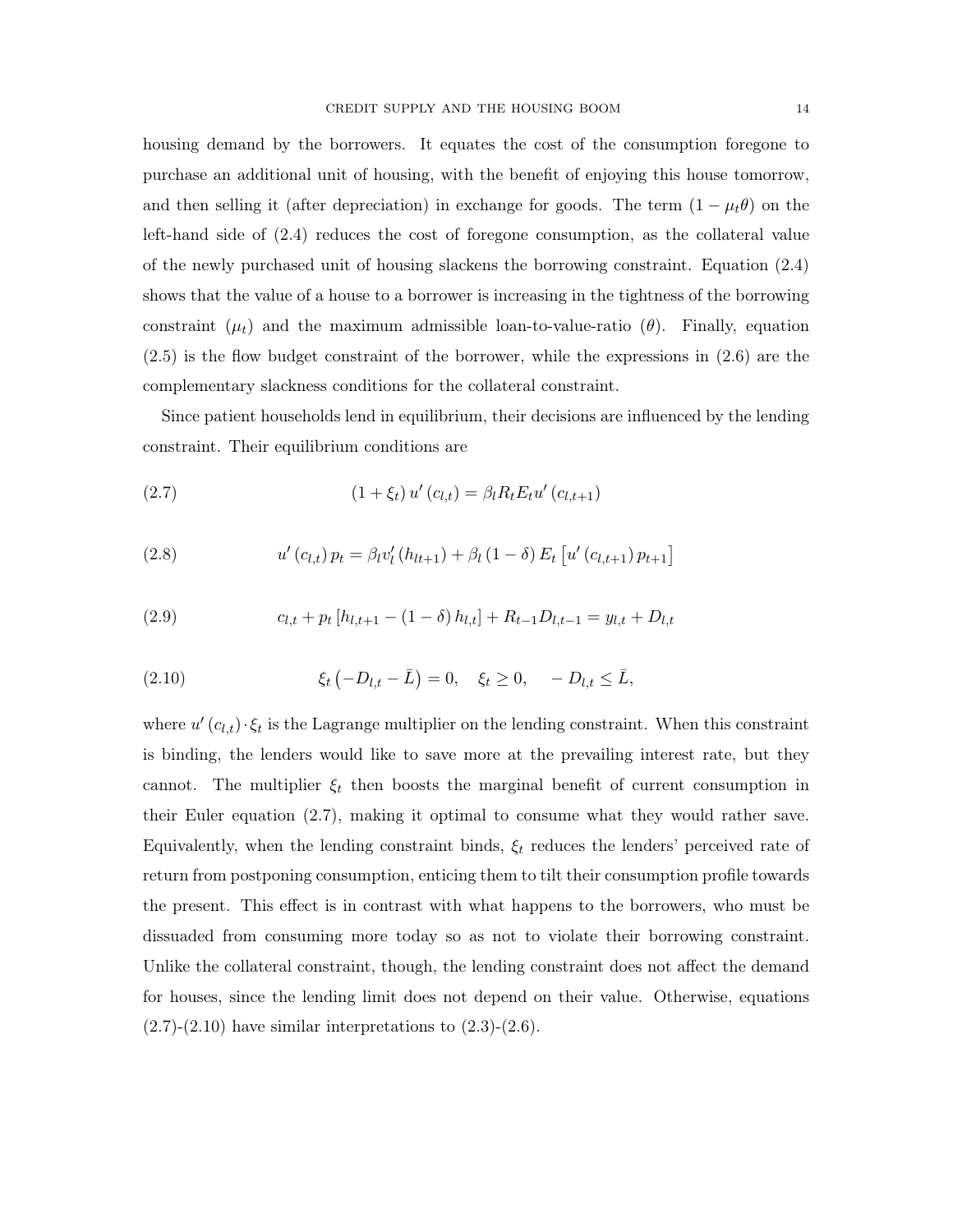housing demand by the borrowers. It equates the cost of the consumption foregone to purchase an additional unit of housing, with the benefit of enjoying this house tomorrow, and then selling it (after depreciation) in exchange for goods. The term  $(1 - \mu_t \theta)$  on the left-hand side of (2.4) reduces the cost of foregone consumption, as the collateral value of the newly purchased unit of housing slackens the borrowing constraint. Equation (2.4) shows that the value of a house to a borrower is increasing in the tightness of the borrowing constraint  $(\mu_t)$  and the maximum admissible loan-to-value-ratio  $(\theta)$ . Finally, equation (2.5) is the flow budget constraint of the borrower, while the expressions in (2.6) are the complementary slackness conditions for the collateral constraint.

Since patient households lend in equilibrium, their decisions are influenced by the lending constraint. Their equilibrium conditions are

(2.7) 
$$
(1 + \xi_t) u'(c_{l,t}) = \beta_l R_t E_t u'(c_{l,t+1})
$$

(2.8) 
$$
u'(c_{l,t}) p_t = \beta_l v'_l (h_{lt+1}) + \beta_l (1-\delta) E_t [u'(c_{l,t+1}) p_{t+1}]
$$

(2.9) 
$$
c_{l,t} + p_t [h_{l,t+1} - (1 - \delta) h_{l,t}] + R_{t-1} D_{l,t-1} = y_{l,t} + D_{l,t}
$$

(2.10) 
$$
\xi_t \left( -D_{l,t} - \bar{L} \right) = 0, \quad \xi_t \geq 0, \quad -D_{l,t} \leq \bar{L},
$$

where  $u'(c_{l,t}) \cdot \xi_t$  is the Lagrange multiplier on the lending constraint. When this constraint is binding, the lenders would like to save more at the prevailing interest rate, but they cannot. The multiplier  $\xi_t$  then boosts the marginal benefit of current consumption in their Euler equation (2.7), making it optimal to consume what they would rather save. Equivalently, when the lending constraint binds,  $\xi_t$  reduces the lenders' perceived rate of return from postponing consumption, enticing them to tilt their consumption profile towards the present. This effect is in contrast with what happens to the borrowers, who must be dissuaded from consuming more today so as not to violate their borrowing constraint. Unlike the collateral constraint, though, the lending constraint does not affect the demand for houses, since the lending limit does not depend on their value. Otherwise, equations  $(2.7)-(2.10)$  have similar interpretations to  $(2.3)-(2.6)$ .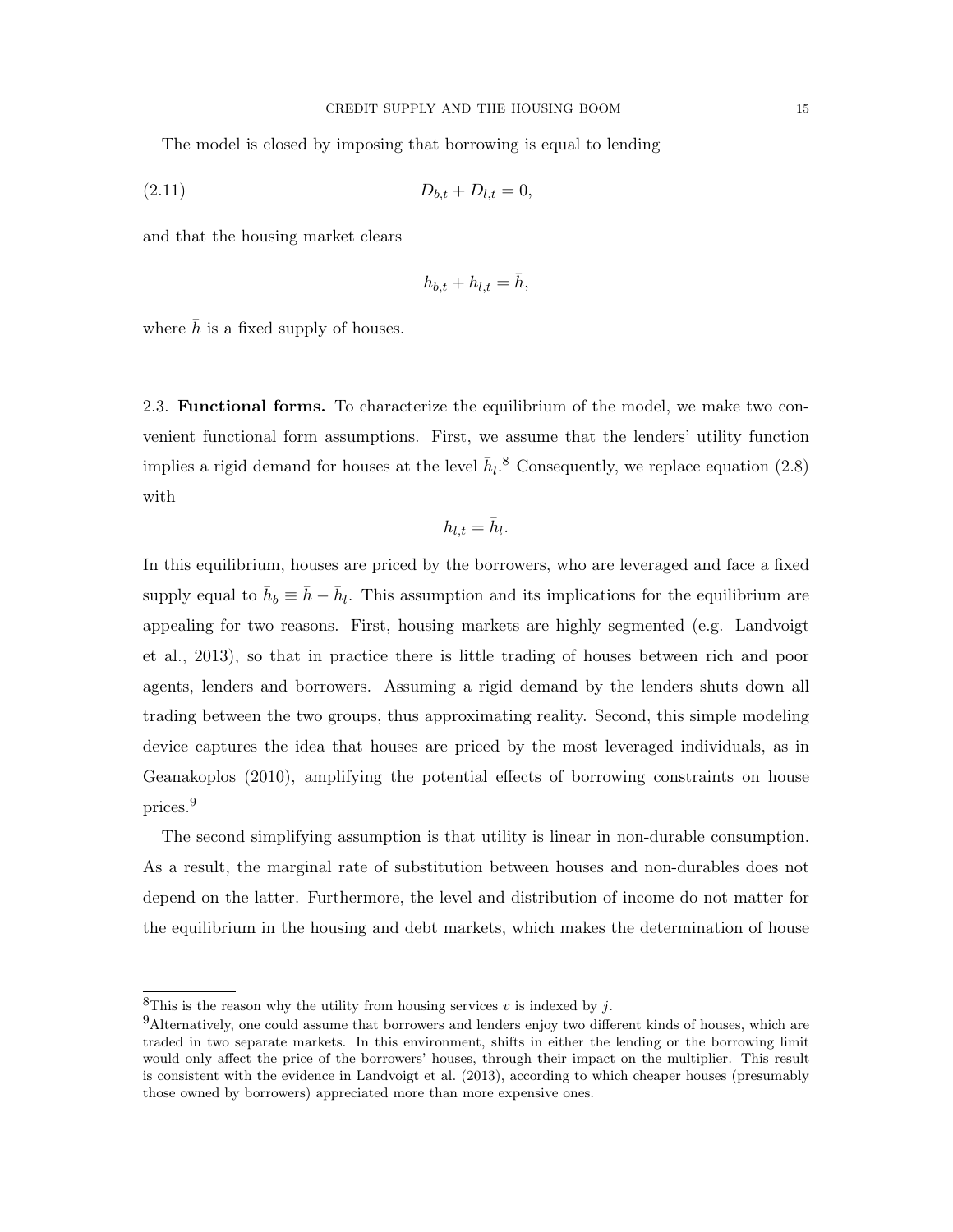The model is closed by imposing that borrowing is equal to lending

 $D_{b,t} + D_{l,t} = 0$ ,

and that the housing market clears

$$
h_{b,t} + h_{l,t} = \bar{h},
$$

where  $\bar{h}$  is a fixed supply of houses.

2.3. Functional forms. To characterize the equilibrium of the model, we make two convenient functional form assumptions. First, we assume that the lenders' utility function implies a rigid demand for houses at the level  $\bar{h}_l$ <sup>8</sup>. Consequently, we replace equation (2.8) with

$$
h_{l,t} = \bar{h}_l.
$$

In this equilibrium, houses are priced by the borrowers, who are leveraged and face a fixed supply equal to  $\bar{h}_b \equiv \bar{h} - \bar{h}_l$ . This assumption and its implications for the equilibrium are appealing for two reasons. First, housing markets are highly segmented (e.g. Landvoigt et al., 2013), so that in practice there is little trading of houses between rich and poor agents, lenders and borrowers. Assuming a rigid demand by the lenders shuts down all trading between the two groups, thus approximating reality. Second, this simple modeling device captures the idea that houses are priced by the most leveraged individuals, as in Geanakoplos (2010), amplifying the potential effects of borrowing constraints on house prices.<sup>9</sup>

The second simplifying assumption is that utility is linear in non-durable consumption. As a result, the marginal rate of substitution between houses and non-durables does not depend on the latter. Furthermore, the level and distribution of income do not matter for the equilibrium in the housing and debt markets, which makes the determination of house

 ${}^{8}$ This is the reason why the utility from housing services *v* is indexed by *j*.

<sup>&</sup>lt;sup>9</sup>Alternatively, one could assume that borrowers and lenders enjoy two different kinds of houses, which are traded in two separate markets. In this environment, shifts in either the lending or the borrowing limit would only affect the price of the borrowers' houses, through their impact on the multiplier. This result is consistent with the evidence in Landvoigt et al. (2013), according to which cheaper houses (presumably those owned by borrowers) appreciated more than more expensive ones.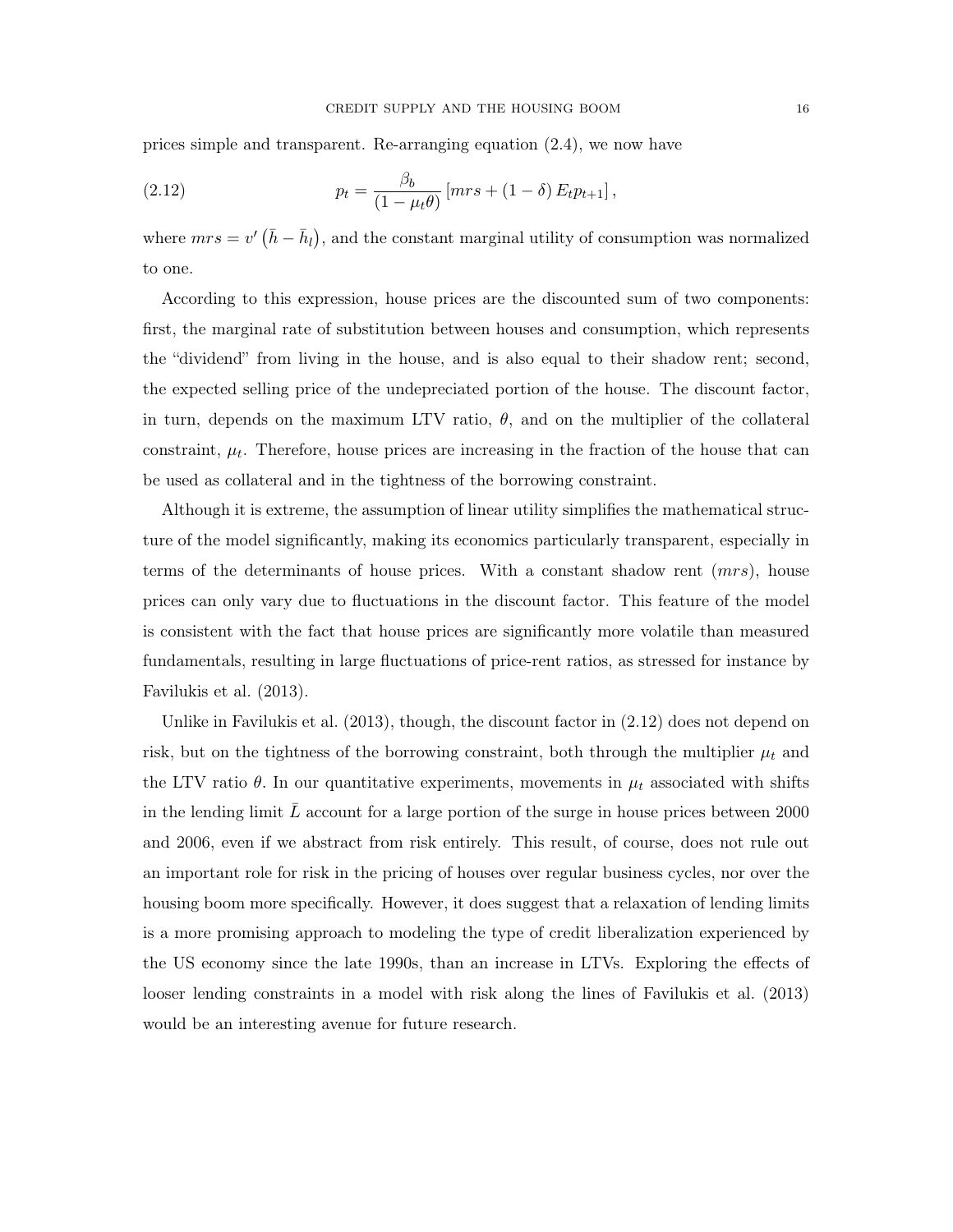prices simple and transparent. Re-arranging equation (2.4), we now have

(2.12) 
$$
p_t = \frac{\beta_b}{(1 - \mu_t \theta)} [mrs + (1 - \delta) E_t p_{t+1}],
$$

where  $mrs = v'(\bar{h} - \bar{h}_l)$ , and the constant marginal utility of consumption was normalized to one.

According to this expression, house prices are the discounted sum of two components: first, the marginal rate of substitution between houses and consumption, which represents the "dividend" from living in the house, and is also equal to their shadow rent; second, the expected selling price of the undepreciated portion of the house. The discount factor, in turn, depends on the maximum LTV ratio,  $\theta$ , and on the multiplier of the collateral constraint,  $\mu_t$ . Therefore, house prices are increasing in the fraction of the house that can be used as collateral and in the tightness of the borrowing constraint.

Although it is extreme, the assumption of linear utility simplifies the mathematical structure of the model significantly, making its economics particularly transparent, especially in terms of the determinants of house prices. With a constant shadow rent (*mrs*), house prices can only vary due to fluctuations in the discount factor. This feature of the model is consistent with the fact that house prices are significantly more volatile than measured fundamentals, resulting in large fluctuations of price-rent ratios, as stressed for instance by Favilukis et al. (2013).

Unlike in Favilukis et al. (2013), though, the discount factor in (2.12) does not depend on risk, but on the tightness of the borrowing constraint, both through the multiplier  $\mu_t$  and the LTV ratio  $\theta$ . In our quantitative experiments, movements in  $\mu_t$  associated with shifts in the lending limit  $\bar{L}$  account for a large portion of the surge in house prices between 2000 and 2006, even if we abstract from risk entirely. This result, of course, does not rule out an important role for risk in the pricing of houses over regular business cycles, nor over the housing boom more specifically. However, it does suggest that a relaxation of lending limits is a more promising approach to modeling the type of credit liberalization experienced by the US economy since the late 1990s, than an increase in LTVs. Exploring the effects of looser lending constraints in a model with risk along the lines of Favilukis et al. (2013) would be an interesting avenue for future research.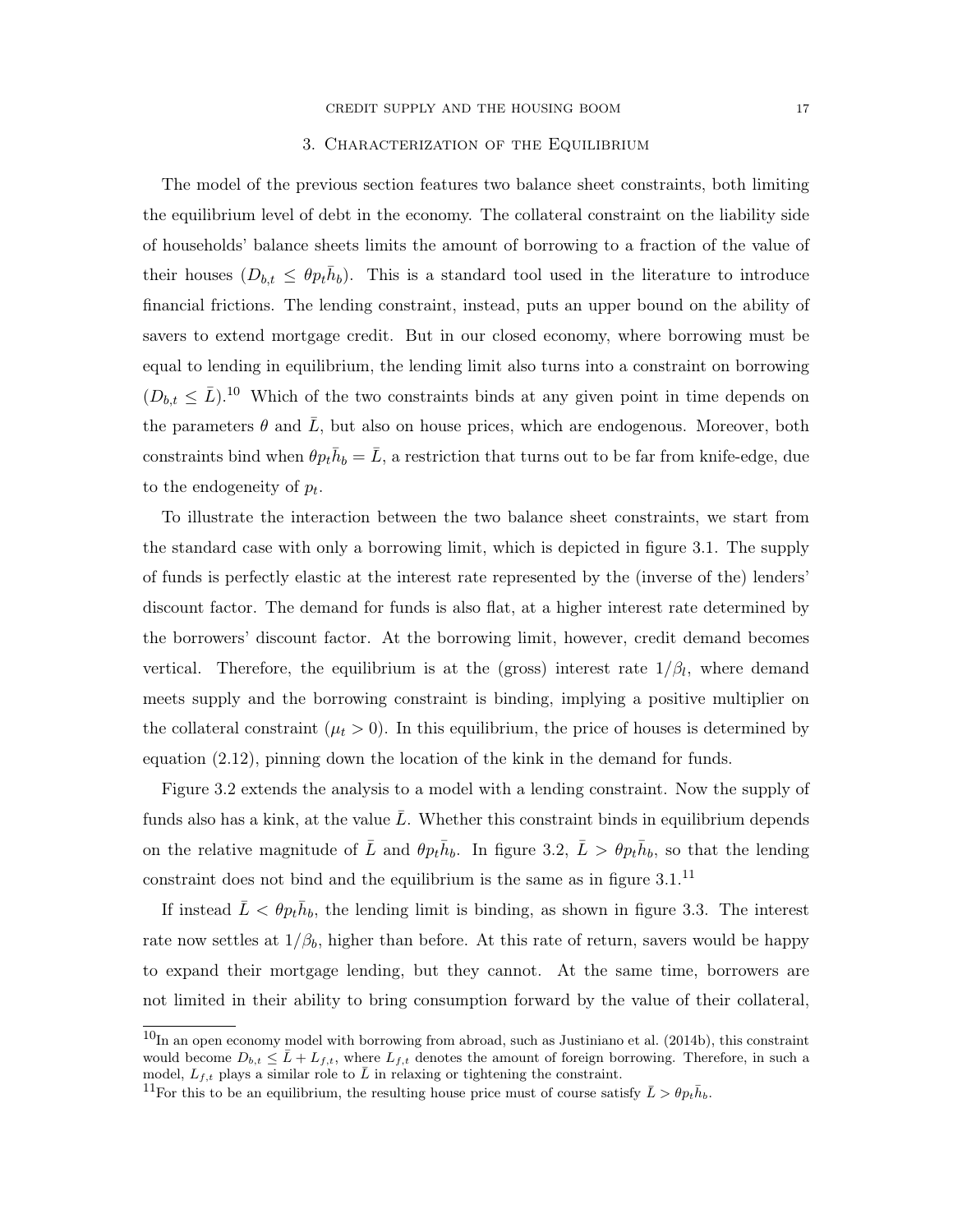## 3. Characterization of the Equilibrium

The model of the previous section features two balance sheet constraints, both limiting the equilibrium level of debt in the economy. The collateral constraint on the liability side of households' balance sheets limits the amount of borrowing to a fraction of the value of their houses  $(D_{b,t} \leq \theta p_t \bar{h}_b)$ . This is a standard tool used in the literature to introduce financial frictions. The lending constraint, instead, puts an upper bound on the ability of savers to extend mortgage credit. But in our closed economy, where borrowing must be equal to lending in equilibrium, the lending limit also turns into a constraint on borrowing  $(D_{b,t} \leq \bar{L})$ .<sup>10</sup> Which of the two constraints binds at any given point in time depends on the parameters  $\theta$  and  $\overline{L}$ , but also on house prices, which are endogenous. Moreover, both constraints bind when  $\theta p_t \overline{h}_b = \overline{L}$ , a restriction that turns out to be far from knife-edge, due to the endogeneity of *pt*.

To illustrate the interaction between the two balance sheet constraints, we start from the standard case with only a borrowing limit, which is depicted in figure 3.1. The supply of funds is perfectly elastic at the interest rate represented by the (inverse of the) lenders' discount factor. The demand for funds is also flat, at a higher interest rate determined by the borrowers' discount factor. At the borrowing limit, however, credit demand becomes vertical. Therefore, the equilibrium is at the (gross) interest rate  $1/\beta_l$ , where demand meets supply and the borrowing constraint is binding, implying a positive multiplier on the collateral constraint ( $\mu_t > 0$ ). In this equilibrium, the price of houses is determined by equation (2.12), pinning down the location of the kink in the demand for funds.

Figure 3.2 extends the analysis to a model with a lending constraint. Now the supply of funds also has a kink, at the value  $\bar{L}$ . Whether this constraint binds in equilibrium depends on the relative magnitude of  $\bar{L}$  and  $\theta p_t \bar{h}_b$ . In figure 3.2,  $\bar{L} > \theta p_t \bar{h}_b$ , so that the lending constraint does not bind and the equilibrium is the same as in figure  $3.1$ .<sup>11</sup>

If instead  $L < \theta p_t h_b$ , the lending limit is binding, as shown in figure 3.3. The interest rate now settles at  $1/\beta_b$ , higher than before. At this rate of return, savers would be happy to expand their mortgage lending, but they cannot. At the same time, borrowers are not limited in their ability to bring consumption forward by the value of their collateral,

 $10$ In an open economy model with borrowing from abroad, such as Justiniano et al. (2014b), this constraint would become  $D_{b,t} \leq \bar{L} + L_{f,t}$ , where  $L_{f,t}$  denotes the amount of foreign borrowing. Therefore, in such a model,  $L_{f,t}$  plays a similar role to  $\bar{L}$  in relaxing or tightening the constraint.

<sup>&</sup>lt;sup>11</sup>For this to be an equilibrium, the resulting house price must of course satisfy  $\bar{L} > \theta p_t \bar{h}_b$ .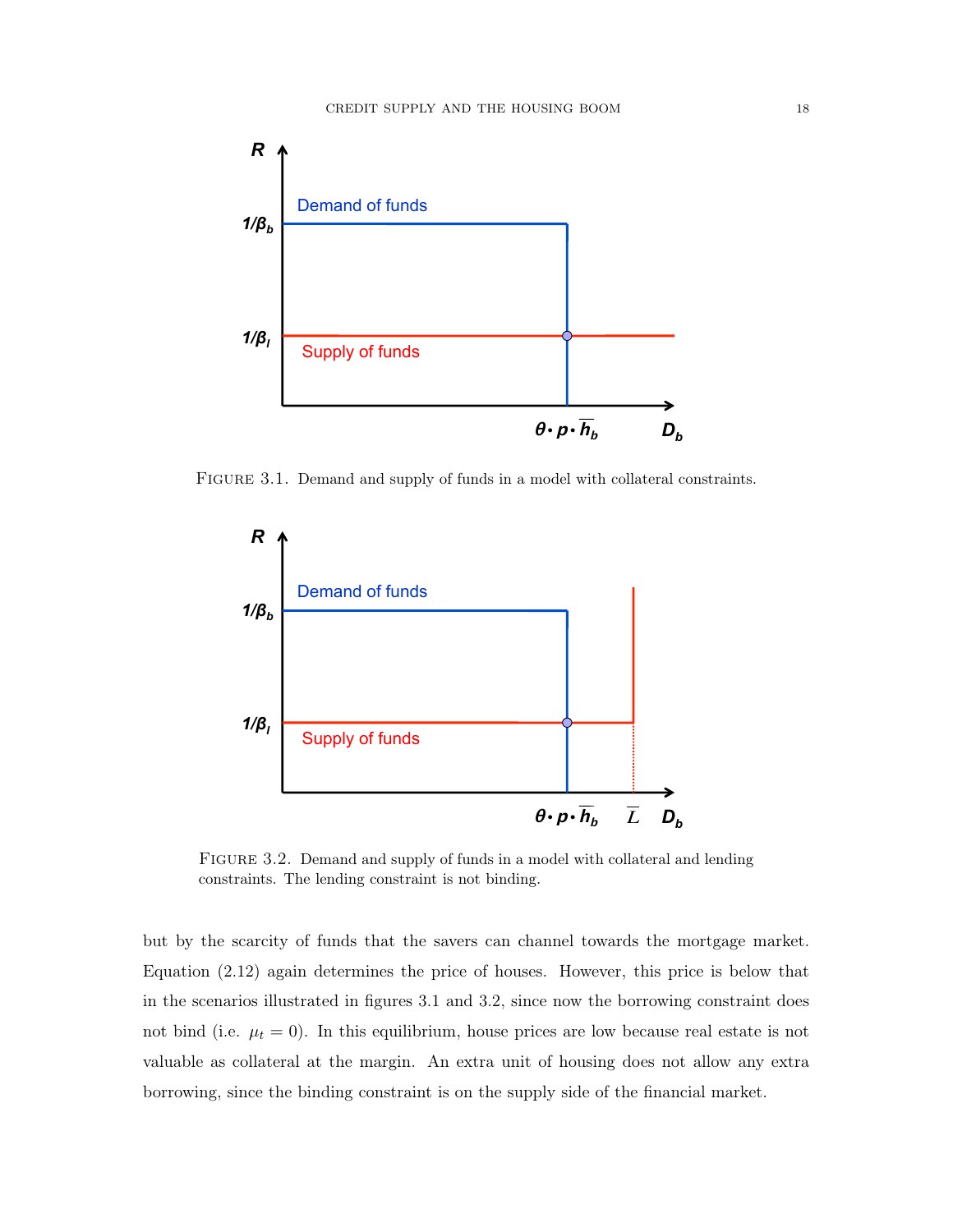

FIGURE 3.1. Demand and supply of funds in a model with collateral constraints.



 $\cdot$ Figure 3.2. Demand and supply of funds in a model with collateral and lending constraints. The lending constraint is not binding.

but by the scarcity of funds that the savers can channel towards the mortgage market. Equation (2.12) again determines the price of houses. However, this price is below that in the scenarios illustrated in figures 3.1 and 3.2, since now the borrowing constraint does not bind (i.e.  $\mu_t = 0$ ). In this equilibrium, house prices are low because real estate is not valuable as collateral at the margin. An extra unit of housing does not allow any extra borrowing, since the binding constraint is on the supply side of the financial market.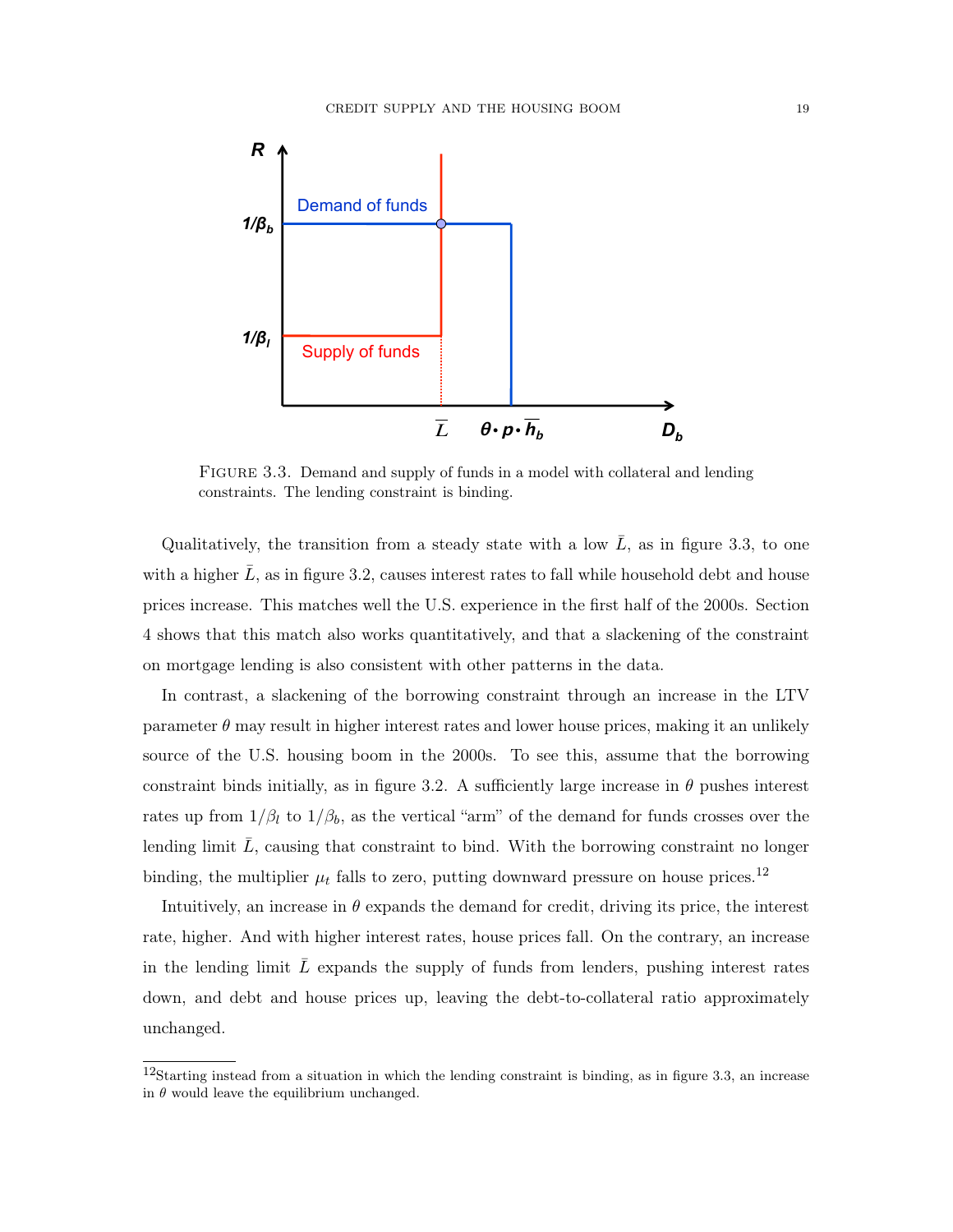

constraints. The lending constraint is binding. FIGURE 3.3. Demand and supply of funds in a model with collateral and lending

Qualitatively, the transition from a steady state with a low  $\overline{L}$ , as in figure 3.3, to one with a higher  $L$ , as in figure 3.2, causes interest rates to fall while household debt and house prices increase. This matches well the U.S. experience in the first half of the 2000s. Section 4 shows that this match also works quantitatively, and that a slackening of the constraint on mortgage lending is also consistent with other patterns in the data.

In contrast, a slackening of the borrowing constraint through an increase in the LTV parameter  $\theta$  may result in higher interest rates and lower house prices, making it an unlikely source of the U.S. housing boom in the 2000s. To see this, assume that the borrowing constraint binds initially, as in figure 3.2. A sufficiently large increase in  $\theta$  pushes interest rates up from  $1/\beta_l$  to  $1/\beta_b$ , as the vertical "arm" of the demand for funds crosses over the lending limit  $\overline{L}$ , causing that constraint to bind. With the borrowing constraint no longer binding, the multiplier  $\mu_t$  falls to zero, putting downward pressure on house prices.<sup>12</sup>

Intuitively, an increase in  $\theta$  expands the demand for credit, driving its price, the interest rate, higher. And with higher interest rates, house prices fall. On the contrary, an increase in the lending limit  $\bar{L}$  expands the supply of funds from lenders, pushing interest rates down, and debt and house prices up, leaving the debt-to-collateral ratio approximately unchanged.

 $12$ Starting instead from a situation in which the lending constraint is binding, as in figure 3.3, an increase in  $\theta$  would leave the equilibrium unchanged.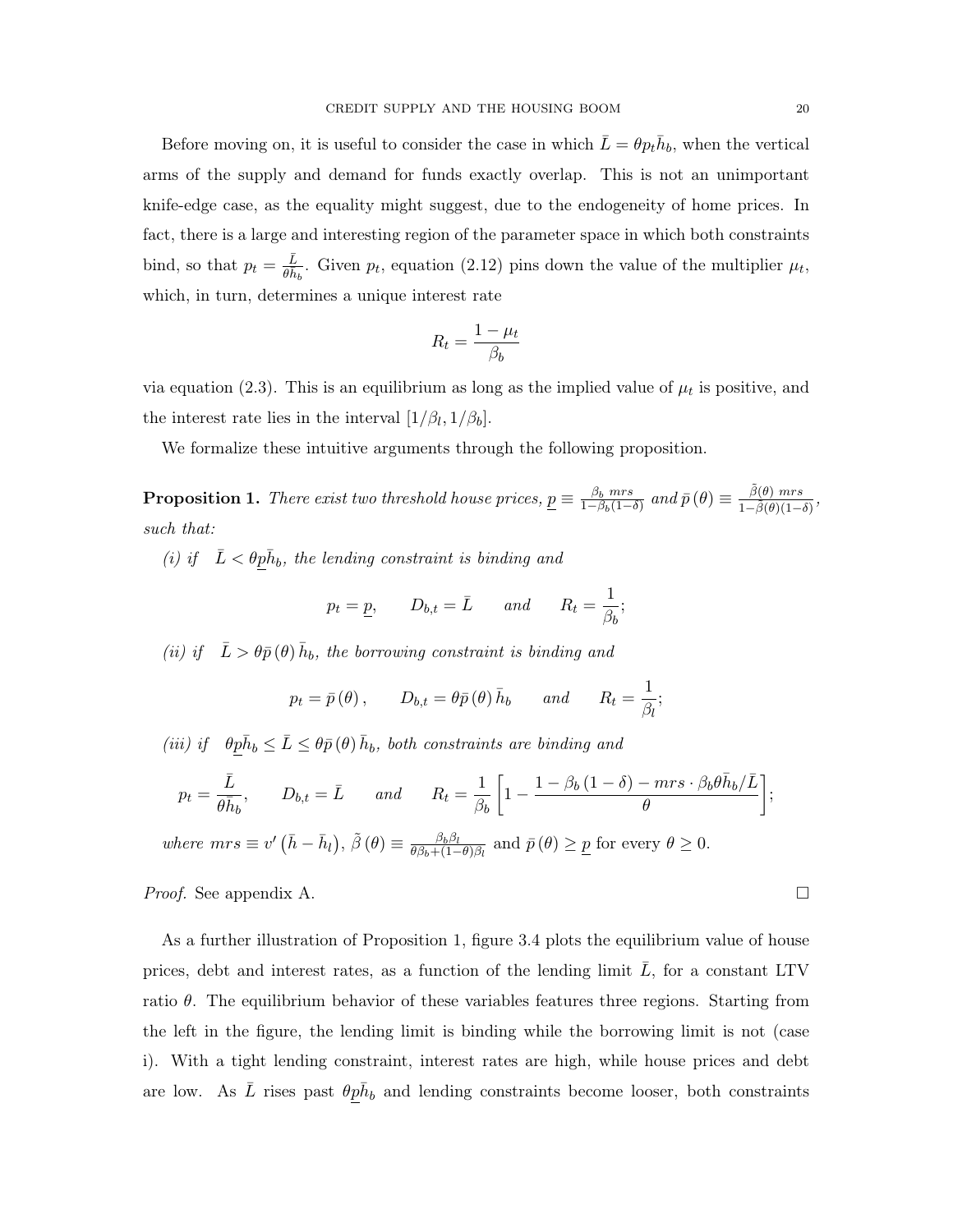Before moving on, it is useful to consider the case in which  $\bar{L} = \theta p_t \bar{h}_b$ , when the vertical arms of the supply and demand for funds exactly overlap. This is not an unimportant knife-edge case, as the equality might suggest, due to the endogeneity of home prices. In fact, there is a large and interesting region of the parameter space in which both constraints bind, so that  $p_t = \frac{\bar{L}}{\theta h_b}$ . Given  $p_t$ , equation (2.12) pins down the value of the multiplier  $\mu_t$ , which, in turn, determines a unique interest rate

$$
R_t = \frac{1 - \mu_t}{\beta_b}
$$

via equation (2.3). This is an equilibrium as long as the implied value of  $\mu_t$  is positive, and the interest rate lies in the interval  $[1/\beta_l, 1/\beta_b]$ .

We formalize these intuitive arguments through the following proposition.

**Proposition 1.** There exist two threshold house prices,  $\underline{p} \equiv \frac{\beta_b \, mrs}{1 - \beta_b(1 - \delta)}$  and  $\overline{p}(\theta) \equiv \frac{\tilde{\beta}(\theta) \, mrs}{1 - \tilde{\beta}(\theta)(1 - \delta)}$ , *such that:*

*(i)* if  $\bar{L} < \theta p \bar{h}_b$ , the lending constraint is binding and

$$
p_t = \underline{p}, \qquad D_{b,t} = \overline{L} \qquad and \qquad R_t = \frac{1}{\beta_b};
$$

*(ii)* if  $\bar{L} > \theta \bar{p}(\theta) \bar{h}_b$ , the borrowing constraint is binding and

$$
p_t = \bar{p}(\theta)
$$
,  $D_{b,t} = \theta \bar{p}(\theta) \bar{h}_b$  and  $R_t = \frac{1}{\beta_l}$ ;

*(iii) if*  $\theta \bar{p} \bar{h}_b \leq \bar{L} \leq \theta \bar{p}(\theta) \bar{h}_b$ , both constraints are binding and

$$
p_t = \frac{\bar{L}}{\theta \bar{h}_b},
$$
  $D_{b,t} = \bar{L}$  and  $R_t = \frac{1}{\beta_b} \left[ 1 - \frac{1 - \beta_b (1 - \delta) - mrs \cdot \beta_b \theta \bar{h}_b / \bar{L}}{\theta} \right];$ 

*where*  $mrs \equiv v'(\bar{h} - \bar{h}_l), \tilde{\beta}(\theta) \equiv \frac{\beta_b \beta_l}{\theta \beta_b + (1-\theta)\beta_l}$  and  $\bar{p}(\theta) \geq \underline{p}$  for every  $\theta \geq 0$ .

*Proof.* See appendix A.  $\Box$ 

As a further illustration of Proposition 1, figure 3.4 plots the equilibrium value of house prices, debt and interest rates, as a function of the lending limit  $L$ , for a constant LTV ratio  $\theta$ . The equilibrium behavior of these variables features three regions. Starting from the left in the figure, the lending limit is binding while the borrowing limit is not (case i). With a tight lending constraint, interest rates are high, while house prices and debt are low. As  $\bar{L}$  rises past  $\theta p\bar{h}_b$  and lending constraints become looser, both constraints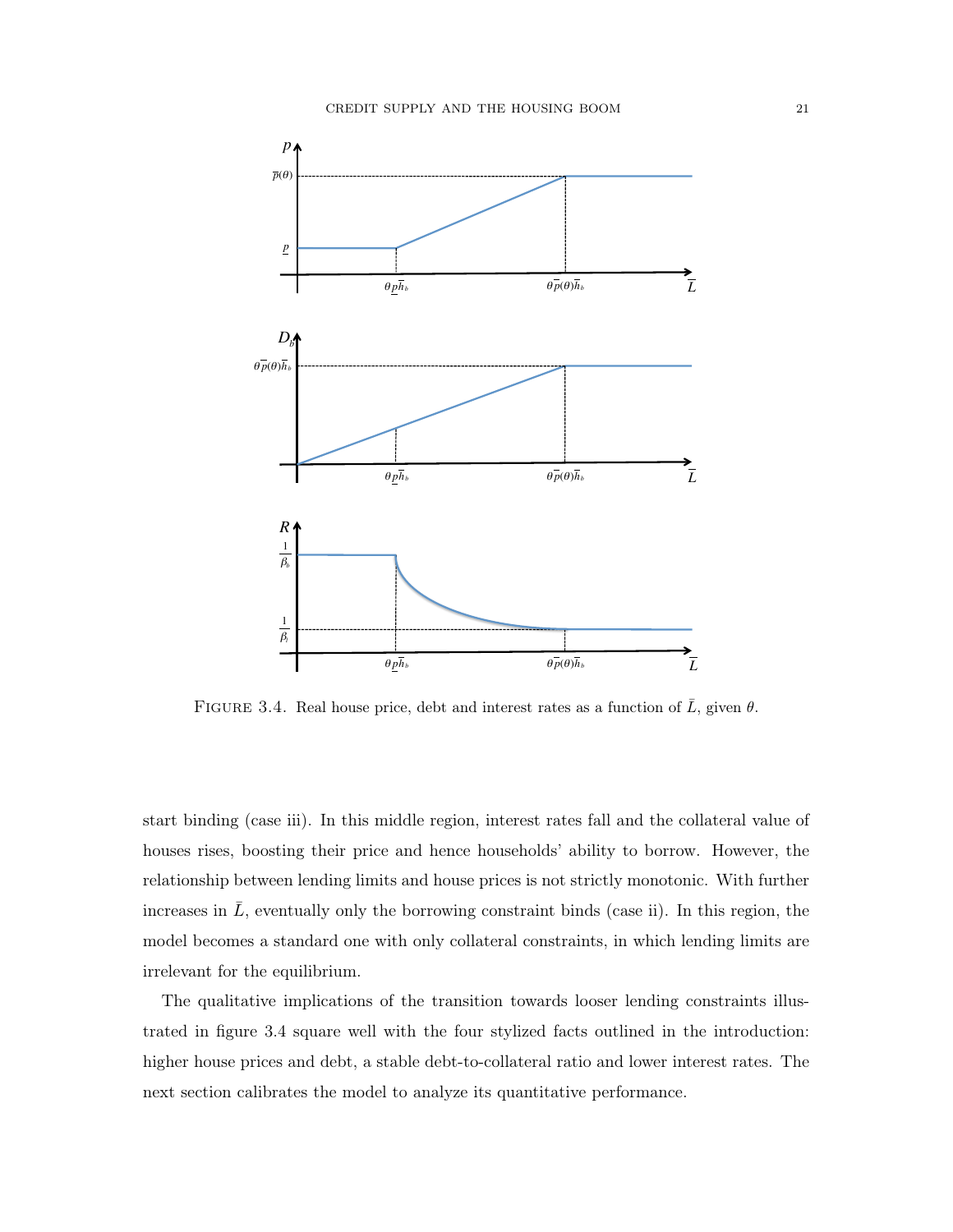

FIGURE 3.4. Real house price, debt and interest rates as a function of  $\overline{L}$ , given  $\theta$ .

start binding (case iii). In this middle region, interest rates fall and the collateral value of houses rises, boosting their price and hence households' ability to borrow. However, the relationship between lending limits and house prices is not strictly monotonic. With further increases in  $\bar{L}$ , eventually only the borrowing constraint binds (case ii). In this region, the model becomes a standard one with only collateral constraints, in which lending limits are irrelevant for the equilibrium.

The qualitative implications of the transition towards looser lending constraints illustrated in figure 3.4 square well with the four stylized facts outlined in the introduction: higher house prices and debt, a stable debt-to-collateral ratio and lower interest rates. The next section calibrates the model to analyze its quantitative performance.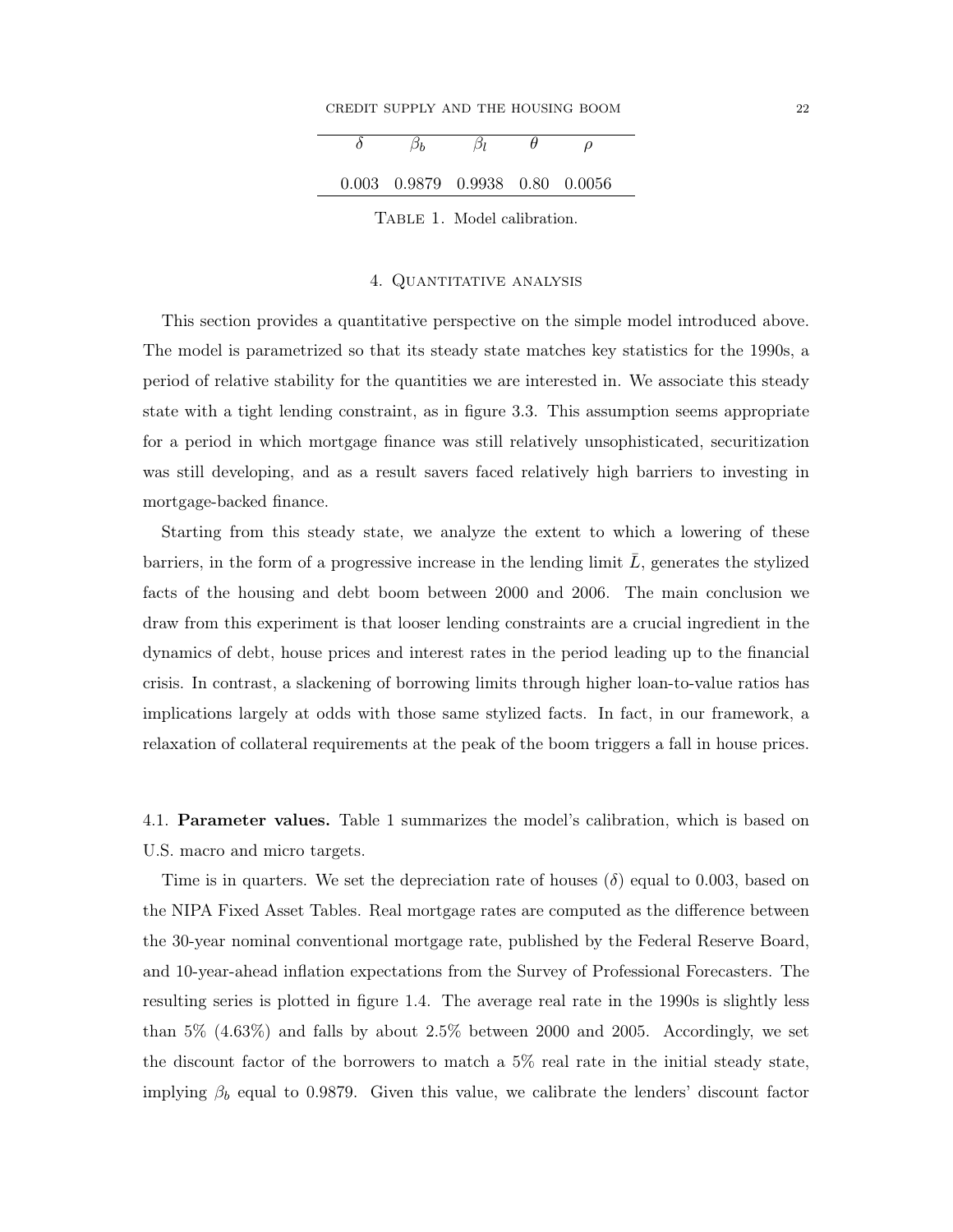CREDIT SUPPLY AND THE HOUSING BOOM 22

| 0.003 0.9879 0.9938 0.80 0.0056 |  |  |
|---------------------------------|--|--|
|                                 |  |  |

TABLE 1. Model calibration.

## 4. QUANTITATIVE ANALYSIS

This section provides a quantitative perspective on the simple model introduced above. The model is parametrized so that its steady state matches key statistics for the 1990s, a period of relative stability for the quantities we are interested in. We associate this steady state with a tight lending constraint, as in figure 3.3. This assumption seems appropriate for a period in which mortgage finance was still relatively unsophisticated, securitization was still developing, and as a result savers faced relatively high barriers to investing in mortgage-backed finance.

Starting from this steady state, we analyze the extent to which a lowering of these barriers, in the form of a progressive increase in the lending limit  $L$ , generates the stylized facts of the housing and debt boom between 2000 and 2006. The main conclusion we draw from this experiment is that looser lending constraints are a crucial ingredient in the dynamics of debt, house prices and interest rates in the period leading up to the financial crisis. In contrast, a slackening of borrowing limits through higher loan-to-value ratios has implications largely at odds with those same stylized facts. In fact, in our framework, a relaxation of collateral requirements at the peak of the boom triggers a fall in house prices.

4.1. Parameter values. Table 1 summarizes the model's calibration, which is based on U.S. macro and micro targets.

Time is in quarters. We set the depreciation rate of houses  $(\delta)$  equal to 0.003, based on the NIPA Fixed Asset Tables. Real mortgage rates are computed as the difference between the 30-year nominal conventional mortgage rate, published by the Federal Reserve Board, and 10-year-ahead inflation expectations from the Survey of Professional Forecasters. The resulting series is plotted in figure 1.4. The average real rate in the 1990s is slightly less than  $5\%$   $(4.63\%)$  and falls by about  $2.5\%$  between 2000 and 2005. Accordingly, we set the discount factor of the borrowers to match a 5% real rate in the initial steady state, implying  $\beta_b$  equal to 0.9879. Given this value, we calibrate the lenders' discount factor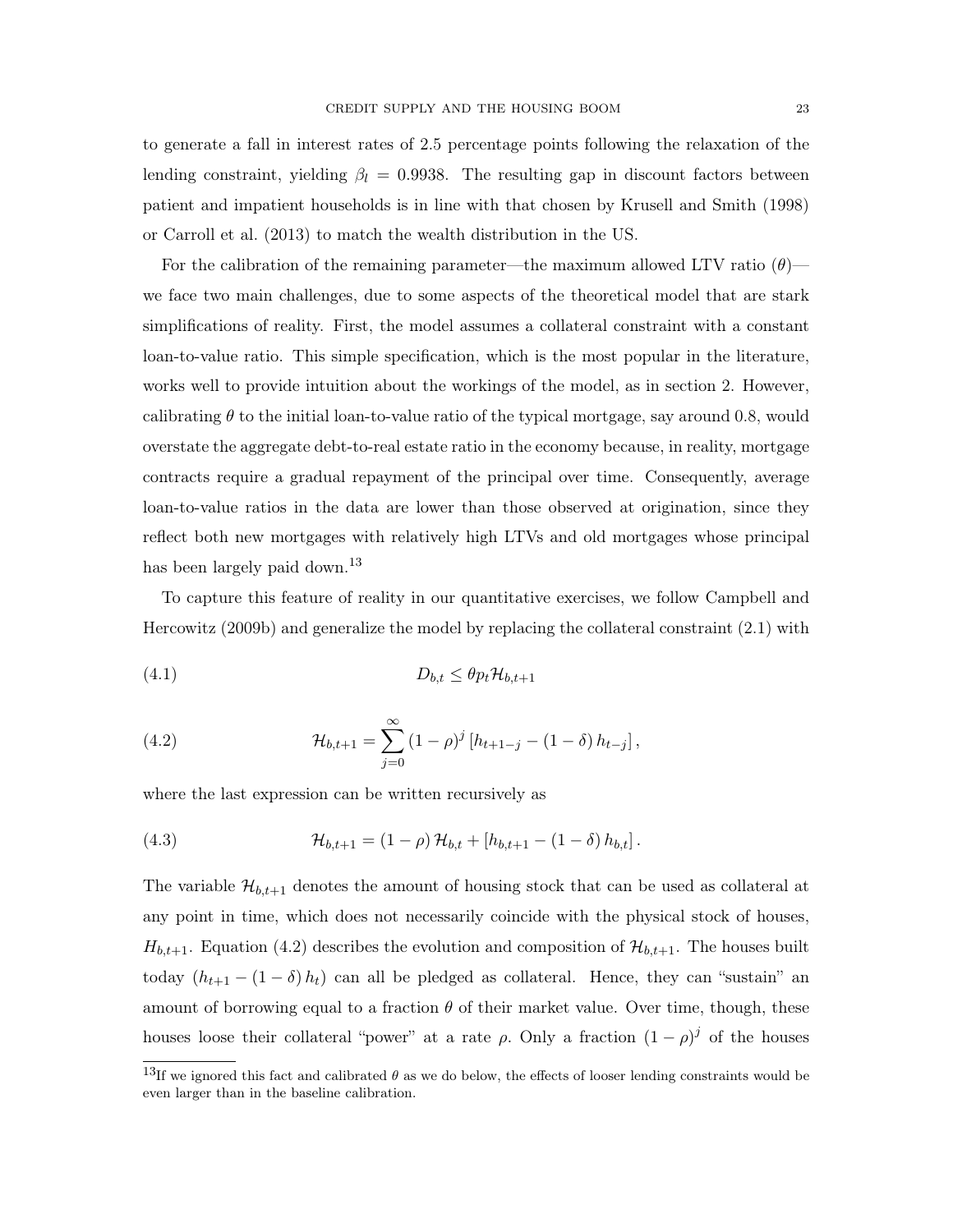to generate a fall in interest rates of 2.5 percentage points following the relaxation of the lending constraint, yielding  $\beta_l = 0.9938$ . The resulting gap in discount factors between patient and impatient households is in line with that chosen by Krusell and Smith (1998) or Carroll et al. (2013) to match the wealth distribution in the US.

For the calibration of the remaining parameter—the maximum allowed LTV ratio  $(\theta)$  we face two main challenges, due to some aspects of the theoretical model that are stark simplifications of reality. First, the model assumes a collateral constraint with a constant loan-to-value ratio. This simple specification, which is the most popular in the literature, works well to provide intuition about the workings of the model, as in section 2. However, calibrating  $\theta$  to the initial loan-to-value ratio of the typical mortgage, say around 0.8, would overstate the aggregate debt-to-real estate ratio in the economy because, in reality, mortgage contracts require a gradual repayment of the principal over time. Consequently, average loan-to-value ratios in the data are lower than those observed at origination, since they reflect both new mortgages with relatively high LTVs and old mortgages whose principal has been largely paid down.<sup>13</sup>

To capture this feature of reality in our quantitative exercises, we follow Campbell and Hercowitz (2009b) and generalize the model by replacing the collateral constraint (2.1) with

$$
(4.1) \t\t D_{b,t} \leq \theta p_t \mathcal{H}_{b,t+1}
$$

(4.2) 
$$
\mathcal{H}_{b,t+1} = \sum_{j=0}^{\infty} (1-\rho)^j \left[ h_{t+1-j} - (1-\delta) h_{t-j} \right],
$$

where the last expression can be written recursively as

(4.3) 
$$
\mathcal{H}_{b,t+1} = (1-\rho)\,\mathcal{H}_{b,t} + [h_{b,t+1} - (1-\delta)\,h_{b,t}].
$$

The variable  $\mathcal{H}_{b,t+1}$  denotes the amount of housing stock that can be used as collateral at any point in time, which does not necessarily coincide with the physical stock of houses,  $H_{b,t+1}$ . Equation (4.2) describes the evolution and composition of  $\mathcal{H}_{b,t+1}$ . The houses built today  $(h_{t+1} - (1 - \delta) h_t)$  can all be pledged as collateral. Hence, they can "sustain" an amount of borrowing equal to a fraction  $\theta$  of their market value. Over time, though, these houses loose their collateral "power" at a rate  $\rho$ . Only a fraction  $(1 - \rho)^j$  of the houses

<sup>&</sup>lt;sup>13</sup>If we ignored this fact and calibrated  $\theta$  as we do below, the effects of looser lending constraints would be even larger than in the baseline calibration.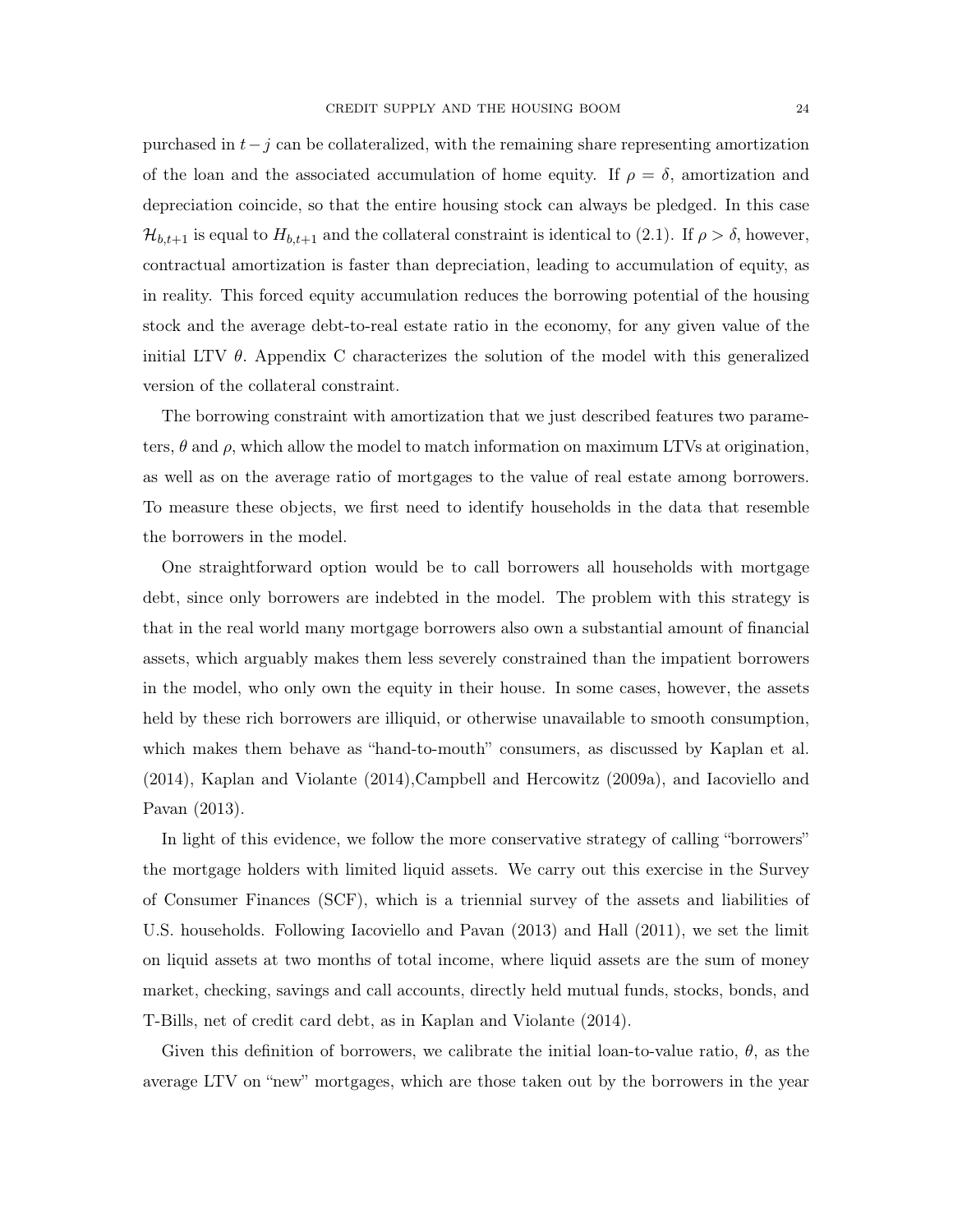purchased in  $t - j$  can be collateralized, with the remaining share representing amortization of the loan and the associated accumulation of home equity. If  $\rho = \delta$ , amortization and depreciation coincide, so that the entire housing stock can always be pledged. In this case  $\mathcal{H}_{b,t+1}$  is equal to  $H_{b,t+1}$  and the collateral constraint is identical to (2.1). If  $\rho > \delta$ , however, contractual amortization is faster than depreciation, leading to accumulation of equity, as in reality. This forced equity accumulation reduces the borrowing potential of the housing stock and the average debt-to-real estate ratio in the economy, for any given value of the initial LTV  $\theta$ . Appendix C characterizes the solution of the model with this generalized version of the collateral constraint.

The borrowing constraint with amortization that we just described features two parameters,  $\theta$  and  $\rho$ , which allow the model to match information on maximum LTVs at origination, as well as on the average ratio of mortgages to the value of real estate among borrowers. To measure these objects, we first need to identify households in the data that resemble the borrowers in the model.

One straightforward option would be to call borrowers all households with mortgage debt, since only borrowers are indebted in the model. The problem with this strategy is that in the real world many mortgage borrowers also own a substantial amount of financial assets, which arguably makes them less severely constrained than the impatient borrowers in the model, who only own the equity in their house. In some cases, however, the assets held by these rich borrowers are illiquid, or otherwise unavailable to smooth consumption, which makes them behave as "hand-to-mouth" consumers, as discussed by Kaplan et al. (2014), Kaplan and Violante (2014),Campbell and Hercowitz (2009a), and Iacoviello and Pavan (2013).

In light of this evidence, we follow the more conservative strategy of calling "borrowers" the mortgage holders with limited liquid assets. We carry out this exercise in the Survey of Consumer Finances (SCF), which is a triennial survey of the assets and liabilities of U.S. households. Following Iacoviello and Pavan (2013) and Hall (2011), we set the limit on liquid assets at two months of total income, where liquid assets are the sum of money market, checking, savings and call accounts, directly held mutual funds, stocks, bonds, and T-Bills, net of credit card debt, as in Kaplan and Violante (2014).

Given this definition of borrowers, we calibrate the initial loan-to-value ratio,  $\theta$ , as the average LTV on "new" mortgages, which are those taken out by the borrowers in the year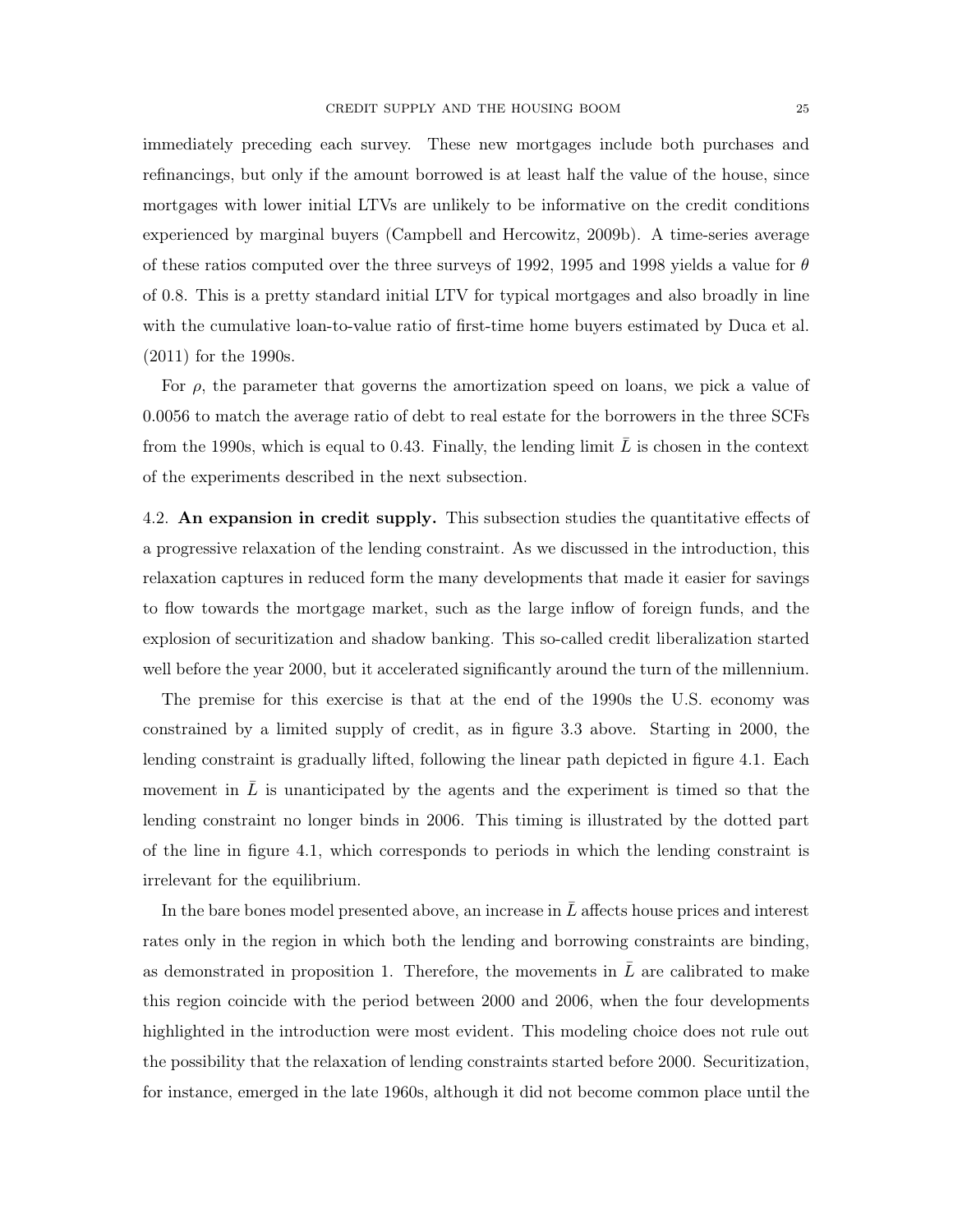immediately preceding each survey. These new mortgages include both purchases and refinancings, but only if the amount borrowed is at least half the value of the house, since mortgages with lower initial LTVs are unlikely to be informative on the credit conditions experienced by marginal buyers (Campbell and Hercowitz, 2009b). A time-series average of these ratios computed over the three surveys of 1992, 1995 and 1998 yields a value for  $\theta$ of 0.8. This is a pretty standard initial LTV for typical mortgages and also broadly in line with the cumulative loan-to-value ratio of first-time home buyers estimated by Duca et al. (2011) for the 1990s.

For  $\rho$ , the parameter that governs the amortization speed on loans, we pick a value of 0*.*0056 to match the average ratio of debt to real estate for the borrowers in the three SCFs from the 1990s, which is equal to 0.43. Finally, the lending limit  $\overline{L}$  is chosen in the context of the experiments described in the next subsection.

4.2. An expansion in credit supply. This subsection studies the quantitative effects of a progressive relaxation of the lending constraint. As we discussed in the introduction, this relaxation captures in reduced form the many developments that made it easier for savings to flow towards the mortgage market, such as the large inflow of foreign funds, and the explosion of securitization and shadow banking. This so-called credit liberalization started well before the year 2000, but it accelerated significantly around the turn of the millennium.

The premise for this exercise is that at the end of the 1990s the U.S. economy was constrained by a limited supply of credit, as in figure 3.3 above. Starting in 2000, the lending constraint is gradually lifted, following the linear path depicted in figure 4.1. Each movement in  $L$  is unanticipated by the agents and the experiment is timed so that the lending constraint no longer binds in 2006. This timing is illustrated by the dotted part of the line in figure 4.1, which corresponds to periods in which the lending constraint is irrelevant for the equilibrium.

In the bare bones model presented above, an increase in L affects house prices and interest rates only in the region in which both the lending and borrowing constraints are binding, as demonstrated in proposition 1. Therefore, the movements in  $\overline{L}$  are calibrated to make this region coincide with the period between 2000 and 2006, when the four developments highlighted in the introduction were most evident. This modeling choice does not rule out the possibility that the relaxation of lending constraints started before 2000. Securitization, for instance, emerged in the late 1960s, although it did not become common place until the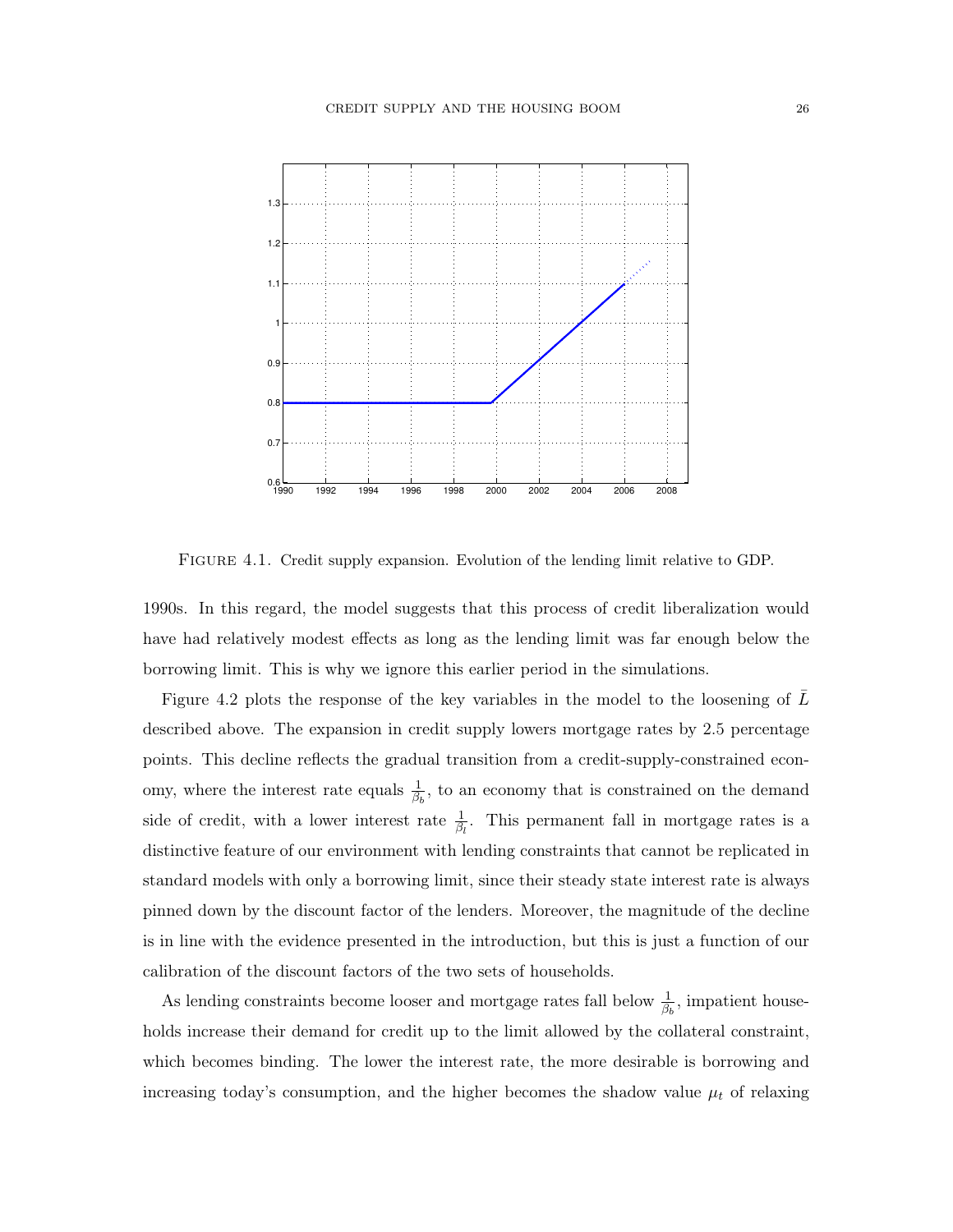

Figure 4.1. Credit supply expansion. Evolution of the lending limit relative to GDP.

1990s. In this regard, the model suggests that this process of credit liberalization would have had relatively modest effects as long as the lending limit was far enough below the borrowing limit. This is why we ignore this earlier period in the simulations.

Figure 4.2 plots the response of the key variables in the model to the loosening of L described above. The expansion in credit supply lowers mortgage rates by 2.5 percentage points. This decline reflects the gradual transition from a credit-supply-constrained economy, where the interest rate equals  $\frac{1}{\beta_b}$ , to an economy that is constrained on the demand side of credit, with a lower interest rate  $\frac{1}{\beta_l}$ . This permanent fall in mortgage rates is a distinctive feature of our environment with lending constraints that cannot be replicated in standard models with only a borrowing limit, since their steady state interest rate is always pinned down by the discount factor of the lenders. Moreover, the magnitude of the decline is in line with the evidence presented in the introduction, but this is just a function of our calibration of the discount factors of the two sets of households.

As lending constraints become looser and mortgage rates fall below  $\frac{1}{\beta_b}$ , impatient households increase their demand for credit up to the limit allowed by the collateral constraint, which becomes binding. The lower the interest rate, the more desirable is borrowing and increasing today's consumption, and the higher becomes the shadow value  $\mu_t$  of relaxing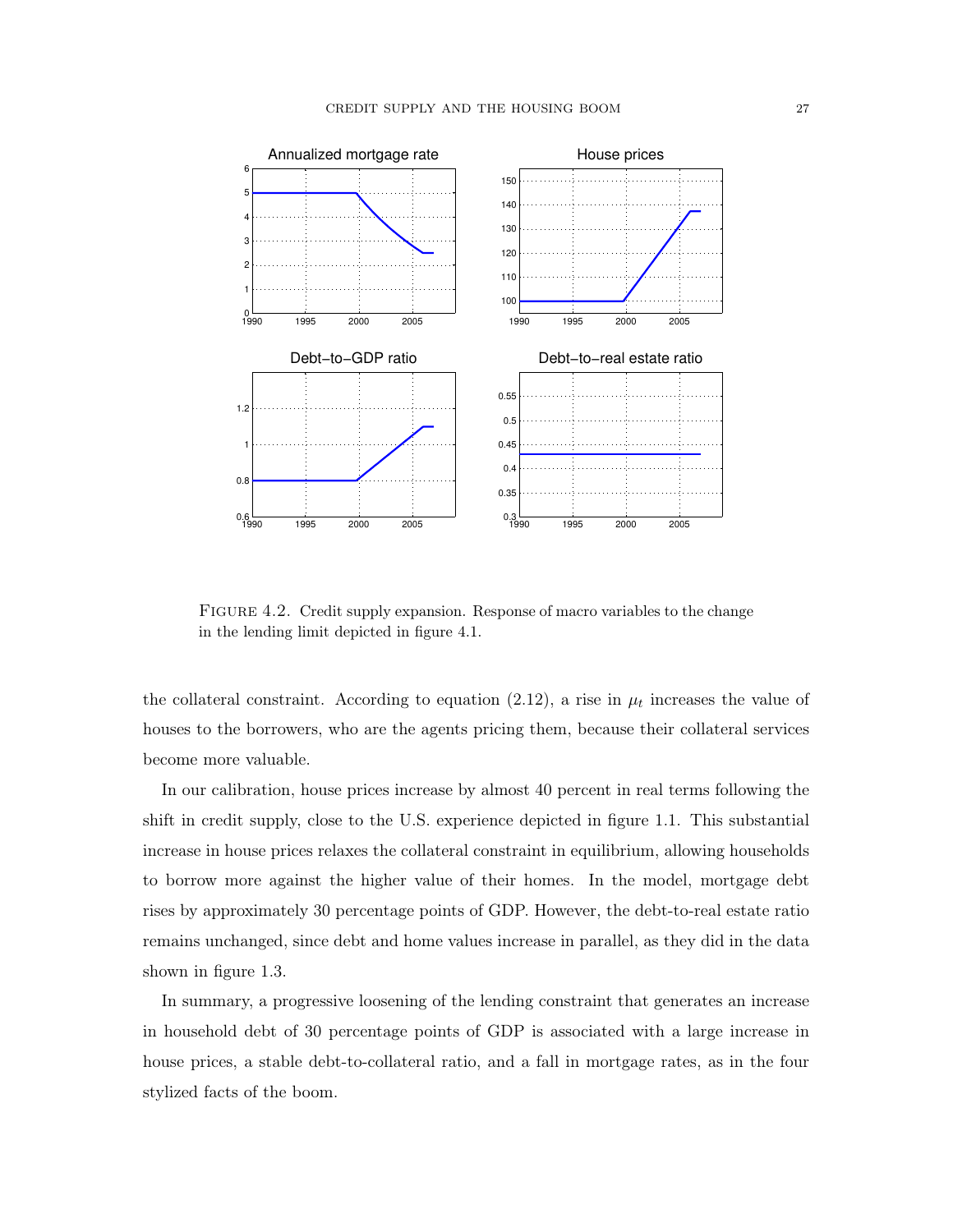

FIGURE 4.2. Credit supply expansion. Response of macro variables to the change in the lending limit depicted in figure 4.1.

the collateral constraint. According to equation  $(2.12)$ , a rise in  $\mu_t$  increases the value of houses to the borrowers, who are the agents pricing them, because their collateral services become more valuable.

In our calibration, house prices increase by almost 40 percent in real terms following the shift in credit supply, close to the U.S. experience depicted in figure 1.1. This substantial increase in house prices relaxes the collateral constraint in equilibrium, allowing households to borrow more against the higher value of their homes. In the model, mortgage debt rises by approximately 30 percentage points of GDP. However, the debt-to-real estate ratio remains unchanged, since debt and home values increase in parallel, as they did in the data shown in figure 1.3.

In summary, a progressive loosening of the lending constraint that generates an increase in household debt of 30 percentage points of GDP is associated with a large increase in house prices, a stable debt-to-collateral ratio, and a fall in mortgage rates, as in the four stylized facts of the boom.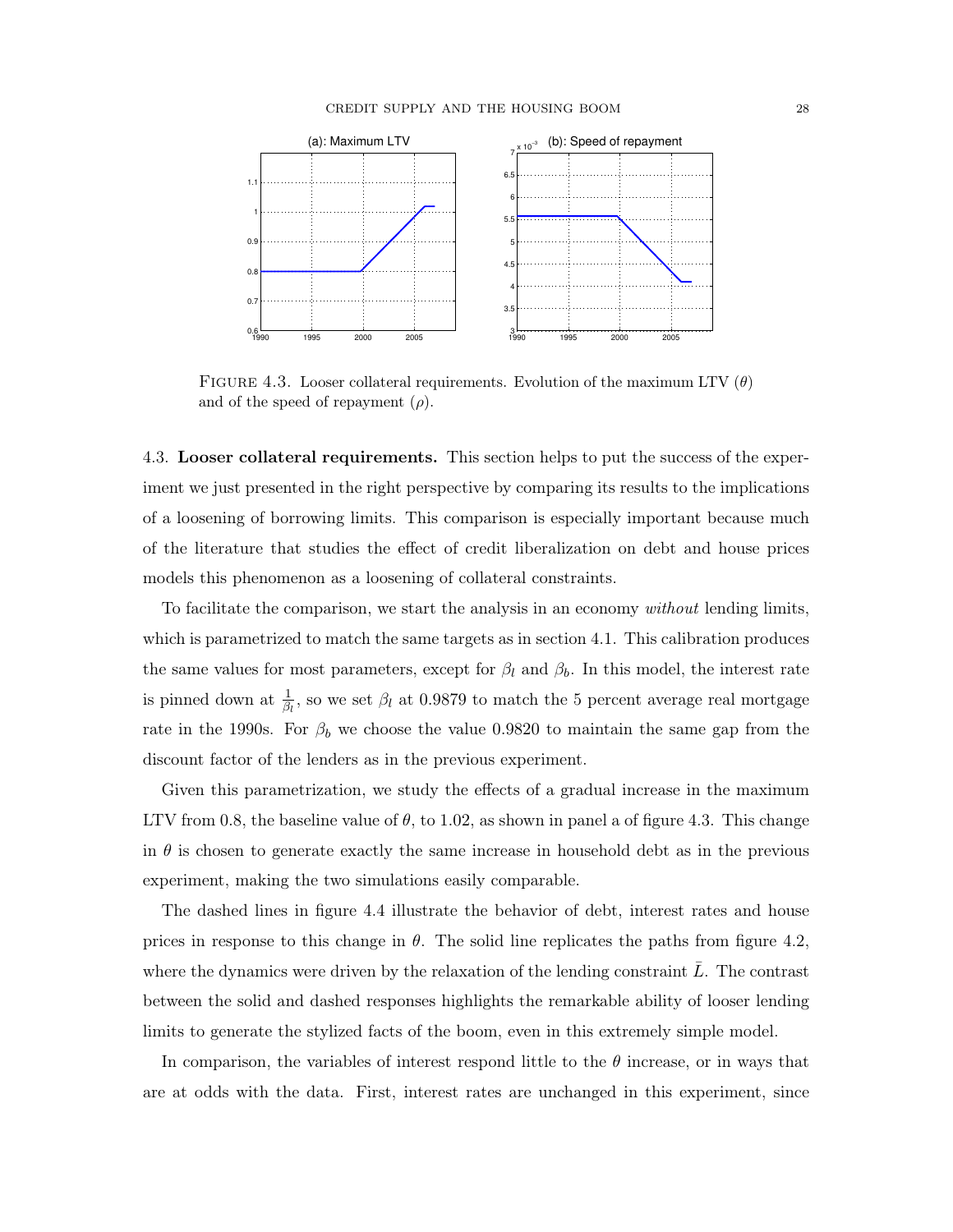

FIGURE 4.3. Looser collateral requirements. Evolution of the maximum LTV  $(\theta)$ and of the speed of repayment  $(\rho)$ .

4.3. Looser collateral requirements. This section helps to put the success of the experiment we just presented in the right perspective by comparing its results to the implications of a loosening of borrowing limits. This comparison is especially important because much of the literature that studies the effect of credit liberalization on debt and house prices models this phenomenon as a loosening of collateral constraints.

To facilitate the comparison, we start the analysis in an economy *without* lending limits, which is parametrized to match the same targets as in section 4.1. This calibration produces the same values for most parameters, except for  $\beta_l$  and  $\beta_b$ . In this model, the interest rate is pinned down at  $\frac{1}{\beta_l}$ , so we set  $\beta_l$  at 0.9879 to match the 5 percent average real mortgage rate in the 1990s. For  $\beta_b$  we choose the value 0.9820 to maintain the same gap from the discount factor of the lenders as in the previous experiment.

Given this parametrization, we study the effects of a gradual increase in the maximum LTV from 0.8, the baseline value of  $\theta$ , to 1.02, as shown in panel a of figure 4.3. This change in  $\theta$  is chosen to generate exactly the same increase in household debt as in the previous experiment, making the two simulations easily comparable.

The dashed lines in figure 4.4 illustrate the behavior of debt, interest rates and house prices in response to this change in  $\theta$ . The solid line replicates the paths from figure 4.2, where the dynamics were driven by the relaxation of the lending constraint L. The contrast between the solid and dashed responses highlights the remarkable ability of looser lending limits to generate the stylized facts of the boom, even in this extremely simple model.

In comparison, the variables of interest respond little to the  $\theta$  increase, or in ways that are at odds with the data. First, interest rates are unchanged in this experiment, since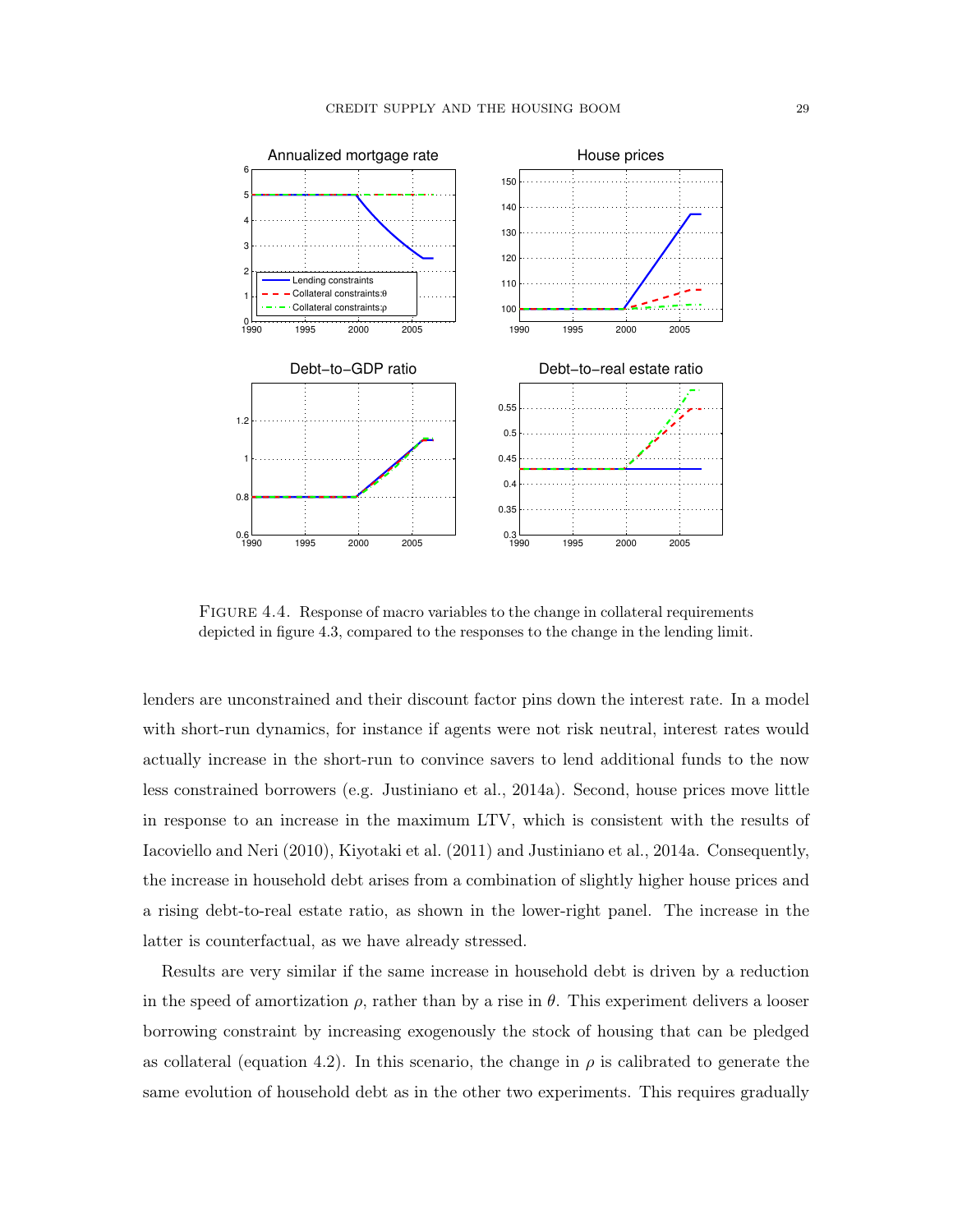

FIGURE 4.4. Response of macro variables to the change in collateral requirements depicted in figure 4.3, compared to the responses to the change in the lending limit.

lenders are unconstrained and their discount factor pins down the interest rate. In a model with short-run dynamics, for instance if agents were not risk neutral, interest rates would actually increase in the short-run to convince savers to lend additional funds to the now less constrained borrowers (e.g. Justiniano et al., 2014a). Second, house prices move little in response to an increase in the maximum LTV, which is consistent with the results of Iacoviello and Neri (2010), Kiyotaki et al. (2011) and Justiniano et al., 2014a. Consequently, the increase in household debt arises from a combination of slightly higher house prices and a rising debt-to-real estate ratio, as shown in the lower-right panel. The increase in the latter is counterfactual, as we have already stressed.

Results are very similar if the same increase in household debt is driven by a reduction in the speed of amortization  $\rho$ , rather than by a rise in  $\theta$ . This experiment delivers a looser borrowing constraint by increasing exogenously the stock of housing that can be pledged as collateral (equation 4.2). In this scenario, the change in  $\rho$  is calibrated to generate the same evolution of household debt as in the other two experiments. This requires gradually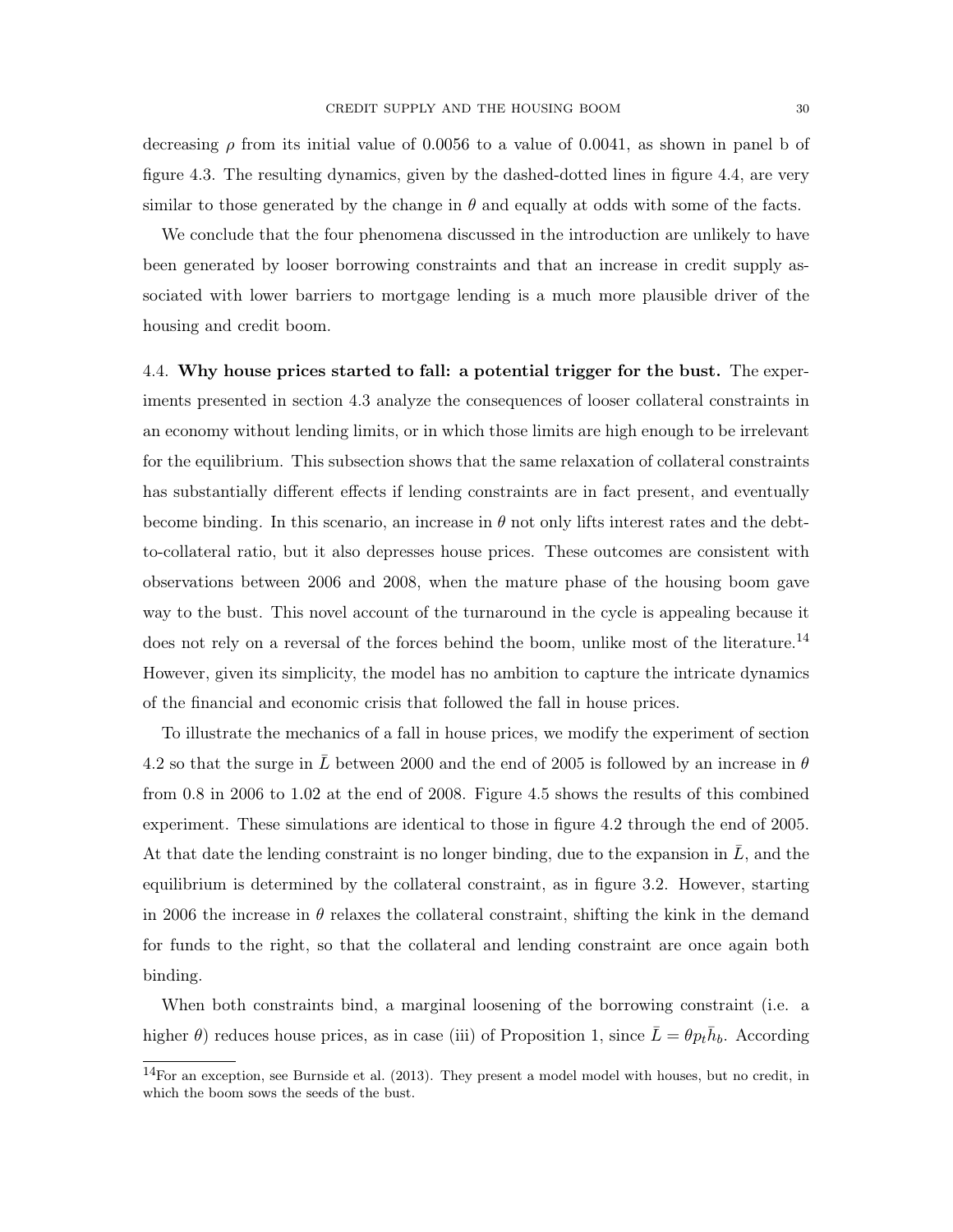decreasing  $\rho$  from its initial value of 0.0056 to a value of 0.0041, as shown in panel b of figure 4.3. The resulting dynamics, given by the dashed-dotted lines in figure 4.4, are very similar to those generated by the change in  $\theta$  and equally at odds with some of the facts.

We conclude that the four phenomena discussed in the introduction are unlikely to have been generated by looser borrowing constraints and that an increase in credit supply associated with lower barriers to mortgage lending is a much more plausible driver of the housing and credit boom.

4.4. Why house prices started to fall: a potential trigger for the bust. The experiments presented in section 4.3 analyze the consequences of looser collateral constraints in an economy without lending limits, or in which those limits are high enough to be irrelevant for the equilibrium. This subsection shows that the same relaxation of collateral constraints has substantially different effects if lending constraints are in fact present, and eventually become binding. In this scenario, an increase in  $\theta$  not only lifts interest rates and the debtto-collateral ratio, but it also depresses house prices. These outcomes are consistent with observations between 2006 and 2008, when the mature phase of the housing boom gave way to the bust. This novel account of the turnaround in the cycle is appealing because it does not rely on a reversal of the forces behind the boom, unlike most of the literature.<sup>14</sup> However, given its simplicity, the model has no ambition to capture the intricate dynamics of the financial and economic crisis that followed the fall in house prices.

To illustrate the mechanics of a fall in house prices, we modify the experiment of section 4.2 so that the surge in L between 2000 and the end of 2005 is followed by an increase in  $\theta$ from 0*.*8 in 2006 to 1*.*02 at the end of 2008. Figure 4.5 shows the results of this combined experiment. These simulations are identical to those in figure 4.2 through the end of 2005. At that date the lending constraint is no longer binding, due to the expansion in  $\overline{L}$ , and the equilibrium is determined by the collateral constraint, as in figure 3.2. However, starting in 2006 the increase in  $\theta$  relaxes the collateral constraint, shifting the kink in the demand for funds to the right, so that the collateral and lending constraint are once again both binding.

When both constraints bind, a marginal loosening of the borrowing constraint (i.e. a higher  $\theta$ ) reduces house prices, as in case (iii) of Proposition 1, since  $\bar{L} = \theta p_t \bar{h}_b$ . According

 $14$ For an exception, see Burnside et al. (2013). They present a model model with houses, but no credit, in which the boom sows the seeds of the bust.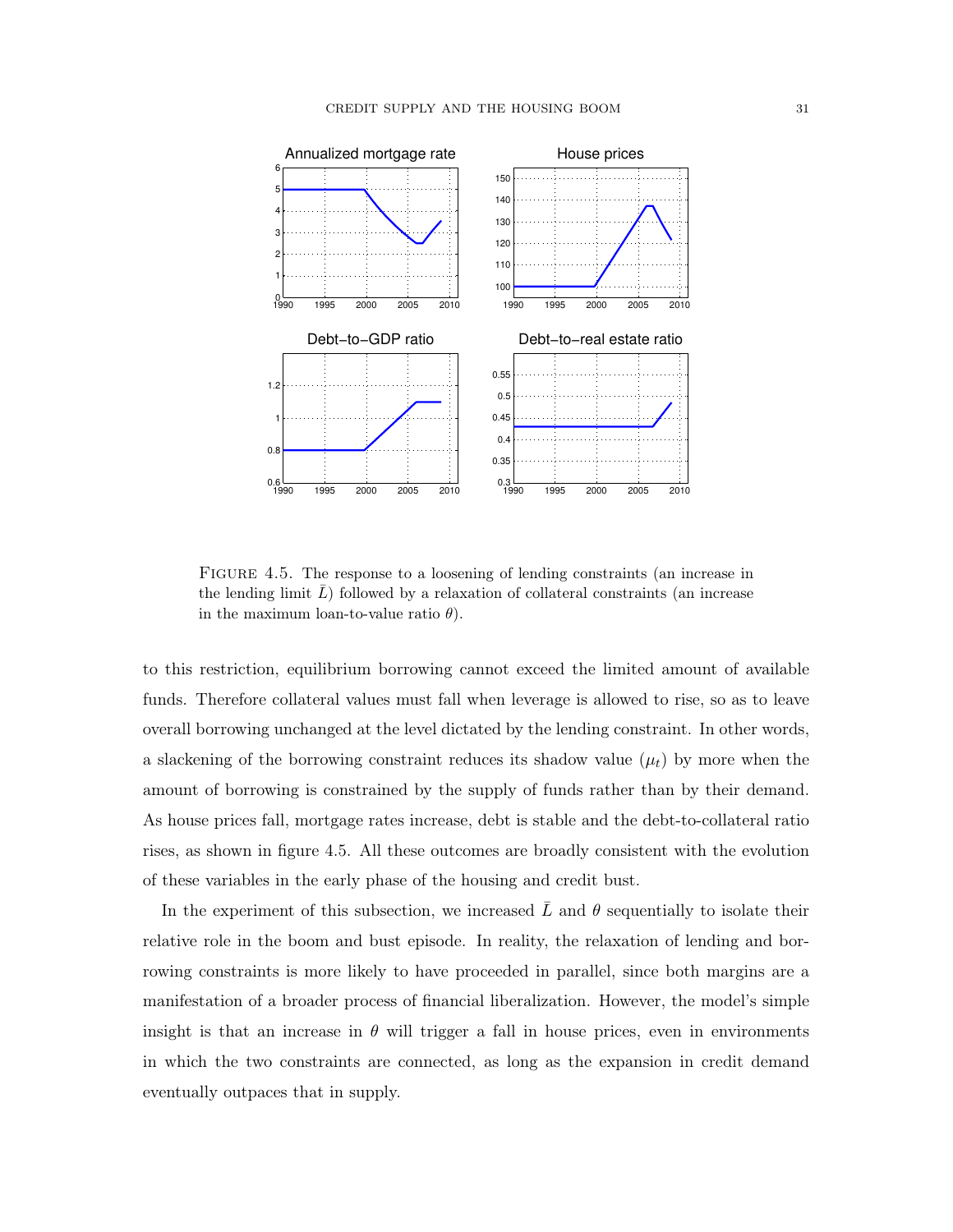

Figure 4.5. The response to a loosening of lending constraints (an increase in the lending limit  $\bar{L}$ ) followed by a relaxation of collateral constraints (an increase in the maximum loan-to-value ratio  $\theta$ ).

to this restriction, equilibrium borrowing cannot exceed the limited amount of available funds. Therefore collateral values must fall when leverage is allowed to rise, so as to leave overall borrowing unchanged at the level dictated by the lending constraint. In other words, a slackening of the borrowing constraint reduces its shadow value  $(\mu_t)$  by more when the amount of borrowing is constrained by the supply of funds rather than by their demand. As house prices fall, mortgage rates increase, debt is stable and the debt-to-collateral ratio rises, as shown in figure 4.5. All these outcomes are broadly consistent with the evolution of these variables in the early phase of the housing and credit bust.

In the experiment of this subsection, we increased L and  $\theta$  sequentially to isolate their relative role in the boom and bust episode. In reality, the relaxation of lending and borrowing constraints is more likely to have proceeded in parallel, since both margins are a manifestation of a broader process of financial liberalization. However, the model's simple insight is that an increase in  $\theta$  will trigger a fall in house prices, even in environments in which the two constraints are connected, as long as the expansion in credit demand eventually outpaces that in supply.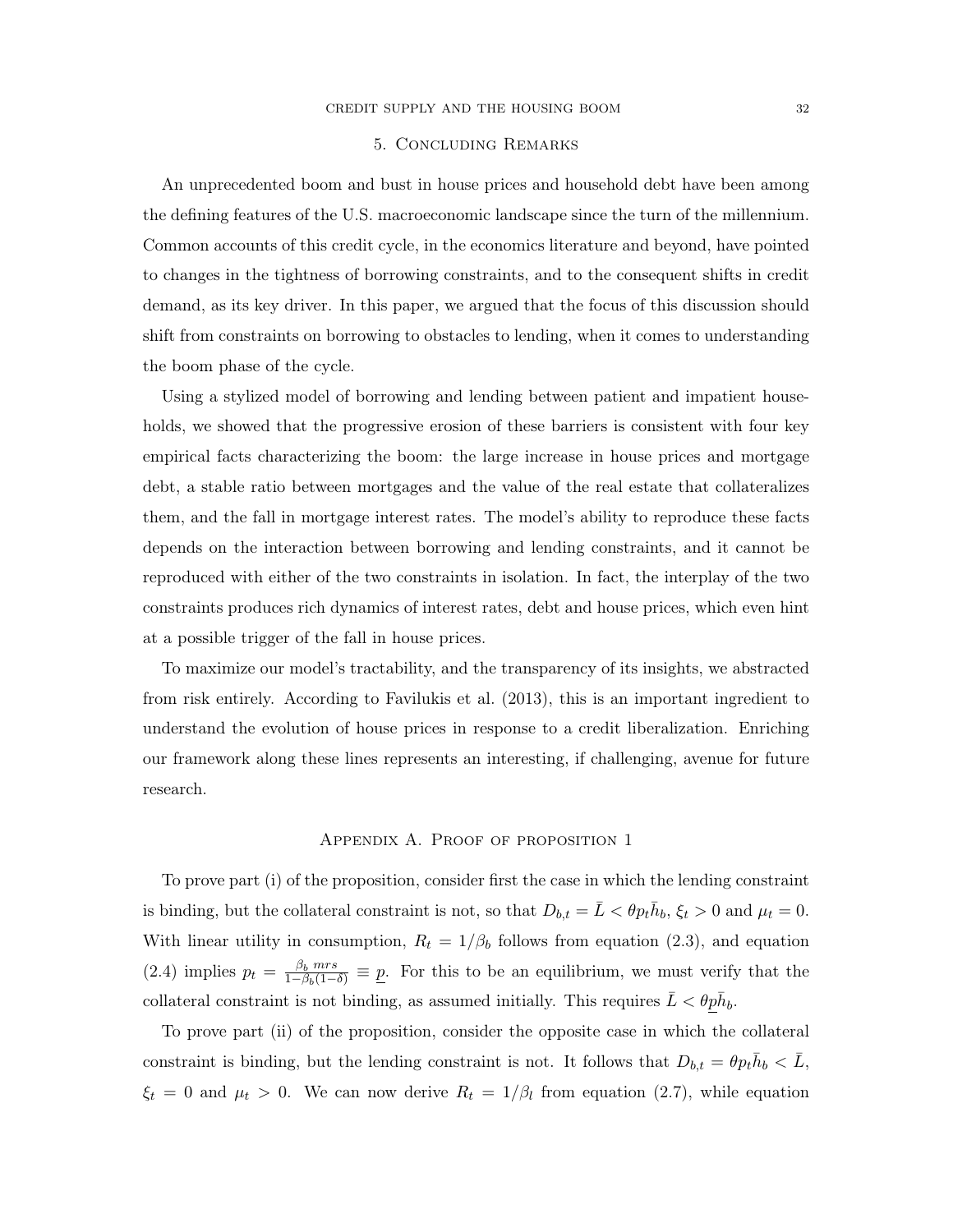## 5. Concluding Remarks

An unprecedented boom and bust in house prices and household debt have been among the defining features of the U.S. macroeconomic landscape since the turn of the millennium. Common accounts of this credit cycle, in the economics literature and beyond, have pointed to changes in the tightness of borrowing constraints, and to the consequent shifts in credit demand, as its key driver. In this paper, we argued that the focus of this discussion should shift from constraints on borrowing to obstacles to lending, when it comes to understanding the boom phase of the cycle.

Using a stylized model of borrowing and lending between patient and impatient households, we showed that the progressive erosion of these barriers is consistent with four key empirical facts characterizing the boom: the large increase in house prices and mortgage debt, a stable ratio between mortgages and the value of the real estate that collateralizes them, and the fall in mortgage interest rates. The model's ability to reproduce these facts depends on the interaction between borrowing and lending constraints, and it cannot be reproduced with either of the two constraints in isolation. In fact, the interplay of the two constraints produces rich dynamics of interest rates, debt and house prices, which even hint at a possible trigger of the fall in house prices.

To maximize our model's tractability, and the transparency of its insights, we abstracted from risk entirely. According to Favilukis et al. (2013), this is an important ingredient to understand the evolution of house prices in response to a credit liberalization. Enriching our framework along these lines represents an interesting, if challenging, avenue for future research.

#### Appendix A. Proof of proposition 1

To prove part (i) of the proposition, consider first the case in which the lending constraint is binding, but the collateral constraint is not, so that  $D_{b,t} = L < \theta p_t h_b$ ,  $\xi_t > 0$  and  $\mu_t = 0$ . With linear utility in consumption,  $R_t = 1/\beta_b$  follows from equation (2.3), and equation (2.4) implies  $p_t = \frac{\beta_b \, mrs}{1 - \beta_b(1 - \delta)} \equiv p$ . For this to be an equilibrium, we must verify that the collateral constraint is not binding, as assumed initially. This requires  $\bar{L} < \theta p \bar{h}_b$ .

To prove part (ii) of the proposition, consider the opposite case in which the collateral constraint is binding, but the lending constraint is not. It follows that  $D_{b,t} = \theta p_t \bar{h}_b < \bar{L}$ ,  $\xi_t = 0$  and  $\mu_t > 0$ . We can now derive  $R_t = 1/\beta_l$  from equation (2.7), while equation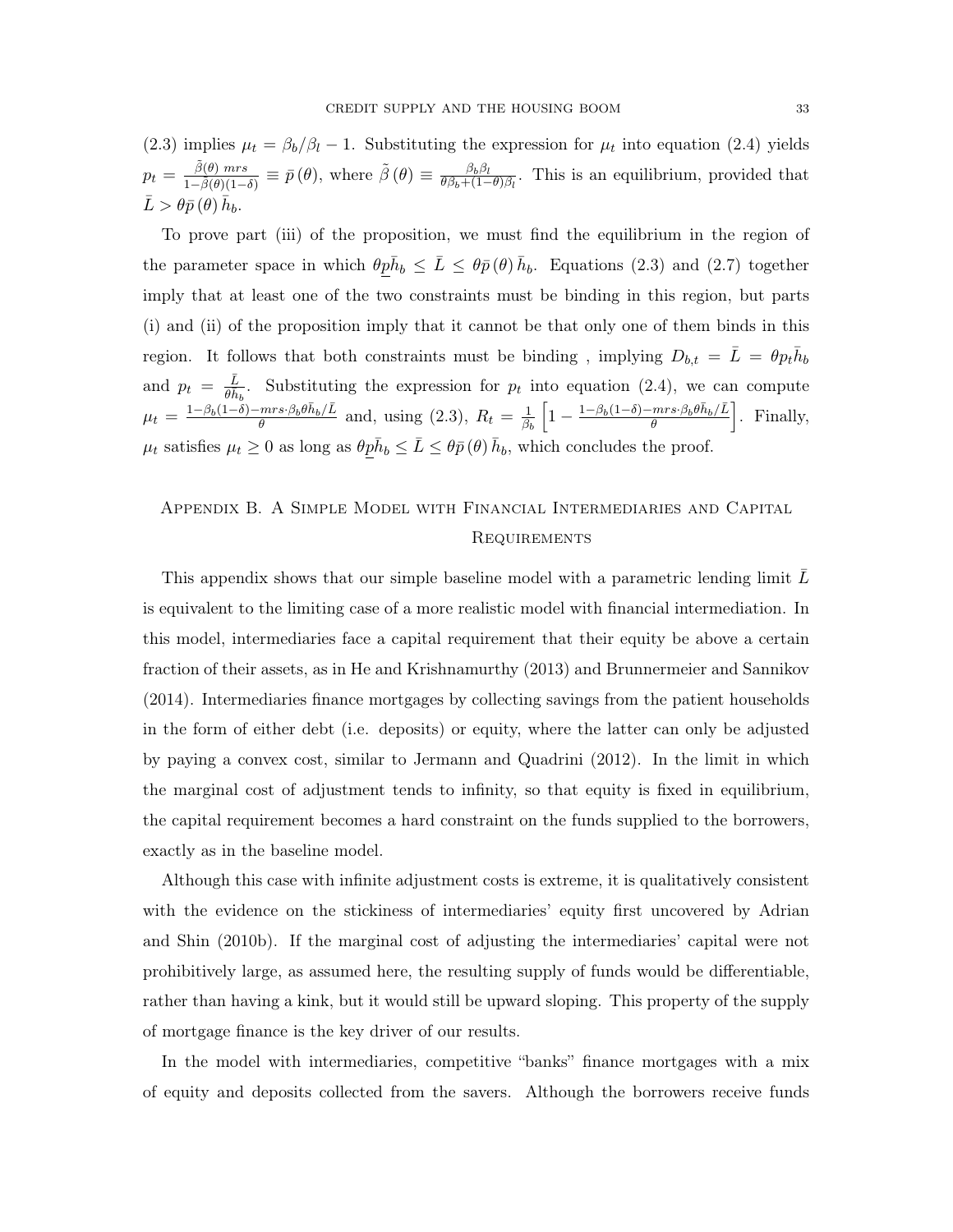(2.3) implies  $\mu_t = \beta_b/\beta_l - 1$ . Substituting the expression for  $\mu_t$  into equation (2.4) yields  $p_t = \frac{\tilde{\beta}(\theta) \, mrs}{1-\tilde{\beta}(\theta)(1-\delta)} \equiv \bar{p}(\theta)$ , where  $\tilde{\beta}(\theta) \equiv \frac{\beta_b \beta_l}{\theta \beta_b + (1-\theta)\beta_l}$ . This is an equilibrium, provided that  $\bar{L} > \theta \bar{p}(\theta) \bar{h}_b$ 

To prove part (iii) of the proposition, we must find the equilibrium in the region of the parameter space in which  $\theta \bar{p} \bar{h}_b \leq \bar{L} \leq \theta \bar{p}(\theta) \bar{h}_b$ . Equations (2.3) and (2.7) together imply that at least one of the two constraints must be binding in this region, but parts (i) and (ii) of the proposition imply that it cannot be that only one of them binds in this region. It follows that both constraints must be binding, implying  $D_{b,t} = \bar{L} = \theta p_t \bar{h}_b$ and  $p_t = \frac{\bar{L}}{\theta h_b}$ . Substituting the expression for  $p_t$  into equation (2.4), we can compute  $\mu_t = \frac{1 - \beta_b (1 - \delta) - mrs \cdot \beta_b \theta \bar{h}_b / \bar{L}}{\theta}$  and, using (2.3),  $R_t = \frac{1}{\beta_b}$  $\left[1 - \frac{1 - \beta_b(1-\delta) - mrs \cdot \beta_b\theta\bar{h}_b/\bar{L}}{\theta}\right]$ |. Finally,  $\mu_t$  satisfies  $\mu_t \geq 0$  as long as  $\theta p \bar{h}_b \leq \bar{L} \leq \theta \bar{p}(\theta) \bar{h}_b$ , which concludes the proof.

# Appendix B. A Simple Model with Financial Intermediaries and Capital **REQUIREMENTS**

This appendix shows that our simple baseline model with a parametric lending limit *L*¯ is equivalent to the limiting case of a more realistic model with financial intermediation. In this model, intermediaries face a capital requirement that their equity be above a certain fraction of their assets, as in He and Krishnamurthy (2013) and Brunnermeier and Sannikov (2014). Intermediaries finance mortgages by collecting savings from the patient households in the form of either debt (i.e. deposits) or equity, where the latter can only be adjusted by paying a convex cost, similar to Jermann and Quadrini (2012). In the limit in which the marginal cost of adjustment tends to infinity, so that equity is fixed in equilibrium, the capital requirement becomes a hard constraint on the funds supplied to the borrowers, exactly as in the baseline model.

Although this case with infinite adjustment costs is extreme, it is qualitatively consistent with the evidence on the stickiness of intermediaries' equity first uncovered by Adrian and Shin (2010b). If the marginal cost of adjusting the intermediaries' capital were not prohibitively large, as assumed here, the resulting supply of funds would be differentiable, rather than having a kink, but it would still be upward sloping. This property of the supply of mortgage finance is the key driver of our results.

In the model with intermediaries, competitive "banks" finance mortgages with a mix of equity and deposits collected from the savers. Although the borrowers receive funds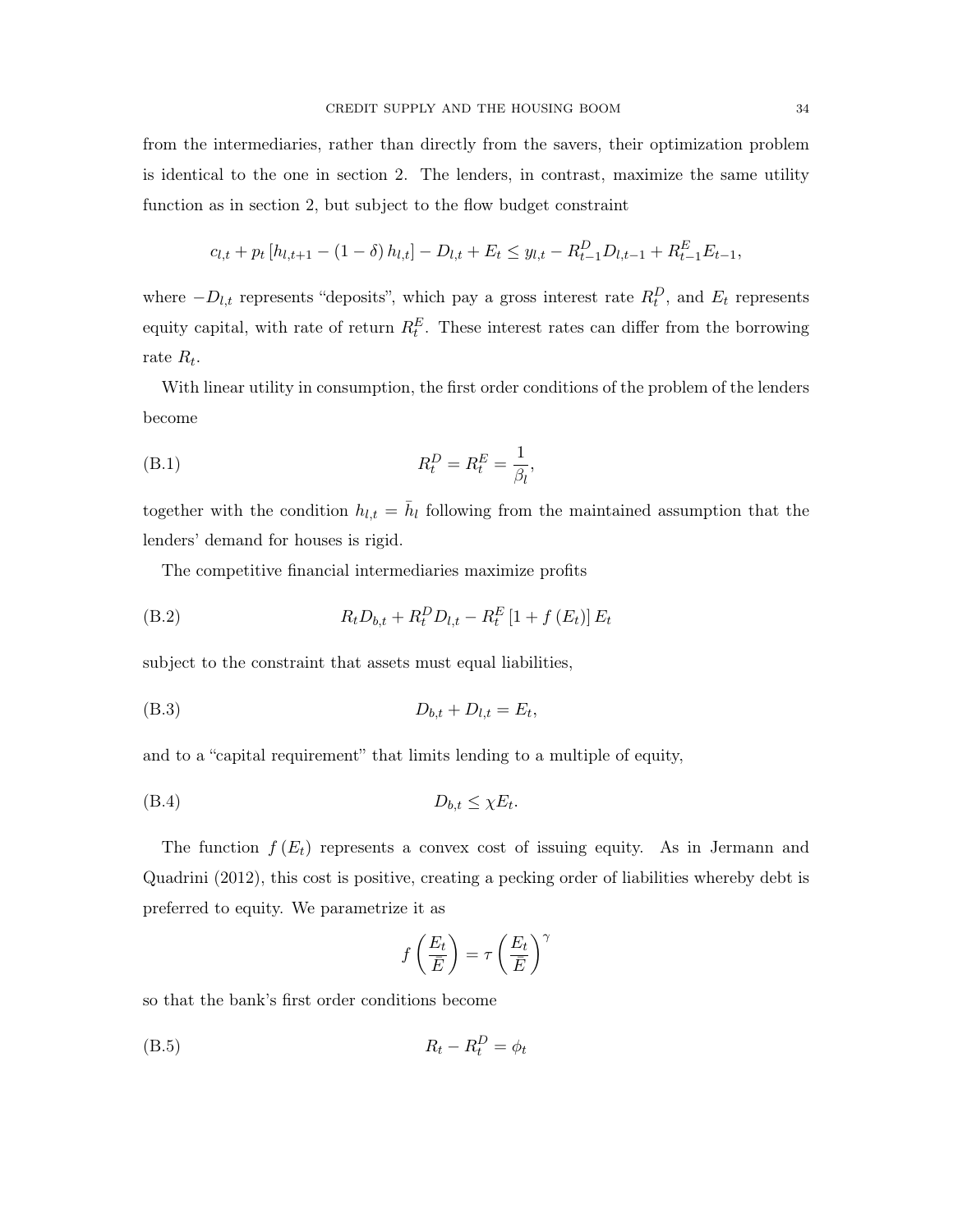from the intermediaries, rather than directly from the savers, their optimization problem is identical to the one in section 2. The lenders, in contrast, maximize the same utility function as in section 2, but subject to the flow budget constraint

$$
c_{l,t} + p_t[h_{l,t+1} - (1 - \delta)h_{l,t}] - D_{l,t} + E_t \leq y_{l,t} - R_{t-1}^D D_{l,t-1} + R_{t-1}^E E_{t-1},
$$

where  $-D_{l,t}$  represents "deposits", which pay a gross interest rate  $R_t^D$ , and  $E_t$  represents equity capital, with rate of return  $R_t^E$ . These interest rates can differ from the borrowing rate  $R_t$ *.* 

With linear utility in consumption, the first order conditions of the problem of the lenders become

(B.1) 
$$
R_t^D = R_t^E = \frac{1}{\beta_l},
$$

together with the condition  $h_{l,t} = \bar{h}_l$  following from the maintained assumption that the lenders' demand for houses is rigid.

The competitive financial intermediaries maximize profits

(B.2) 
$$
R_t D_{b,t} + R_t^D D_{l,t} - R_t^E [1 + f(E_t)] E_t
$$

subject to the constraint that assets must equal liabilities,

(B.3) 
$$
D_{b,t} + D_{l,t} = E_t,
$$

and to a "capital requirement" that limits lending to a multiple of equity,

$$
(B.4) \t\t D_{b,t} \leq \chi E_t.
$$

The function  $f(E_t)$  represents a convex cost of issuing equity. As in Jermann and Quadrini (2012), this cost is positive, creating a pecking order of liabilities whereby debt is preferred to equity. We parametrize it as

$$
f\left(\frac{E_t}{\bar{E}}\right) = \tau \left(\frac{E_t}{\bar{E}}\right)^{\gamma}
$$

so that the bank's first order conditions become

$$
(B.5) \t\t R_t - R_t^D = \phi_t
$$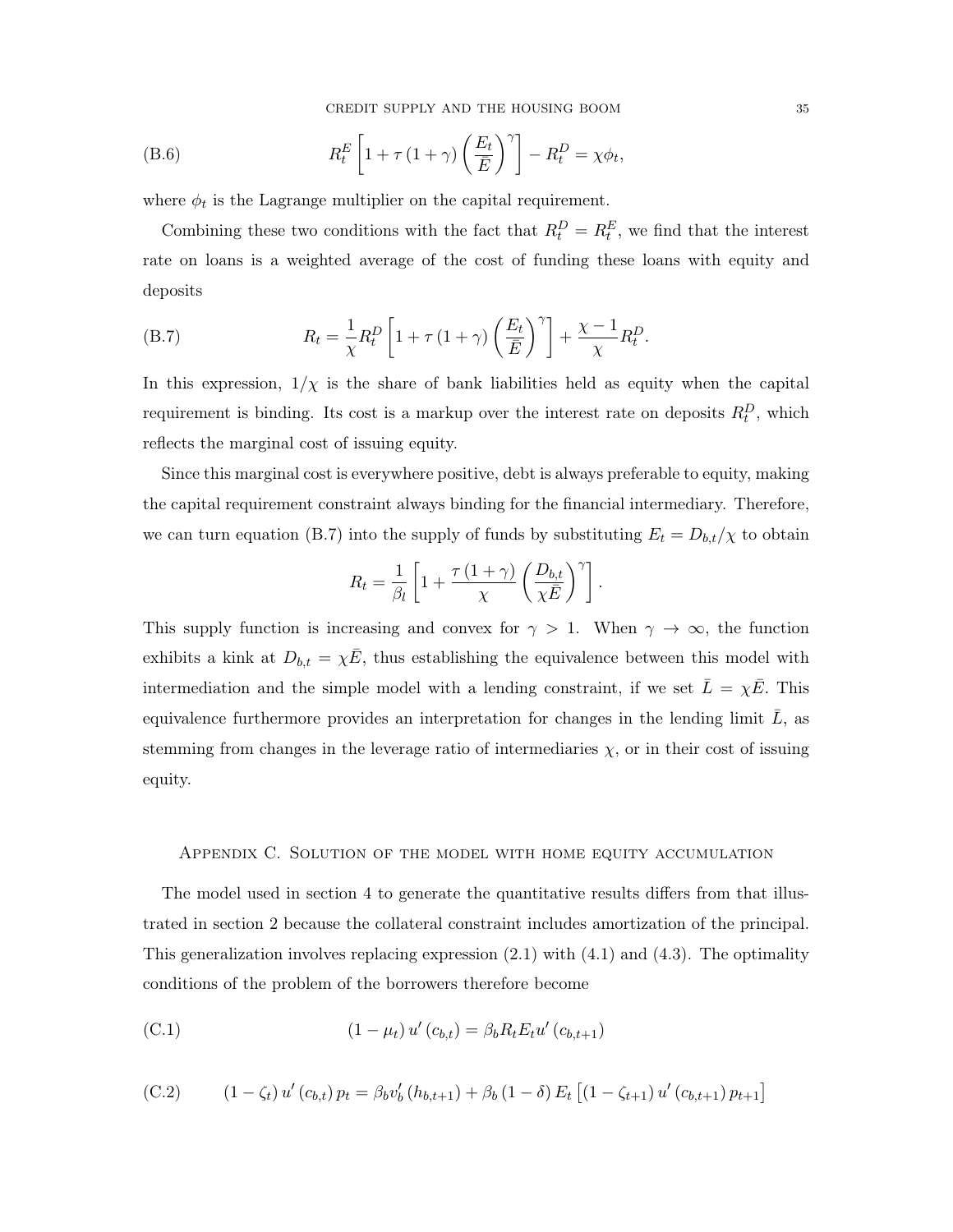CREDIT SUPPLY AND THE HOUSING BOOM 35

(B.6) 
$$
R_t^E \left[ 1 + \tau (1 + \gamma) \left( \frac{E_t}{\bar{E}} \right)^{\gamma} \right] - R_t^D = \chi \phi_t,
$$

where  $\phi_t$  is the Lagrange multiplier on the capital requirement.

Combining these two conditions with the fact that  $R_t^D = R_t^E$ , we find that the interest rate on loans is a weighted average of the cost of funding these loans with equity and deposits

(B.7) 
$$
R_t = \frac{1}{\chi} R_t^D \left[ 1 + \tau \left( 1 + \gamma \right) \left( \frac{E_t}{\bar{E}} \right)^{\gamma} \right] + \frac{\chi - 1}{\chi} R_t^D.
$$

In this expression,  $1/\chi$  is the share of bank liabilities held as equity when the capital requirement is binding. Its cost is a markup over the interest rate on deposits  $R_t^D$ , which reflects the marginal cost of issuing equity.

Since this marginal cost is everywhere positive, debt is always preferable to equity, making the capital requirement constraint always binding for the financial intermediary. Therefore, we can turn equation (B.7) into the supply of funds by substituting  $E_t = D_{b,t}/\chi$  to obtain

$$
R_t = \frac{1}{\beta_l} \left[ 1 + \frac{\tau (1 + \gamma)}{\chi} \left( \frac{D_{b,t}}{\chi \bar{E}} \right)^{\gamma} \right].
$$

This supply function is increasing and convex for  $\gamma > 1$ . When  $\gamma \to \infty$ , the function exhibits a kink at  $D_{b,t} = \chi \bar{E}$ , thus establishing the equivalence between this model with intermediation and the simple model with a lending constraint, if we set  $\bar{L} = \chi \bar{E}$ . This equivalence furthermore provides an interpretation for changes in the lending limit  $L$ , as stemming from changes in the leverage ratio of intermediaries  $\chi$ , or in their cost of issuing equity.

#### Appendix C. Solution of the model with home equity accumulation

The model used in section 4 to generate the quantitative results differs from that illustrated in section 2 because the collateral constraint includes amortization of the principal. This generalization involves replacing expression  $(2.1)$  with  $(4.1)$  and  $(4.3)$ . The optimality conditions of the problem of the borrowers therefore become

(C.1) 
$$
(1 - \mu_t) u'(c_{b,t}) = \beta_b R_t E_t u'(c_{b,t+1})
$$

$$
(C.2) \qquad (1 - \zeta_t) u'(c_{b,t}) p_t = \beta_b v'_b(h_{b,t+1}) + \beta_b (1 - \delta) E_t [(1 - \zeta_{t+1}) u'(c_{b,t+1}) p_{t+1}]
$$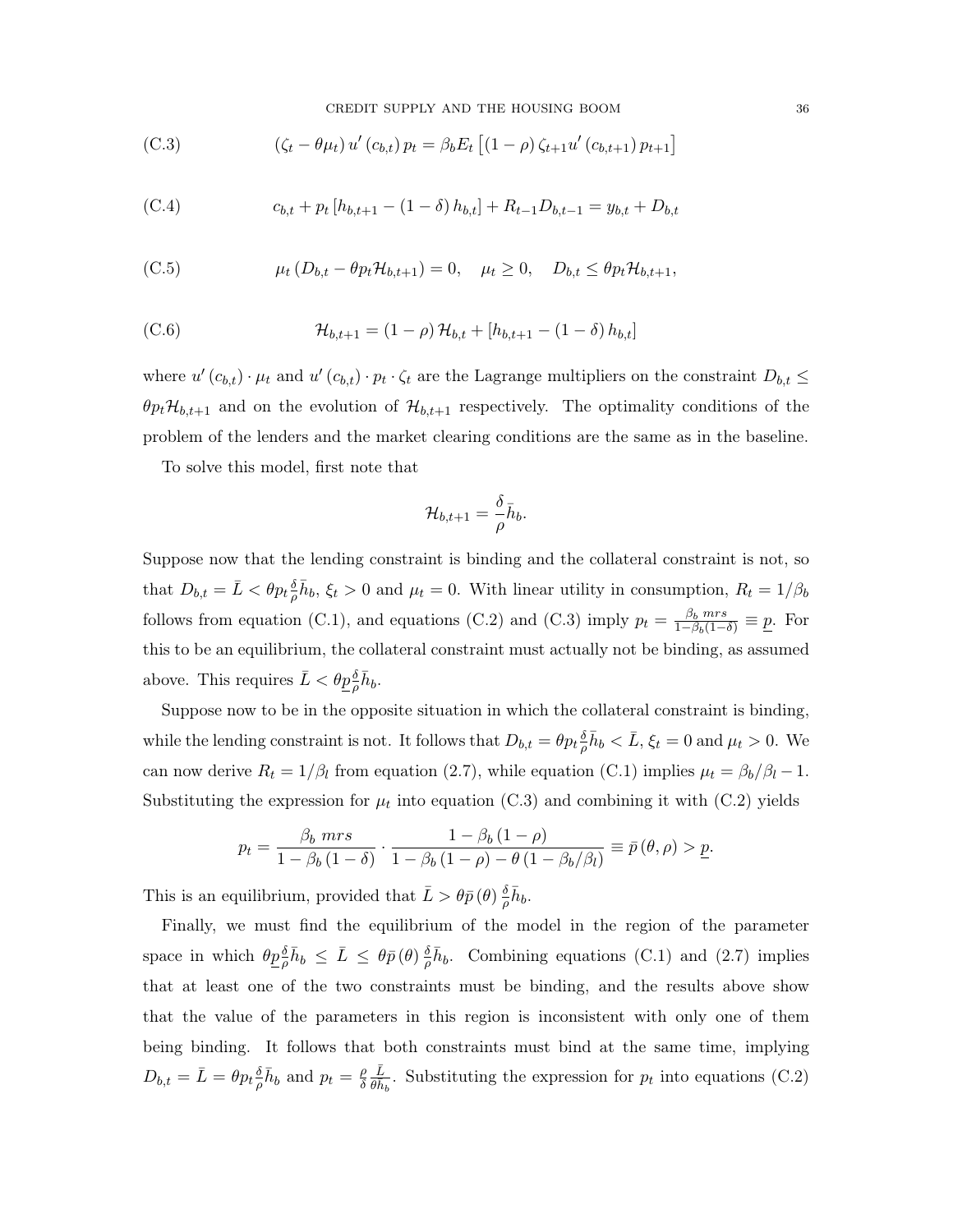CREDIT SUPPLY AND THE HOUSING BOOM 36

(C.3) 
$$
(\zeta_t - \theta \mu_t) u'(c_{b,t}) p_t = \beta_b E_t [(1 - \rho) \zeta_{t+1} u'(c_{b,t+1}) p_{t+1}]
$$

(C.4) 
$$
c_{b,t} + p_t [h_{b,t+1} - (1 - \delta) h_{b,t}] + R_{t-1} D_{b,t-1} = y_{b,t} + D_{b,t}
$$

(C.5) 
$$
\mu_t \left( D_{b,t} - \theta p_t \mathcal{H}_{b,t+1} \right) = 0, \quad \mu_t \geq 0, \quad D_{b,t} \leq \theta p_t \mathcal{H}_{b,t+1},
$$

(C.6) 
$$
\mathcal{H}_{b,t+1} = (1 - \rho) \mathcal{H}_{b,t} + [h_{b,t+1} - (1 - \delta) h_{b,t}]
$$

where  $u'(c_{b,t}) \cdot \mu_t$  and  $u'(c_{b,t}) \cdot p_t \cdot \zeta_t$  are the Lagrange multipliers on the constraint  $D_{b,t} \leq$  $\theta p_t \mathcal{H}_{b,t+1}$  and on the evolution of  $\mathcal{H}_{b,t+1}$  respectively. The optimality conditions of the problem of the lenders and the market clearing conditions are the same as in the baseline.

To solve this model, first note that

$$
\mathcal{H}_{b,t+1} = \frac{\delta}{\rho} \bar{h}_b.
$$

Suppose now that the lending constraint is binding and the collateral constraint is not, so that  $D_{b,t} = \bar{L} < \theta p_t \frac{\delta}{\rho}$  $\frac{\delta}{\rho} \bar{h}_b$ ,  $\xi_t > 0$  and  $\mu_t = 0$ . With linear utility in consumption,  $R_t = 1/\beta_b$ follows from equation (C.1), and equations (C.2) and (C.3) imply  $p_t = \frac{\beta_b \, mrs}{1 - \beta_b(1-\delta)} \equiv \underline{p}$ . For this to be an equilibrium, the collateral constraint must actually not be binding, as assumed above. This requires  $\bar{L} < \theta \underline{p}_{\rho}^{\delta} \bar{h}_b$ .

Suppose now to be in the opposite situation in which the collateral constraint is binding, while the lending constraint is not. It follows that  $D_{b,t} = \theta p_t \frac{\delta}{a}$  $\frac{\delta}{\rho} \bar{h}_b < \bar{L}, \xi_t = 0$  and  $\mu_t > 0$ . We can now derive  $R_t = 1/\beta_l$  from equation (2.7), while equation (C.1) implies  $\mu_t = \beta_b/\beta_l - 1$ . Substituting the expression for  $\mu_t$  into equation (C.3) and combining it with (C.2) yields

$$
p_t = \frac{\beta_b \, mrs}{1 - \beta_b \left(1 - \delta\right)} \cdot \frac{1 - \beta_b \left(1 - \rho\right)}{1 - \beta_b \left(1 - \rho\right) - \theta \left(1 - \beta_b / \beta_l\right)} \equiv \bar{p}\left(\theta, \rho\right) > \underline{p}.
$$

This is an equilibrium, provided that  $\bar{L} > \theta \bar{p}(\theta) \frac{\delta}{\rho} \bar{h}_b$ .

Finally, we must find the equilibrium of the model in the region of the parameter space in which  $\theta \underline{p}_{\rho}^{\delta} \bar{h}_b \leq \bar{L} \leq \theta \bar{p}(\theta) \frac{\delta}{\rho} \bar{h}_b$ . Combining equations (C.1) and (2.7) implies that at least one of the two constraints must be binding, and the results above show that the value of the parameters in this region is inconsistent with only one of them being binding. It follows that both constraints must bind at the same time, implying  $D_{b,t} = \bar{L} = \theta p_t \frac{\delta}{a}$  $\frac{\delta}{\rho} \bar{h}_b$  and  $p_t = \frac{\rho}{\delta}$ *L*¯  $\frac{L}{\theta h_b}$ . Substituting the expression for  $p_t$  into equations (C.2)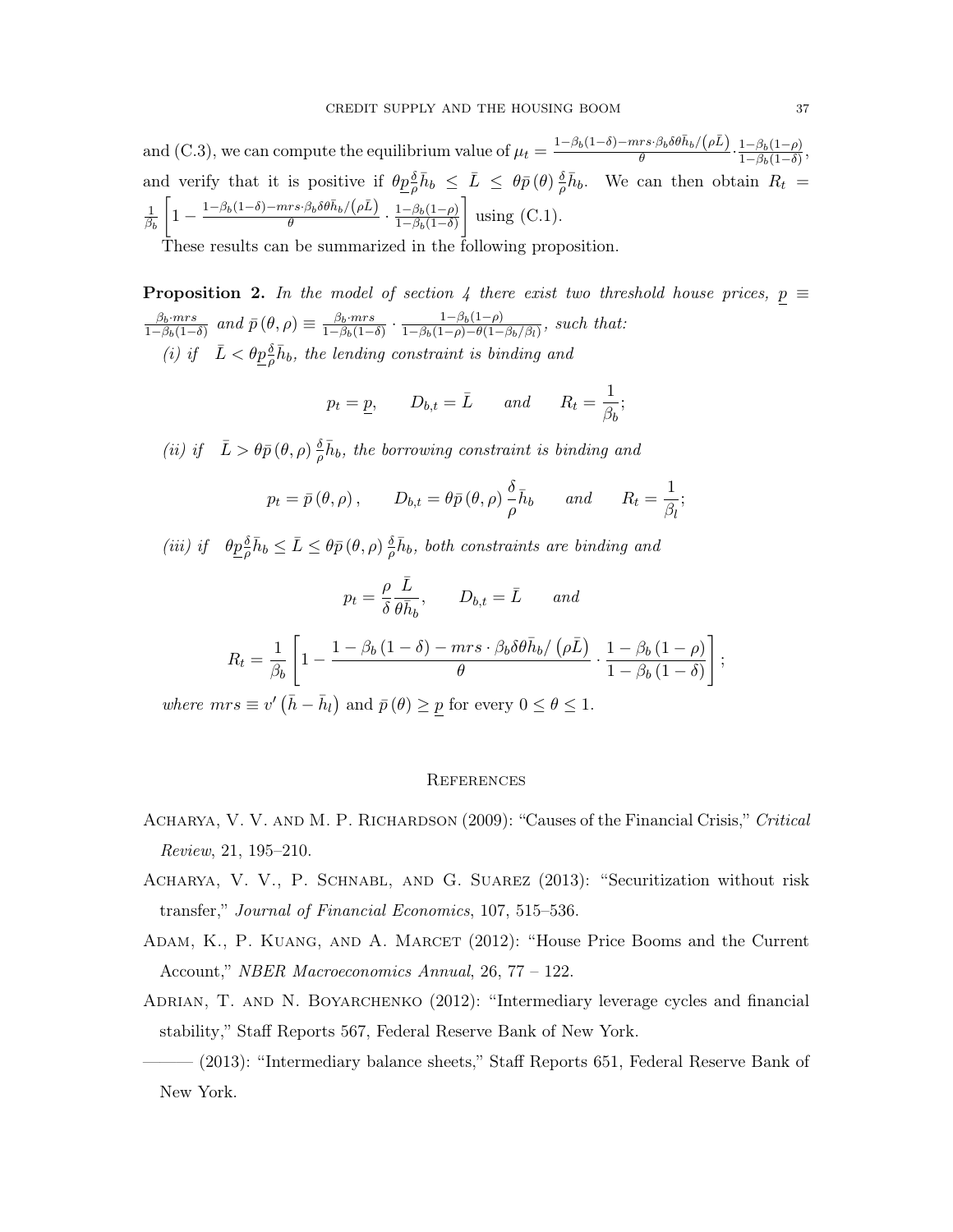and (C.3), we can compute the equilibrium value of  $\mu_t = \frac{1-\beta_b(1-\delta)-mrs\cdot\beta_b\delta\theta\bar{h}_b/(\rho\bar{L})}{\theta}\cdot\frac{1-\beta_b(1-\rho)}{1-\beta_b(1-\delta)},$ and verify that it is positive if  $\theta \underline{p}_{\rho}^{\delta} \bar{h}_b \leq \bar{L} \leq \theta \bar{p}(\theta) \frac{\delta}{\rho} \bar{h}_b$ . We can then obtain  $R_t =$ 1  $\beta_b$  $\left[1 - \frac{1-\beta_b(1-\delta) - mrs\cdot\beta_b\delta\theta\bar{h}_b/(\rho\bar{L})}{\theta}\cdot\frac{1-\beta_b(1-\rho)}{1-\beta_b(1-\delta)}\right]$ 1 using  $(C.1)$ .

These results can be summarized in the following proposition.

**Proposition 2.** In the model of section 4 there exist two threshold house prices,  $p \equiv$  $\frac{\beta_b \cdot mrs}{1-\beta_b(1-\delta)}$  and  $\bar{p}(\theta,\rho) \equiv \frac{\beta_b \cdot mrs}{1-\beta_b(1-\delta)} \cdot \frac{1-\beta_b(1-\rho)}{1-\beta_b(1-\rho)-\theta(1-\beta_b/\beta_l)}$ , such that: *(i)* if  $\bar{L} < \theta \frac{p}{\rho} \bar{h}_b$ , the lending constraint is binding and

$$
p_t = \underline{p}, \qquad D_{b,t} = \overline{L} \qquad and \qquad R_t = \frac{1}{\beta_b};
$$

*(ii)* if  $\bar{L} > \theta \bar{p}(\theta, \rho) \frac{\delta}{\rho} \bar{h}_b$ , the borrowing constraint is binding and

$$
p_t = \bar{p}(\theta, \rho),
$$
  $D_{b,t} = \theta \bar{p}(\theta, \rho) \frac{\delta}{\rho} \bar{h}_b$  and  $R_t = \frac{1}{\beta_l};$ 

 $(iii)$  if  $\theta \underline{p}_{\overline{\rho}}^{\delta} \overline{h}_b \leq \overline{L} \leq \theta \overline{p}(\theta, \rho) \frac{\delta}{\rho} \overline{h}_b$ , both constraints are binding and

$$
p_t = \frac{\rho}{\delta} \frac{\bar{L}}{\theta \bar{h}_b}, \qquad D_{b,t} = \bar{L} \qquad and
$$

$$
R_t = \frac{1}{\beta_b} \left[ 1 - \frac{1 - \beta_b (1 - \delta) - mrs \cdot \beta_b \delta \theta \bar{h}_b / (\rho \bar{L})}{\theta} \cdot \frac{1 - \beta_b (1 - \rho)}{1 - \beta_b (1 - \delta)} \right]
$$

where  $mrs \equiv v'(\bar{h} - \bar{h}_l)$  and  $\bar{p}(\theta) \geq \bar{p}$  for every  $0 \leq \theta \leq 1$ .

### **REFERENCES**

- Acharya, V. V. and M. P. Richardson (2009): "Causes of the Financial Crisis," *Critical Review*, 21, 195–210.
- Acharya, V. V., P. Schnabl, and G. Suarez (2013): "Securitization without risk transfer," *Journal of Financial Economics*, 107, 515–536.
- Adam, K., P. Kuang, and A. Marcet (2012): "House Price Booms and the Current Account," *NBER Macroeconomics Annual*, 26, 77 – 122.
- Adrian, T. and N. Boyarchenko (2012): "Intermediary leverage cycles and financial stability," Staff Reports 567, Federal Reserve Bank of New York.
- (2013): "Intermediary balance sheets," Staff Reports 651, Federal Reserve Bank of New York.

1 ;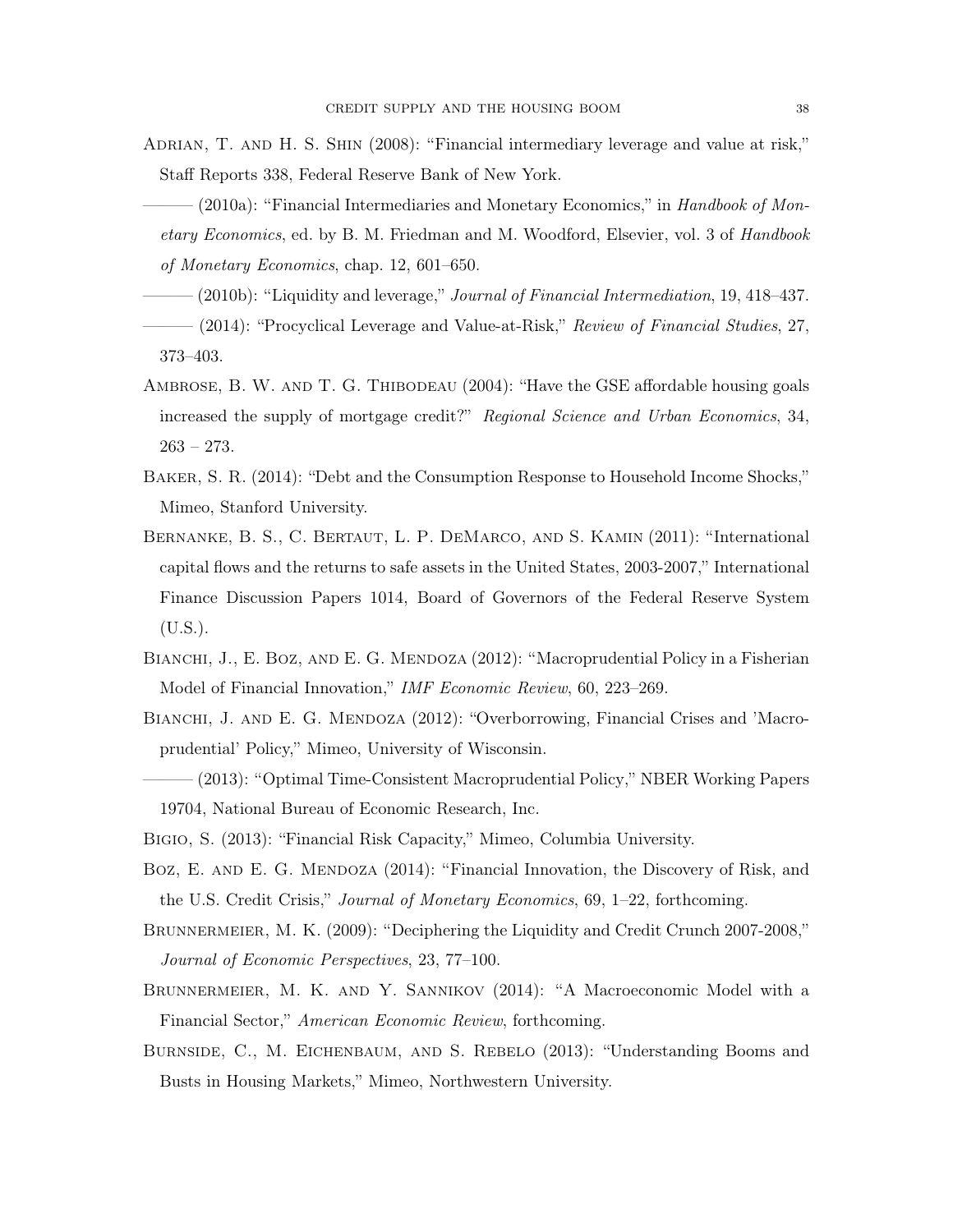- Adrian, T. and H. S. Shin (2008): "Financial intermediary leverage and value at risk," Staff Reports 338, Federal Reserve Bank of New York.
- ——— (2010a): "Financial Intermediaries and Monetary Economics," in *Handbook of Monetary Economics*, ed. by B. M. Friedman and M. Woodford, Elsevier, vol. 3 of *Handbook of Monetary Economics*, chap. 12, 601–650.
- ——— (2010b): "Liquidity and leverage," *Journal of Financial Intermediation*, 19, 418–437.
- ——— (2014): "Procyclical Leverage and Value-at-Risk," *Review of Financial Studies*, 27, 373–403.
- AMBROSE, B. W. AND T. G. THIBODEAU (2004): "Have the GSE affordable housing goals increased the supply of mortgage credit?" *Regional Science and Urban Economics*, 34,  $263 - 273.$
- Baker, S. R. (2014): "Debt and the Consumption Response to Household Income Shocks," Mimeo, Stanford University.
- Bernanke, B. S., C. Bertaut, L. P. DeMarco, and S. Kamin (2011): "International capital flows and the returns to safe assets in the United States, 2003-2007," International Finance Discussion Papers 1014, Board of Governors of the Federal Reserve System (U.S.).
- BIANCHI, J., E. BOZ, AND E. G. MENDOZA (2012): "Macroprudential Policy in a Fisherian Model of Financial Innovation," *IMF Economic Review*, 60, 223–269.
- BIANCHI, J. AND E. G. MENDOZA (2012): "Overborrowing, Financial Crises and 'Macroprudential' Policy," Mimeo, University of Wisconsin.
- ——— (2013): "Optimal Time-Consistent Macroprudential Policy," NBER Working Papers 19704, National Bureau of Economic Research, Inc.
- Bigio, S. (2013): "Financial Risk Capacity," Mimeo, Columbia University.
- BOZ, E. AND E. G. MENDOZA (2014): "Financial Innovation, the Discovery of Risk, and the U.S. Credit Crisis," *Journal of Monetary Economics*, 69, 1–22, forthcoming.
- BRUNNERMEIER, M. K. (2009): "Deciphering the Liquidity and Credit Crunch 2007-2008," *Journal of Economic Perspectives*, 23, 77–100.
- Brunnermeier, M. K. and Y. Sannikov (2014): "A Macroeconomic Model with a Financial Sector," *American Economic Review*, forthcoming.
- Burnside, C., M. Eichenbaum, and S. Rebelo (2013): "Understanding Booms and Busts in Housing Markets," Mimeo, Northwestern University.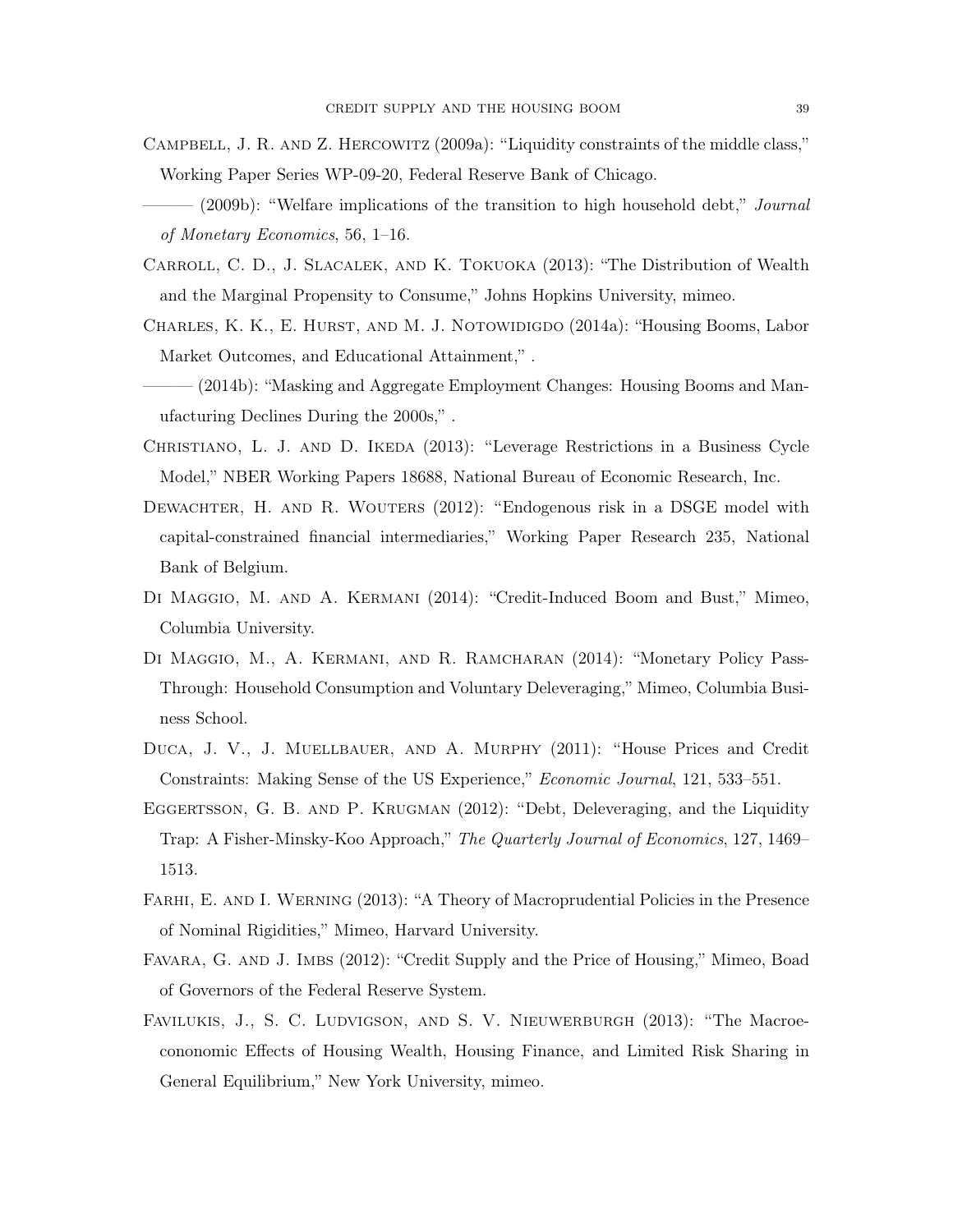- Campbell, J. R. and Z. Hercowitz (2009a): "Liquidity constraints of the middle class," Working Paper Series WP-09-20, Federal Reserve Bank of Chicago.
- ——— (2009b): "Welfare implications of the transition to high household debt," *Journal of Monetary Economics*, 56, 1–16.
- Carroll, C. D., J. Slacalek, and K. Tokuoka (2013): "The Distribution of Wealth and the Marginal Propensity to Consume," Johns Hopkins University, mimeo.
- Charles, K. K., E. Hurst, and M. J. Notowidigdo (2014a): "Housing Booms, Labor Market Outcomes, and Educational Attainment," .
- (2014b): "Masking and Aggregate Employment Changes: Housing Booms and Manufacturing Declines During the 2000s," .
- Christiano, L. J. and D. Ikeda (2013): "Leverage Restrictions in a Business Cycle Model," NBER Working Papers 18688, National Bureau of Economic Research, Inc.
- DEWACHTER, H. AND R. WOUTERS (2012): "Endogenous risk in a DSGE model with capital-constrained financial intermediaries," Working Paper Research 235, National Bank of Belgium.
- Di Maggio, M. and A. Kermani (2014): "Credit-Induced Boom and Bust," Mimeo, Columbia University.
- Di Maggio, M., A. Kermani, and R. Ramcharan (2014): "Monetary Policy Pass-Through: Household Consumption and Voluntary Deleveraging," Mimeo, Columbia Business School.
- Duca, J. V., J. Muellbauer, and A. Murphy (2011): "House Prices and Credit Constraints: Making Sense of the US Experience," *Economic Journal*, 121, 533–551.
- Eggertsson, G. B. and P. Krugman (2012): "Debt, Deleveraging, and the Liquidity Trap: A Fisher-Minsky-Koo Approach," *The Quarterly Journal of Economics*, 127, 1469– 1513.
- FARHI, E. AND I. WERNING (2013): "A Theory of Macroprudential Policies in the Presence of Nominal Rigidities," Mimeo, Harvard University.
- Favara, G. and J. Imbs (2012): "Credit Supply and the Price of Housing," Mimeo, Boad of Governors of the Federal Reserve System.
- FAVILUKIS, J., S. C. LUDVIGSON, AND S. V. NIEUWERBURGH (2013): "The Macroecononomic Effects of Housing Wealth, Housing Finance, and Limited Risk Sharing in General Equilibrium," New York University, mimeo.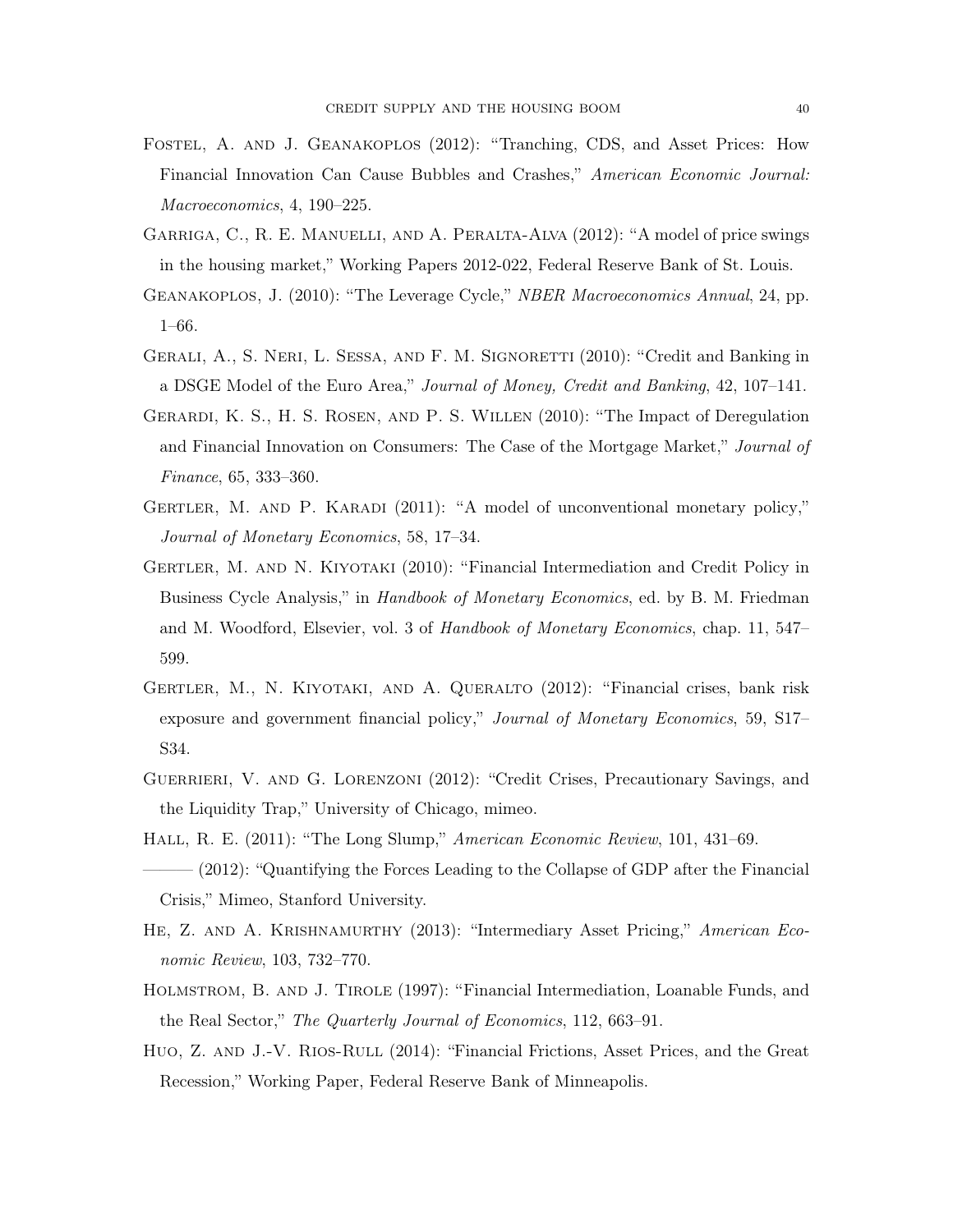- Fostel, A. and J. Geanakoplos (2012): "Tranching, CDS, and Asset Prices: How Financial Innovation Can Cause Bubbles and Crashes," *American Economic Journal: Macroeconomics*, 4, 190–225.
- Garriga, C., R. E. Manuelli, and A. Peralta-Alva (2012): "A model of price swings in the housing market," Working Papers 2012-022, Federal Reserve Bank of St. Louis.
- Geanakoplos, J. (2010): "The Leverage Cycle," *NBER Macroeconomics Annual*, 24, pp. 1–66.
- GERALI, A., S. NERI, L. SESSA, AND F. M. SIGNORETTI (2010): "Credit and Banking in a DSGE Model of the Euro Area," *Journal of Money, Credit and Banking*, 42, 107–141.
- Gerardi, K. S., H. S. Rosen, and P. S. Willen (2010): "The Impact of Deregulation and Financial Innovation on Consumers: The Case of the Mortgage Market," *Journal of Finance*, 65, 333–360.
- GERTLER, M. AND P. KARADI (2011): "A model of unconventional monetary policy." *Journal of Monetary Economics*, 58, 17–34.
- Gertler, M. and N. Kiyotaki (2010): "Financial Intermediation and Credit Policy in Business Cycle Analysis," in *Handbook of Monetary Economics*, ed. by B. M. Friedman and M. Woodford, Elsevier, vol. 3 of *Handbook of Monetary Economics*, chap. 11, 547– 599.
- Gertler, M., N. Kiyotaki, and A. Queralto (2012): "Financial crises, bank risk exposure and government financial policy," *Journal of Monetary Economics*, 59, S17– S34.
- Guerrieri, V. and G. Lorenzoni (2012): "Credit Crises, Precautionary Savings, and the Liquidity Trap," University of Chicago, mimeo.
- Hall, R. E. (2011): "The Long Slump," *American Economic Review*, 101, 431–69.
- $-$  (2012): "Quantifying the Forces Leading to the Collapse of GDP after the Financial Crisis," Mimeo, Stanford University.
- He, Z. and A. Krishnamurthy (2013): "Intermediary Asset Pricing," *American Economic Review*, 103, 732–770.
- Holmstrom, B. and J. Tirole (1997): "Financial Intermediation, Loanable Funds, and the Real Sector," *The Quarterly Journal of Economics*, 112, 663–91.
- HUO, Z. AND J.-V. RIOS-RULL (2014): "Financial Frictions, Asset Prices, and the Great Recession," Working Paper, Federal Reserve Bank of Minneapolis.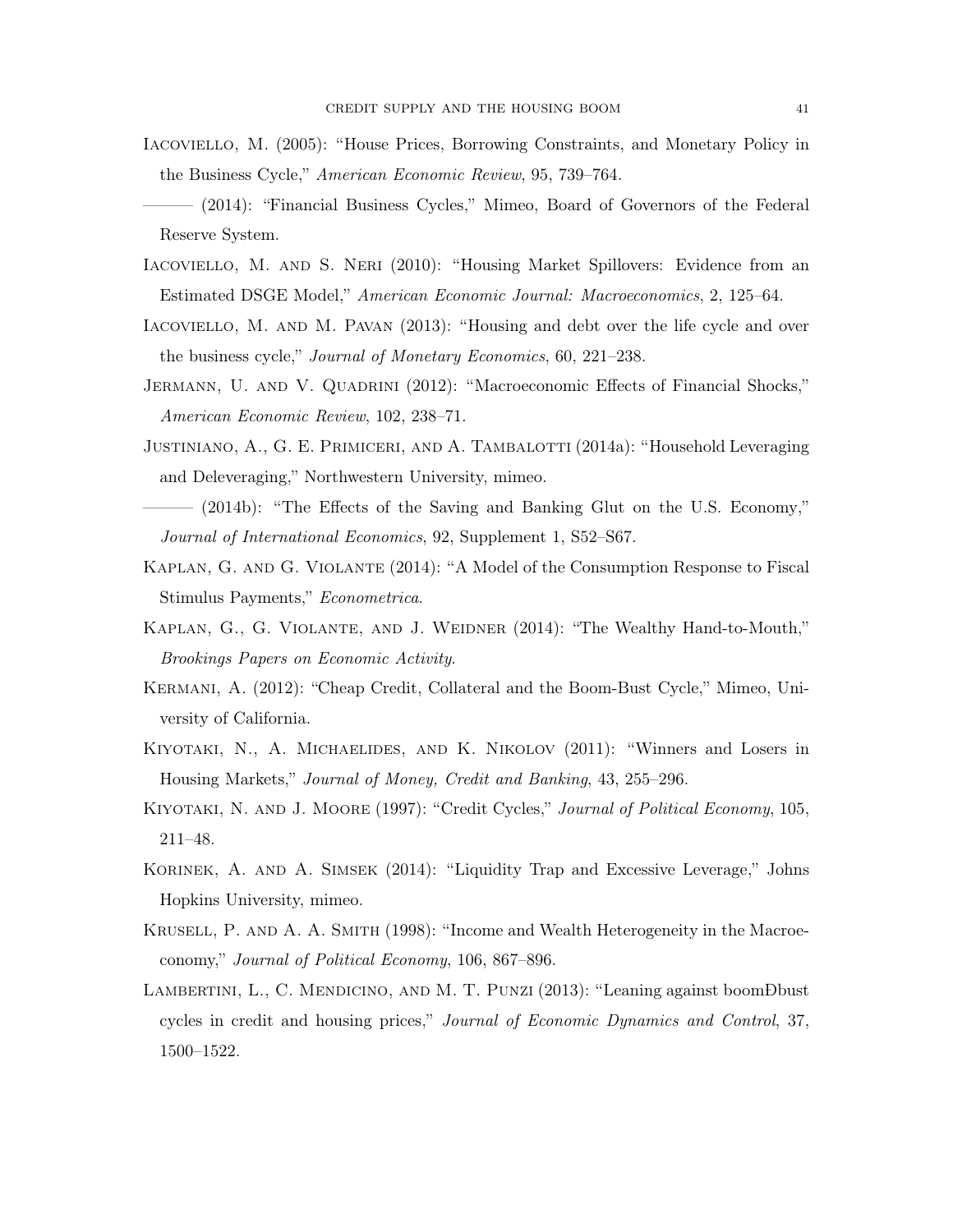- Iacoviello, M. (2005): "House Prices, Borrowing Constraints, and Monetary Policy in the Business Cycle," *American Economic Review*, 95, 739–764.
- ——— (2014): "Financial Business Cycles," Mimeo, Board of Governors of the Federal Reserve System.
- Iacoviello, M. and S. Neri (2010): "Housing Market Spillovers: Evidence from an Estimated DSGE Model," *American Economic Journal: Macroeconomics*, 2, 125–64.
- Iacoviello, M. and M. Pavan (2013): "Housing and debt over the life cycle and over the business cycle," *Journal of Monetary Economics*, 60, 221–238.
- JERMANN, U. AND V. QUADRINI (2012): "Macroeconomic Effects of Financial Shocks," *American Economic Review*, 102, 238–71.
- JUSTINIANO, A., G. E. PRIMICERI, AND A. TAMBALOTTI (2014a): "Household Leveraging and Deleveraging," Northwestern University, mimeo.
- $(2014b)$ : "The Effects of the Saving and Banking Glut on the U.S. Economy," *Journal of International Economics*, 92, Supplement 1, S52–S67.
- Kaplan, G. and G. Violante (2014): "A Model of the Consumption Response to Fiscal Stimulus Payments," *Econometrica*.
- KAPLAN, G., G. VIOLANTE, AND J. WEIDNER (2014): "The Wealthy Hand-to-Mouth," *Brookings Papers on Economic Activity*.
- Kermani, A. (2012): "Cheap Credit, Collateral and the Boom-Bust Cycle," Mimeo, University of California.
- Kiyotaki, N., A. Michaelides, and K. Nikolov (2011): "Winners and Losers in Housing Markets," *Journal of Money, Credit and Banking*, 43, 255–296.
- Kiyotaki, N. and J. Moore (1997): "Credit Cycles," *Journal of Political Economy*, 105, 211–48.
- Korinek, A. and A. Simsek (2014): "Liquidity Trap and Excessive Leverage," Johns Hopkins University, mimeo.
- KRUSELL, P. AND A. A. SMITH (1998): "Income and Wealth Heterogeneity in the Macroeconomy," *Journal of Political Economy*, 106, 867–896.
- Lambertini, L., C. Mendicino, and M. T. Punzi (2013): "Leaning against boomÐbust cycles in credit and housing prices," *Journal of Economic Dynamics and Control*, 37, 1500–1522.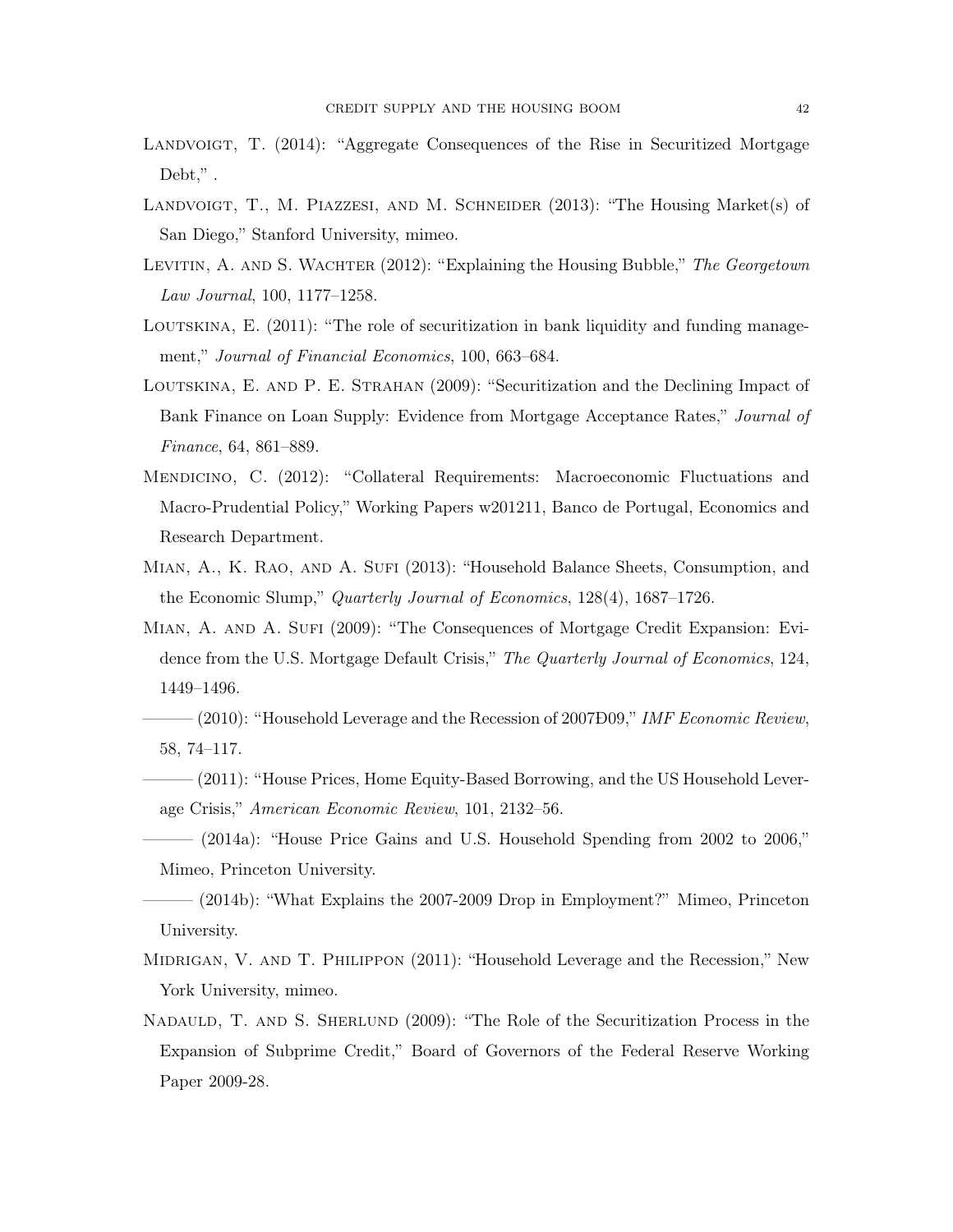- LANDVOIGT, T. (2014): "Aggregate Consequences of the Rise in Securitized Mortgage Debt.".
- LANDVOIGT, T., M. PIAZZESI, AND M. SCHNEIDER (2013): "The Housing Market(s) of San Diego," Stanford University, mimeo.
- Levitin, A. and S. Wachter (2012): "Explaining the Housing Bubble," *The Georgetown Law Journal*, 100, 1177–1258.
- LOUTSKINA, E. (2011): "The role of securitization in bank liquidity and funding management," *Journal of Financial Economics*, 100, 663–684.
- Loutskina, E. and P. E. Strahan (2009): "Securitization and the Declining Impact of Bank Finance on Loan Supply: Evidence from Mortgage Acceptance Rates," *Journal of Finance*, 64, 861–889.
- Mendicino, C. (2012): "Collateral Requirements: Macroeconomic Fluctuations and Macro-Prudential Policy," Working Papers w201211, Banco de Portugal, Economics and Research Department.
- Mian, A., K. Rao, and A. Sufi (2013): "Household Balance Sheets, Consumption, and the Economic Slump," *Quarterly Journal of Economics*, 128(4), 1687–1726.
- Mian, A. and A. Sufi (2009): "The Consequences of Mortgage Credit Expansion: Evidence from the U.S. Mortgage Default Crisis," *The Quarterly Journal of Economics*, 124, 1449–1496.
- $-(2010)$ : "Household Leverage and the Recession of 2007D09," *IMF Economic Review*, 58, 74–117.
- ——— (2011): "House Prices, Home Equity-Based Borrowing, and the US Household Leverage Crisis," *American Economic Review*, 101, 2132–56.
- $-$  (2014a): "House Price Gains and U.S. Household Spending from 2002 to 2006," Mimeo, Princeton University.
- $-$  (2014b): "What Explains the 2007-2009 Drop in Employment?" Mimeo, Princeton University.
- MIDRIGAN, V. AND T. PHILIPPON (2011): "Household Leverage and the Recession," New York University, mimeo.
- NADAULD, T. AND S. SHERLUND (2009): "The Role of the Securitization Process in the Expansion of Subprime Credit," Board of Governors of the Federal Reserve Working Paper 2009-28.